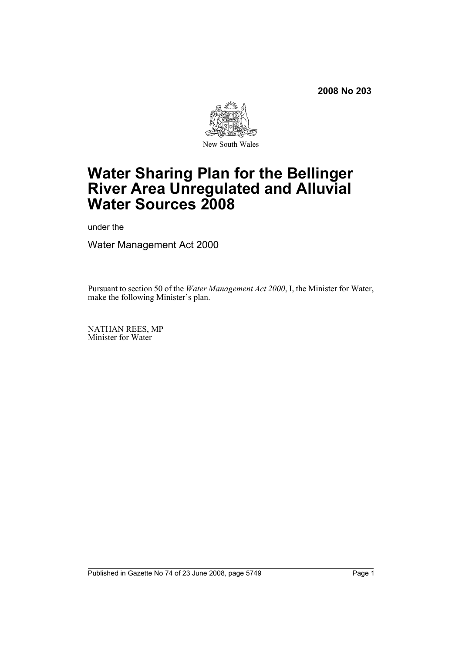

# **Water Sharing Plan for the Bellinger River Area Unregulated and Alluvial Water Sources 2008**

under the

Water Management Act 2000

Pursuant to section 50 of the *Water Management Act 2000*, I, the Minister for Water, make the following Minister's plan.

NATHAN REES, MP Minister for Water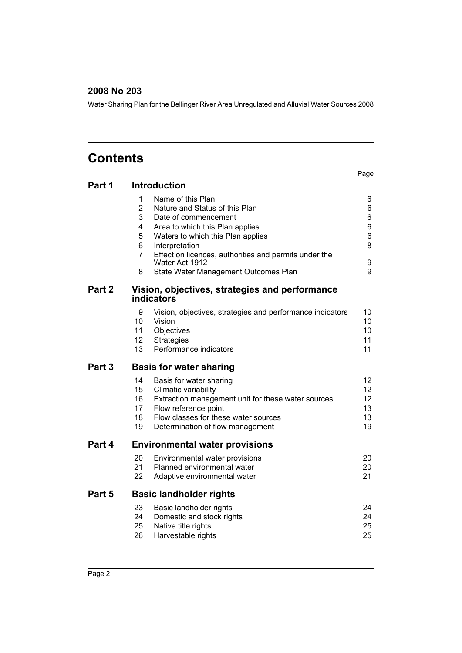Water Sharing Plan for the Bellinger River Area Unregulated and Alluvial Water Sources 2008

# **Contents**

|                   |                                                                                           | Page            |
|-------------------|-------------------------------------------------------------------------------------------|-----------------|
| Part 1            | <b>Introduction</b>                                                                       |                 |
|                   | 1<br>Name of this Plan                                                                    | 6               |
|                   | $\overline{2}$<br>Nature and Status of this Plan                                          | 6               |
|                   | 3<br>Date of commencement                                                                 | 6               |
|                   | 4<br>Area to which this Plan applies                                                      | 6               |
|                   | 5<br>Waters to which this Plan applies                                                    | 6               |
|                   | 6<br>Interpretation                                                                       | 8               |
|                   | $\overline{7}$<br>Effect on licences, authorities and permits under the<br>Water Act 1912 | 9               |
|                   | 8<br>State Water Management Outcomes Plan                                                 | 9               |
| Part 2            | Vision, objectives, strategies and performance<br>indicators                              |                 |
|                   | 9<br>Vision, objectives, strategies and performance indicators                            | 10              |
|                   | 10<br>Vision                                                                              | 10              |
|                   | 11<br>Objectives                                                                          | 10              |
|                   | 12<br><b>Strategies</b>                                                                   | 11              |
|                   | 13<br>Performance indicators                                                              | 11              |
|                   |                                                                                           |                 |
| Part <sub>3</sub> | <b>Basis for water sharing</b>                                                            |                 |
|                   | 14<br>Basis for water sharing                                                             | 12              |
|                   | 15<br>Climatic variability                                                                | 12 <sup>2</sup> |
|                   | 16<br>Extraction management unit for these water sources                                  | 12              |
|                   | 17<br>Flow reference point                                                                | 13              |
|                   | 18<br>Flow classes for these water sources                                                | 13              |
|                   | 19<br>Determination of flow management                                                    | 19              |
| Part 4            | <b>Environmental water provisions</b>                                                     |                 |
|                   | 20<br>Environmental water provisions                                                      | 20              |
|                   | 21<br>Planned environmental water                                                         | 20              |
|                   | 22<br>Adaptive environmental water                                                        | 21              |
| Part 5            | <b>Basic landholder rights</b>                                                            |                 |
|                   | 23<br>Basic landholder rights                                                             | 24              |
|                   | 24<br>Domestic and stock rights                                                           | 24              |
|                   | 25<br>Native title rights                                                                 | 25              |
|                   | 26<br>Harvestable rights                                                                  | 25              |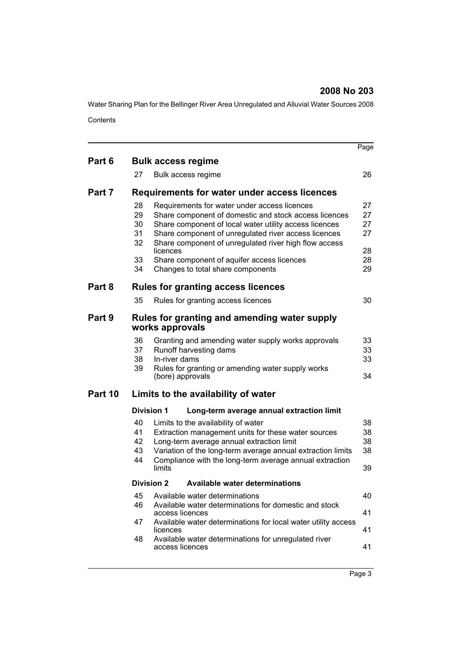Water Sharing Plan for the Bellinger River Area Unregulated and Alluvial Water Sources 2008 **Contents** 

|         |                                        |                                   |                                                                                                                                                                                                                                                                                                                                                                     | Page                                   |
|---------|----------------------------------------|-----------------------------------|---------------------------------------------------------------------------------------------------------------------------------------------------------------------------------------------------------------------------------------------------------------------------------------------------------------------------------------------------------------------|----------------------------------------|
| Part 6  |                                        |                                   | <b>Bulk access regime</b>                                                                                                                                                                                                                                                                                                                                           |                                        |
|         | 27                                     |                                   | Bulk access regime                                                                                                                                                                                                                                                                                                                                                  | 26                                     |
| Part 7  |                                        |                                   | Requirements for water under access licences                                                                                                                                                                                                                                                                                                                        |                                        |
|         | 28<br>29<br>30<br>31<br>32<br>33<br>34 | licences                          | Requirements for water under access licences<br>Share component of domestic and stock access licences<br>Share component of local water utility access licences<br>Share component of unregulated river access licences<br>Share component of unregulated river high flow access<br>Share component of aquifer access licences<br>Changes to total share components | 27<br>27<br>27<br>27<br>28<br>28<br>29 |
| Part 8  |                                        |                                   | <b>Rules for granting access licences</b>                                                                                                                                                                                                                                                                                                                           |                                        |
|         | 35                                     |                                   | Rules for granting access licences                                                                                                                                                                                                                                                                                                                                  | 30                                     |
| Part 9  |                                        | works approvals                   | Rules for granting and amending water supply                                                                                                                                                                                                                                                                                                                        |                                        |
|         | 36<br>37<br>38<br>39                   | In-river dams<br>(bore) approvals | Granting and amending water supply works approvals<br>Runoff harvesting dams<br>Rules for granting or amending water supply works                                                                                                                                                                                                                                   | 33<br>33<br>33<br>34                   |
| Part 10 |                                        |                                   | Limits to the availability of water                                                                                                                                                                                                                                                                                                                                 |                                        |
|         |                                        | <b>Division 1</b>                 | Long-term average annual extraction limit                                                                                                                                                                                                                                                                                                                           |                                        |
|         | 40<br>41<br>42<br>43<br>44             | limits                            | Limits to the availability of water<br>Extraction management units for these water sources<br>Long-term average annual extraction limit<br>Variation of the long-term average annual extraction limits<br>Compliance with the long-term average annual extraction                                                                                                   | 38<br>38<br>38<br>38<br>39             |
|         |                                        | <b>Division 2</b>                 | Available water determinations                                                                                                                                                                                                                                                                                                                                      |                                        |
|         | 45<br>46                               | access licences                   | Available water determinations<br>Available water determinations for domestic and stock                                                                                                                                                                                                                                                                             | 40<br>41                               |
|         | 47                                     | licences                          | Available water determinations for local water utility access                                                                                                                                                                                                                                                                                                       | 41                                     |
|         | 48                                     | access licences                   | Available water determinations for unregulated river                                                                                                                                                                                                                                                                                                                | 41                                     |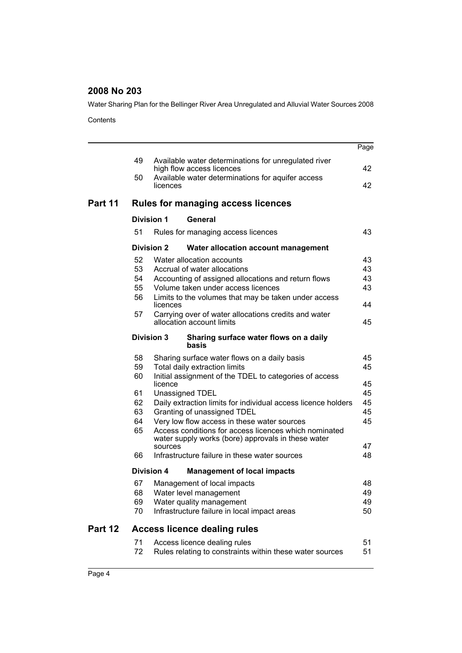Water Sharing Plan for the Bellinger River Area Unregulated and Alluvial Water Sources 2008

**Contents** 

|         |    |                   |                                                                                                             | Page |
|---------|----|-------------------|-------------------------------------------------------------------------------------------------------------|------|
|         | 49 |                   | Available water determinations for unregulated river<br>high flow access licences                           | 42   |
|         | 50 | licences          | Available water determinations for aquifer access                                                           | 42   |
| Part 11 |    |                   | <b>Rules for managing access licences</b>                                                                   |      |
|         |    | <b>Division 1</b> | General                                                                                                     |      |
|         | 51 |                   | Rules for managing access licences                                                                          | 43   |
|         |    | <b>Division 2</b> | Water allocation account management                                                                         |      |
|         | 52 |                   | Water allocation accounts                                                                                   | 43   |
|         | 53 |                   | Accrual of water allocations                                                                                | 43   |
|         | 54 |                   | Accounting of assigned allocations and return flows                                                         | 43   |
|         | 55 |                   | Volume taken under access licences                                                                          | 43   |
|         | 56 | licences          | Limits to the volumes that may be taken under access                                                        | 44   |
|         | 57 |                   | Carrying over of water allocations credits and water                                                        |      |
|         |    |                   | allocation account limits                                                                                   | 45   |
|         |    | <b>Division 3</b> | Sharing surface water flows on a daily<br>basis                                                             |      |
|         | 58 |                   | Sharing surface water flows on a daily basis                                                                | 45   |
|         | 59 |                   | Total daily extraction limits                                                                               | 45   |
|         | 60 | licence           | Initial assignment of the TDEL to categories of access                                                      | 45   |
|         | 61 |                   | Unassigned TDEL                                                                                             | 45   |
|         | 62 |                   | Daily extraction limits for individual access licence holders                                               | 45   |
|         | 63 |                   | Granting of unassigned TDEL                                                                                 | 45   |
|         | 64 |                   | Very low flow access in these water sources                                                                 | 45   |
|         | 65 |                   | Access conditions for access licences which nominated<br>water supply works (bore) approvals in these water |      |
|         |    | sources           |                                                                                                             | 47   |
|         | 66 |                   | Infrastructure failure in these water sources                                                               | 48   |
|         |    | <b>Division 4</b> | <b>Management of local impacts</b>                                                                          |      |
|         | 67 |                   | Management of local impacts                                                                                 | 48   |
|         | 68 |                   | Water level management                                                                                      | 49   |
|         | 69 |                   | Water quality management                                                                                    | 49   |
|         | 70 |                   | Infrastructure failure in local impact areas                                                                | 50   |
| Part 12 |    |                   | <b>Access licence dealing rules</b>                                                                         |      |
|         | 71 |                   | Access licence dealing rules                                                                                | 51   |
|         | 72 |                   | Rules relating to constraints within these water sources                                                    | 51   |
|         |    |                   |                                                                                                             |      |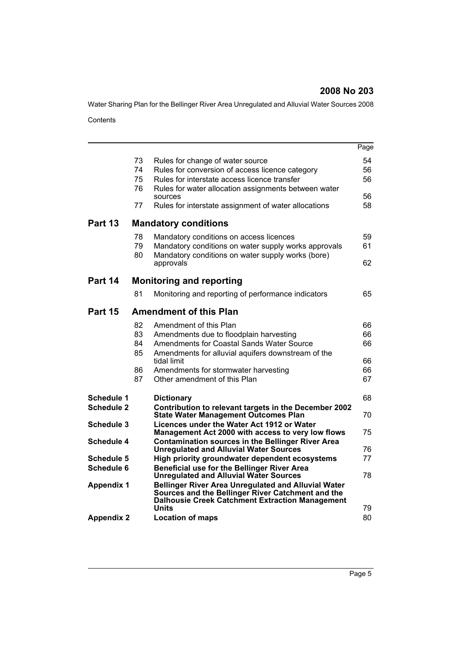Water Sharing Plan for the Bellinger River Area Unregulated and Alluvial Water Sources 2008

**Contents** 

|                                 |                                  |                                                                                                                                                                                                                                                                    | Page                             |
|---------------------------------|----------------------------------|--------------------------------------------------------------------------------------------------------------------------------------------------------------------------------------------------------------------------------------------------------------------|----------------------------------|
|                                 | 73<br>74<br>75                   | Rules for change of water source<br>Rules for conversion of access licence category<br>Rules for interstate access licence transfer                                                                                                                                | 54<br>56<br>56                   |
|                                 | 76<br>77                         | Rules for water allocation assignments between water<br>sources<br>Rules for interstate assignment of water allocations                                                                                                                                            | 56<br>58                         |
| Part 13                         |                                  | <b>Mandatory conditions</b>                                                                                                                                                                                                                                        |                                  |
|                                 | 78<br>79<br>80                   | Mandatory conditions on access licences<br>Mandatory conditions on water supply works approvals<br>Mandatory conditions on water supply works (bore)<br>approvals                                                                                                  | 59<br>61<br>62                   |
| Part 14                         |                                  | <b>Monitoring and reporting</b>                                                                                                                                                                                                                                    |                                  |
|                                 | 81                               | Monitoring and reporting of performance indicators                                                                                                                                                                                                                 | 65                               |
| Part 15                         |                                  | <b>Amendment of this Plan</b>                                                                                                                                                                                                                                      |                                  |
|                                 | 82<br>83<br>84<br>85<br>86<br>87 | Amendment of this Plan<br>Amendments due to floodplain harvesting<br><b>Amendments for Coastal Sands Water Source</b><br>Amendments for alluvial aquifers downstream of the<br>tidal limit<br>Amendments for stormwater harvesting<br>Other amendment of this Plan | 66<br>66<br>66<br>66<br>66<br>67 |
|                                 |                                  |                                                                                                                                                                                                                                                                    |                                  |
| Schedule 1<br><b>Schedule 2</b> |                                  | <b>Dictionary</b><br>Contribution to relevant targets in the December 2002<br><b>State Water Management Outcomes Plan</b>                                                                                                                                          | 68<br>70                         |
| Schedule 3                      |                                  | Licences under the Water Act 1912 or Water<br>Management Act 2000 with access to very low flows                                                                                                                                                                    | 75                               |
| Schedule 4                      |                                  | <b>Contamination sources in the Bellinger River Area</b><br><b>Unregulated and Alluvial Water Sources</b>                                                                                                                                                          | 76                               |
| <b>Schedule 5</b>               |                                  | High priority groundwater dependent ecosystems                                                                                                                                                                                                                     | 77                               |
| Schedule 6                      |                                  | Beneficial use for the Bellinger River Area<br><b>Unregulated and Alluvial Water Sources</b>                                                                                                                                                                       | 78                               |
| <b>Appendix 1</b>               |                                  | <b>Bellinger River Area Unregulated and Alluvial Water</b><br>Sources and the Bellinger River Catchment and the<br><b>Dalhousie Creek Catchment Extraction Management</b>                                                                                          |                                  |
| <b>Appendix 2</b>               |                                  | <b>Units</b><br><b>Location of maps</b>                                                                                                                                                                                                                            | 79<br>80                         |
|                                 |                                  |                                                                                                                                                                                                                                                                    |                                  |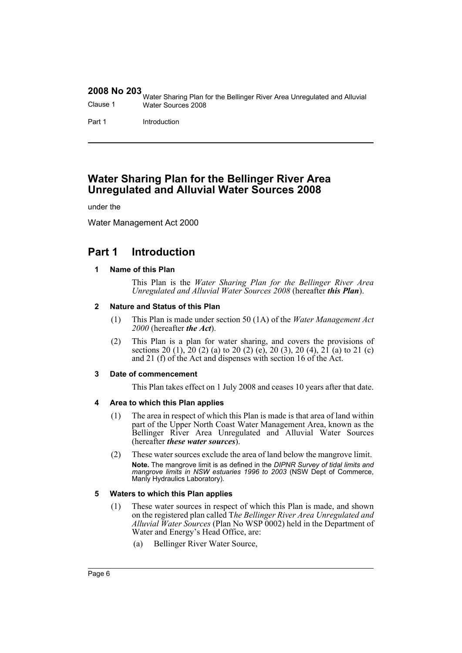|          | 1999 Water Sharing Plan for the Bellinger River Area Unregulated and Alluvial |
|----------|-------------------------------------------------------------------------------|
| Clause 1 | Water Sources 2008                                                            |
|          |                                                                               |

Part 1 Introduction

# **Water Sharing Plan for the Bellinger River Area Unregulated and Alluvial Water Sources 2008**

under the

Water Management Act 2000

# <span id="page-5-1"></span><span id="page-5-0"></span>**Part 1 Introduction**

#### **1 Name of this Plan**

This Plan is the *Water Sharing Plan for the Bellinger River Area Unregulated and Alluvial Water Sources 2008* (hereafter *this Plan*).

#### <span id="page-5-2"></span>**2 Nature and Status of this Plan**

- (1) This Plan is made under section 50 (1A) of the *Water Management Act 2000* (hereafter *the Act*).
- (2) This Plan is a plan for water sharing, and covers the provisions of sections 20 (1), 20 (2) (a) to 20 (2) (e), 20 (3), 20 (4), 21 (a) to 21 (c) and 21 (f) of the Act and dispenses with section 16 of the Act.

#### <span id="page-5-3"></span>**3 Date of commencement**

This Plan takes effect on 1 July 2008 and ceases 10 years after that date.

#### <span id="page-5-4"></span>**4 Area to which this Plan applies**

- (1) The area in respect of which this Plan is made is that area of land within part of the Upper North Coast Water Management Area, known as the Bellinger River Area Unregulated and Alluvial Water Sources (hereafter *these water sources*).
- (2) These water sources exclude the area of land below the mangrove limit. **Note.** The mangrove limit is as defined in the *DIPNR Survey of tidal limits and mangrove limits in NSW estuaries 1996 to 2003* (NSW Dept of Commerce, Manly Hydraulics Laboratory).

#### <span id="page-5-5"></span>**5 Waters to which this Plan applies**

- (1) These water sources in respect of which this Plan is made, and shown on the registered plan called T*he Bellinger River Area Unregulated and Alluvial Water Sources* (Plan No WSP 0002) held in the Department of Water and Energy's Head Office, are:
	- (a) Bellinger River Water Source,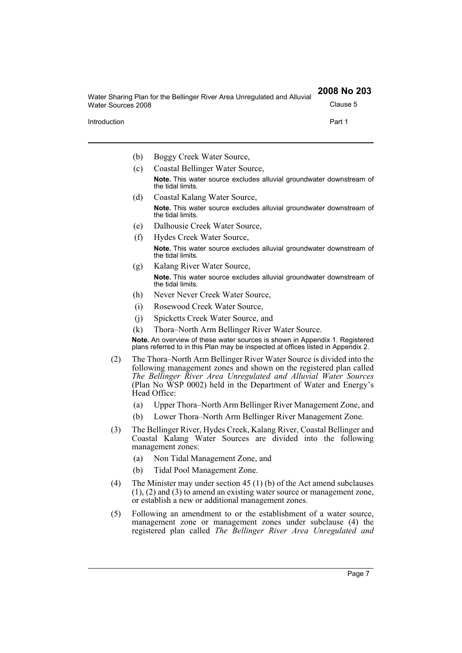| Water Sharing Plan for the Bellinger River Area Unregulated and Alluvial | 2008 No 203 |
|--------------------------------------------------------------------------|-------------|
| Water Sources 2008                                                       | Clause 5    |
| Introduction                                                             | Part 1      |

- (b) Boggy Creek Water Source,
- (c) Coastal Bellinger Water Source, **Note.** This water source excludes alluvial groundwater downstream of the tidal limits.
- (d) Coastal Kalang Water Source, **Note.** This water source excludes alluvial groundwater downstream of the tidal limits.
- (e) Dalhousie Creek Water Source,
- (f) Hydes Creek Water Source, **Note.** This water source excludes alluvial groundwater downstream of the tidal limits.
- (g) Kalang River Water Source, **Note.** This water source excludes alluvial groundwater downstream of the tidal limits.
- (h) Never Never Creek Water Source,
- (i) Rosewood Creek Water Source,
- (j) Spicketts Creek Water Source, and
- (k) Thora–North Arm Bellinger River Water Source.

**Note.** An overview of these water sources is shown in Appendix 1. Registered plans referred to in this Plan may be inspected at offices listed in Appendix 2.

- (2) The Thora–North Arm Bellinger River Water Source is divided into the following management zones and shown on the registered plan called *The Bellinger River Area Unregulated and Alluvial Water Sources* (Plan No WSP 0002) held in the Department of Water and Energy's Head Office:
	- (a) Upper Thora–North Arm Bellinger River Management Zone, and
	- (b) Lower Thora–North Arm Bellinger River Management Zone.
- (3) The Bellinger River, Hydes Creek, Kalang River, Coastal Bellinger and Coastal Kalang Water Sources are divided into the following management zones:
	- (a) Non Tidal Management Zone, and
	- (b) Tidal Pool Management Zone.
- (4) The Minister may under section 45 (1) (b) of the Act amend subclauses (1), (2) and (3) to amend an existing water source or management zone, or establish a new or additional management zones.
- (5) Following an amendment to or the establishment of a water source, management zone or management zones under subclause (4) the registered plan called *The Bellinger River Area Unregulated and*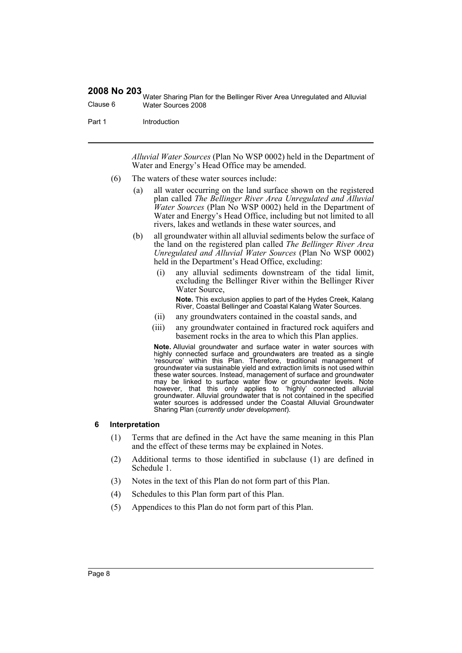Water Sharing Plan for the Bellinger River Area Unregulated and Alluvial Clause 6 Water Sources 2008

Part 1 Introduction

*Alluvial Water Sources* (Plan No WSP 0002) held in the Department of Water and Energy's Head Office may be amended.

- (6) The waters of these water sources include:
	- (a) all water occurring on the land surface shown on the registered plan called *The Bellinger River Area Unregulated and Alluvial Water Sources* (Plan No WSP 0002) held in the Department of Water and Energy's Head Office, including but not limited to all rivers, lakes and wetlands in these water sources, and
	- (b) all groundwater within all alluvial sediments below the surface of the land on the registered plan called *The Bellinger River Area Unregulated and Alluvial Water Sources* (Plan No WSP 0002) held in the Department's Head Office, excluding:
		- (i) any alluvial sediments downstream of the tidal limit, excluding the Bellinger River within the Bellinger River Water Source,

**Note.** This exclusion applies to part of the Hydes Creek, Kalang River, Coastal Bellinger and Coastal Kalang Water Sources.

- (ii) any groundwaters contained in the coastal sands, and
- (iii) any groundwater contained in fractured rock aquifers and basement rocks in the area to which this Plan applies.

**Note.** Alluvial groundwater and surface water in water sources with highly connected surface and groundwaters are treated as a single 'resource' within this Plan. Therefore, traditional management of groundwater via sustainable yield and extraction limits is not used within these water sources. Instead, management of surface and groundwater may be linked to surface water flow or groundwater levels. Note however, that this only applies to 'highly' connected alluvial groundwater. Alluvial groundwater that is not contained in the specified water sources is addressed under the Coastal Alluvial Groundwater Sharing Plan (*currently under development*).

#### <span id="page-7-0"></span>**6 Interpretation**

- (1) Terms that are defined in the Act have the same meaning in this Plan and the effect of these terms may be explained in Notes.
- (2) Additional terms to those identified in subclause (1) are defined in Schedule 1.
- (3) Notes in the text of this Plan do not form part of this Plan.
- (4) Schedules to this Plan form part of this Plan.
- (5) Appendices to this Plan do not form part of this Plan.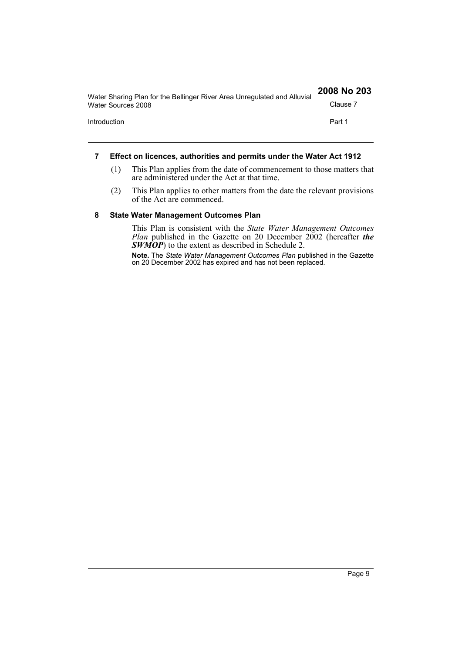| Water Sharing Plan for the Bellinger River Area Unregulated and Alluvial | 2008 No 203 |
|--------------------------------------------------------------------------|-------------|
| Water Sources 2008                                                       | Clause 7    |
| Introduction                                                             | Part 1      |
|                                                                          |             |

#### <span id="page-8-0"></span>**7 Effect on licences, authorities and permits under the Water Act 1912**

- (1) This Plan applies from the date of commencement to those matters that are administered under the Act at that time.
- (2) This Plan applies to other matters from the date the relevant provisions of the Act are commenced.

#### <span id="page-8-1"></span>**8 State Water Management Outcomes Plan**

This Plan is consistent with the *State Water Management Outcomes Plan* published in the Gazette on 20 December 2002 (hereafter *the SWMOP*) to the extent as described in Schedule 2.

**Note.** The *State Water Management Outcomes Plan* published in the Gazette on 20 December 2002 has expired and has not been replaced.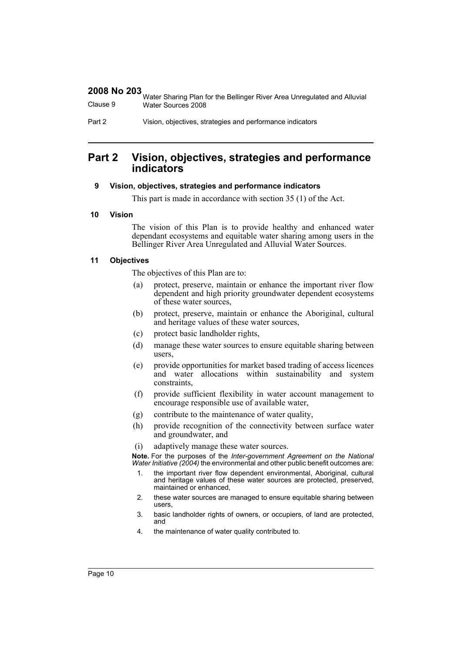|          | Water Sharing Plan for the Bellinger River Area Unregulated and Alluvial |
|----------|--------------------------------------------------------------------------|
| Clause 9 | Water Sources 2008                                                       |

Part 2 Vision, objectives, strategies and performance indicators

# <span id="page-9-0"></span>**Part 2 Vision, objectives, strategies and performance indicators**

#### <span id="page-9-1"></span>**9 Vision, objectives, strategies and performance indicators**

This part is made in accordance with section 35 (1) of the Act.

#### <span id="page-9-2"></span>**10 Vision**

The vision of this Plan is to provide healthy and enhanced water dependant ecosystems and equitable water sharing among users in the Bellinger River Area Unregulated and Alluvial Water Sources.

#### <span id="page-9-3"></span>**11 Objectives**

The objectives of this Plan are to:

- (a) protect, preserve, maintain or enhance the important river flow dependent and high priority groundwater dependent ecosystems of these water sources,
- (b) protect, preserve, maintain or enhance the Aboriginal, cultural and heritage values of these water sources,
- (c) protect basic landholder rights,
- (d) manage these water sources to ensure equitable sharing between users,
- (e) provide opportunities for market based trading of access licences and water allocations within sustainability and system constraints,
- (f) provide sufficient flexibility in water account management to encourage responsible use of available water,
- (g) contribute to the maintenance of water quality,
- (h) provide recognition of the connectivity between surface water and groundwater, and
- (i) adaptively manage these water sources.

**Note.** For the purposes of the *Inter-government Agreement on the National Water Initiative (2004)* the environmental and other public benefit outcomes are:

- 1. the important river flow dependent environmental, Aboriginal, cultural and heritage values of these water sources are protected, preserved, maintained or enhanced,
- 2. these water sources are managed to ensure equitable sharing between users,
- 3. basic landholder rights of owners, or occupiers, of land are protected, and
- 4. the maintenance of water quality contributed to.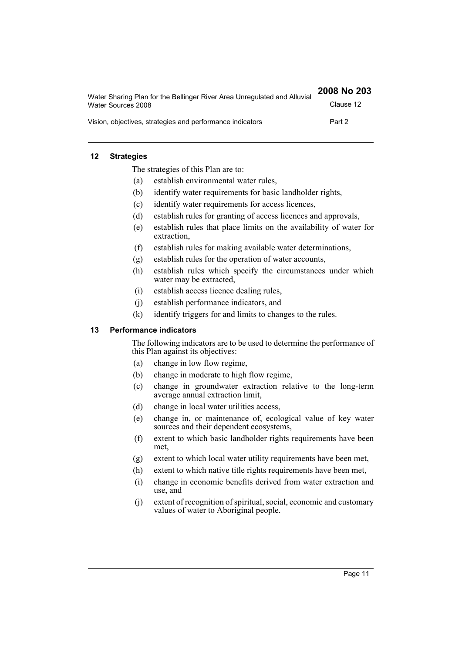| Water Sharing Plan for the Bellinger River Area Unregulated and Alluvial | 2008 No 203 |
|--------------------------------------------------------------------------|-------------|
| Water Sources 2008                                                       | Clause 12   |
| Vision, objectives, strategies and performance indicators                | Part 2      |

#### <span id="page-10-0"></span>**12 Strategies**

The strategies of this Plan are to:

- (a) establish environmental water rules,
- (b) identify water requirements for basic landholder rights,
- (c) identify water requirements for access licences,
- (d) establish rules for granting of access licences and approvals,
- (e) establish rules that place limits on the availability of water for extraction,
- (f) establish rules for making available water determinations,
- (g) establish rules for the operation of water accounts,
- (h) establish rules which specify the circumstances under which water may be extracted,
- (i) establish access licence dealing rules,
- (j) establish performance indicators, and
- (k) identify triggers for and limits to changes to the rules.

#### <span id="page-10-1"></span>**13 Performance indicators**

The following indicators are to be used to determine the performance of this Plan against its objectives:

- (a) change in low flow regime,
- (b) change in moderate to high flow regime,
- (c) change in groundwater extraction relative to the long-term average annual extraction limit,
- (d) change in local water utilities access,
- (e) change in, or maintenance of, ecological value of key water sources and their dependent ecosystems,
- (f) extent to which basic landholder rights requirements have been met,
- (g) extent to which local water utility requirements have been met,
- (h) extent to which native title rights requirements have been met,
- (i) change in economic benefits derived from water extraction and use, and
- (j) extent of recognition of spiritual, social, economic and customary values of water to Aboriginal people.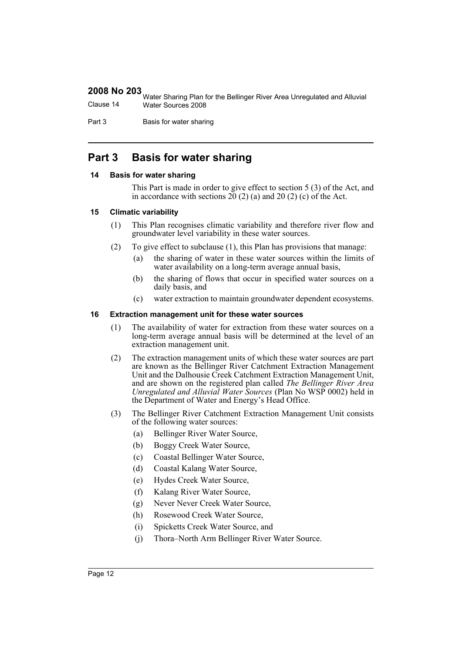|           | Water Sharing Plan for the Bellinger River Area Unregulated and Alluvial |
|-----------|--------------------------------------------------------------------------|
| Clause 14 | Water Sources 2008                                                       |

Part 3 Basis for water sharing

# <span id="page-11-0"></span>**Part 3 Basis for water sharing**

#### <span id="page-11-1"></span>**14 Basis for water sharing**

This Part is made in order to give effect to section 5 (3) of the Act, and in accordance with sections  $20(2)(a)$  and  $20(2)(c)$  of the Act.

#### <span id="page-11-2"></span>**15 Climatic variability**

- (1) This Plan recognises climatic variability and therefore river flow and groundwater level variability in these water sources.
- (2) To give effect to subclause (1), this Plan has provisions that manage:
	- (a) the sharing of water in these water sources within the limits of water availability on a long-term average annual basis,
	- (b) the sharing of flows that occur in specified water sources on a daily basis, and
	- (c) water extraction to maintain groundwater dependent ecosystems.

#### <span id="page-11-3"></span>**16 Extraction management unit for these water sources**

- (1) The availability of water for extraction from these water sources on a long-term average annual basis will be determined at the level of an extraction management unit.
- (2) The extraction management units of which these water sources are part are known as the Bellinger River Catchment Extraction Management Unit and the Dalhousie Creek Catchment Extraction Management Unit, and are shown on the registered plan called *The Bellinger River Area Unregulated and Alluvial Water Sources* (Plan No WSP 0002) held in the Department of Water and Energy's Head Office.
- (3) The Bellinger River Catchment Extraction Management Unit consists of the following water sources:
	- (a) Bellinger River Water Source,
	- (b) Boggy Creek Water Source,
	- (c) Coastal Bellinger Water Source,
	- (d) Coastal Kalang Water Source,
	- (e) Hydes Creek Water Source,
	- (f) Kalang River Water Source,
	- (g) Never Never Creek Water Source,
	- (h) Rosewood Creek Water Source,
	- (i) Spicketts Creek Water Source, and
	- (j) Thora–North Arm Bellinger River Water Source.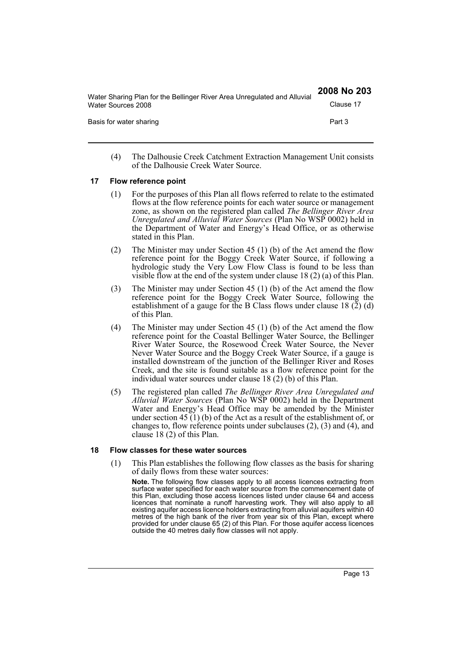| Water Sharing Plan for the Bellinger River Area Unregulated and Alluvial | 2008 No 203 |
|--------------------------------------------------------------------------|-------------|
| Water Sources 2008                                                       | Clause 17   |
| Basis for water sharing                                                  | Part 3      |
|                                                                          |             |

(4) The Dalhousie Creek Catchment Extraction Management Unit consists of the Dalhousie Creek Water Source.

#### <span id="page-12-0"></span>**17 Flow reference point**

- (1) For the purposes of this Plan all flows referred to relate to the estimated flows at the flow reference points for each water source or management zone, as shown on the registered plan called *The Bellinger River Area Unregulated and Alluvial Water Sources* (Plan No WSP 0002) held in the Department of Water and Energy's Head Office, or as otherwise stated in this Plan.
- (2) The Minister may under Section 45 (1) (b) of the Act amend the flow reference point for the Boggy Creek Water Source, if following a hydrologic study the Very Low Flow Class is found to be less than visible flow at the end of the system under clause 18 (2) (a) of this Plan.
- (3) The Minister may under Section 45 (1) (b) of the Act amend the flow reference point for the Boggy Creek Water Source, following the establishment of a gauge for the B Class flows under clause 18 (2) (d) of this Plan.
- (4) The Minister may under Section 45 (1) (b) of the Act amend the flow reference point for the Coastal Bellinger Water Source, the Bellinger River Water Source, the Rosewood Creek Water Source, the Never Never Water Source and the Boggy Creek Water Source, if a gauge is installed downstream of the junction of the Bellinger River and Roses Creek, and the site is found suitable as a flow reference point for the individual water sources under clause 18 (2) (b) of this Plan.
- (5) The registered plan called *The Bellinger River Area Unregulated and Alluvial Water Sources* (Plan No WSP 0002) held in the Department Water and Energy's Head Office may be amended by the Minister under section 45 (1) (b) of the Act as a result of the establishment of, or changes to, flow reference points under subclauses (2), (3) and (4), and clause 18 (2) of this Plan.

#### <span id="page-12-1"></span>**18 Flow classes for these water sources**

(1) This Plan establishes the following flow classes as the basis for sharing of daily flows from these water sources:

**Note.** The following flow classes apply to all access licences extracting from surface water specified for each water source from the commencement date of this Plan, excluding those access licences listed under clause 64 and access licences that nominate a runoff harvesting work. They will also apply to all existing aquifer access licence holders extracting from alluvial aquifers within 40 metres of the high bank of the river from year six of this Plan, except where provided for under clause 65 (2) of this Plan. For those aquifer access licences outside the 40 metres daily flow classes will not apply.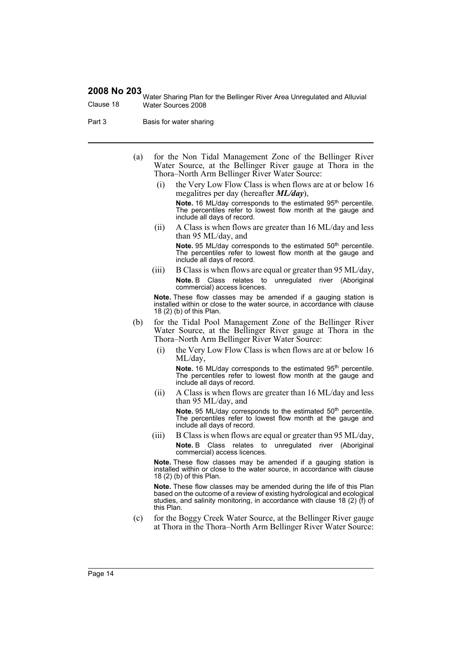Water Sharing Plan for the Bellinger River Area Unregulated and Alluvial Clause 18 Water Sources 2008

- Part 3 Basis for water sharing
	- (a) for the Non Tidal Management Zone of the Bellinger River Water Source, at the Bellinger River gauge at Thora in the Thora–North Arm Bellinger River Water Source:
		- (i) the Very Low Flow Class is when flows are at or below 16 megalitres per day (hereafter *ML/day*), Note. 16 ML/day corresponds to the estimated 95<sup>th</sup> percentile. The percentiles refer to lowest flow month at the gauge and include all days of record.
		- (ii) A Class is when flows are greater than 16 ML/day and less than 95 ML/day, and **Note.** 95 ML/day corresponds to the estimated 50<sup>th</sup> percentile. The percentiles refer to lowest flow month at the gauge and include all days of record.
		- (iii) B Class is when flows are equal or greater than 95 ML/day, **Note.** B Class relates to unregulated river (Aboriginal commercial) access licences.

**Note.** These flow classes may be amended if a gauging station is installed within or close to the water source, in accordance with clause 18 (2) (b) of this Plan.

- (b) for the Tidal Pool Management Zone of the Bellinger River Water Source, at the Bellinger River gauge at Thora in the Thora–North Arm Bellinger River Water Source:
	- (i) the Very Low Flow Class is when flows are at or below 16 ML/day,

Note. 16 ML/day corresponds to the estimated 95<sup>th</sup> percentile. The percentiles refer to lowest flow month at the gauge and include all days of record.

- (ii) A Class is when flows are greater than 16 ML/day and less than 95 ML/day, and Note. 95 ML/day corresponds to the estimated 50<sup>th</sup> percentile. The percentiles refer to lowest flow month at the gauge and include all days of record.
- (iii) B Class is when flows are equal or greater than 95 ML/day, **Note.** B Class relates to unregulated river (Aboriginal commercial) access licences.

**Note.** These flow classes may be amended if a gauging station is installed within or close to the water source, in accordance with clause 18 (2) (b) of this Plan.

**Note.** These flow classes may be amended during the life of this Plan based on the outcome of a review of existing hydrological and ecological studies, and salinity monitoring, in accordance with clause 18 (2) (f) of this Plan.

(c) for the Boggy Creek Water Source, at the Bellinger River gauge at Thora in the Thora–North Arm Bellinger River Water Source: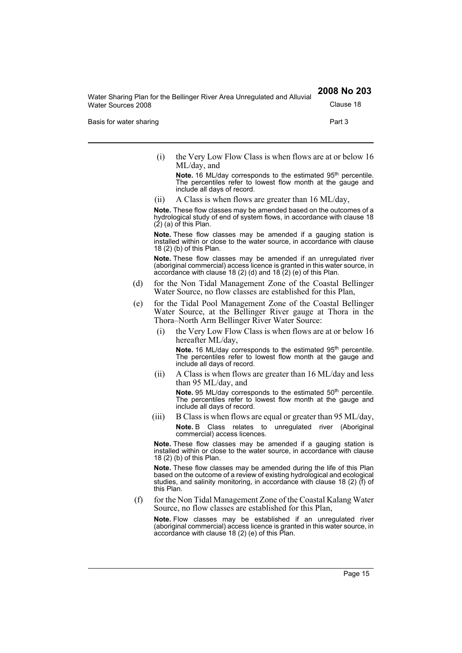Water Sharing Plan for the Bellinger River Area Unregulated and Alluvial Water Sources 2008 Clause 18

Basis for water sharing **Part 3 Part 3** 

(i) the Very Low Flow Class is when flows are at or below 16 ML/day, and

Note. 16 ML/day corresponds to the estimated 95<sup>th</sup> percentile. The percentiles refer to lowest flow month at the gauge and include all days of record.

(ii) A Class is when flows are greater than 16 ML/day,

**Note.** These flow classes may be amended based on the outcomes of a hydrological study of end of system flows, in accordance with clause 18  $(2)$  (a) of this Plan.

**Note.** These flow classes may be amended if a gauging station is installed within or close to the water source, in accordance with clause 18 (2) (b) of this Plan.

**Note.** These flow classes may be amended if an unregulated river (aboriginal commercial) access licence is granted in this water source, in accordance with clause 18 (2) (d) and 18 (2) (e) of this Plan.

- (d) for the Non Tidal Management Zone of the Coastal Bellinger Water Source, no flow classes are established for this Plan,
- (e) for the Tidal Pool Management Zone of the Coastal Bellinger Water Source, at the Bellinger River gauge at Thora in the Thora–North Arm Bellinger River Water Source:
	- (i) the Very Low Flow Class is when flows are at or below 16 hereafter ML/day,

Note. 16 ML/day corresponds to the estimated 95<sup>th</sup> percentile. The percentiles refer to lowest flow month at the gauge and include all days of record.

(ii) A Class is when flows are greater than 16 ML/day and less than 95 ML/day, and

Note. 95 ML/day corresponds to the estimated 50<sup>th</sup> percentile. The percentiles refer to lowest flow month at the gauge and include all days of record.

(iii) B Class is when flows are equal or greater than 95 ML/day, **Note.** B Class relates to unregulated river (Aboriginal commercial) access licences.

**Note.** These flow classes may be amended if a gauging station is installed within or close to the water source, in accordance with clause 18 (2) (b) of this Plan.

**Note.** These flow classes may be amended during the life of this Plan based on the outcome of a review of existing hydrological and ecological studies, and salinity monitoring, in accordance with clause 18 (2) (f) of this Plan.

(f) for the Non Tidal Management Zone of the Coastal Kalang Water Source, no flow classes are established for this Plan,

**Note.** Flow classes may be established if an unregulated river (aboriginal commercial) access licence is granted in this water source, in accordance with clause 18 (2) (e) of this Plan.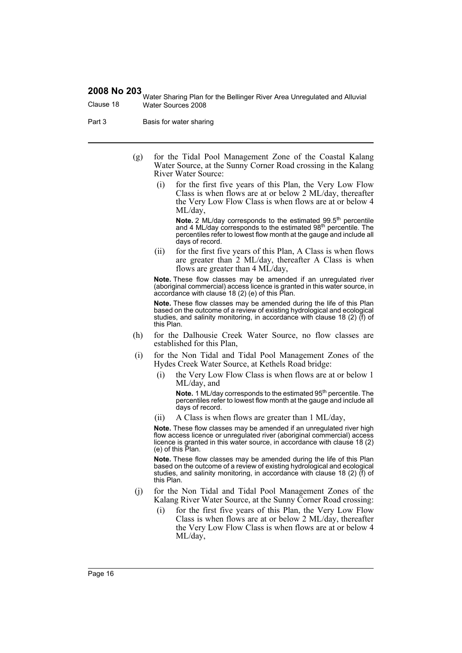Water Sharing Plan for the Bellinger River Area Unregulated and Alluvial Clause 18 Water Sources 2008

- Part 3 Basis for water sharing
	- (g) for the Tidal Pool Management Zone of the Coastal Kalang Water Source, at the Sunny Corner Road crossing in the Kalang River Water Source:
		- (i) for the first five years of this Plan, the Very Low Flow Class is when flows are at or below 2 ML/day, thereafter the Very Low Flow Class is when flows are at or below 4 ML/day,

**Note.** 2 ML/day corresponds to the estimated 99.5<sup>th</sup> percentile and 4 ML/day corresponds to the estimated 98th percentile. The percentiles refer to lowest flow month at the gauge and include all days of record.

(ii) for the first five years of this Plan, A Class is when flows are greater than 2 ML/day, thereafter A Class is when flows are greater than 4 ML/day,

**Note.** These flow classes may be amended if an unregulated river (aboriginal commercial) access licence is granted in this water source, in accordance with clause 18 (2) (e) of this Plan.

**Note.** These flow classes may be amended during the life of this Plan based on the outcome of a review of existing hydrological and ecological studies, and salinity monitoring, in accordance with clause 18 (2) (f) of this Plan.

- (h) for the Dalhousie Creek Water Source, no flow classes are established for this Plan,
- (i) for the Non Tidal and Tidal Pool Management Zones of the Hydes Creek Water Source, at Kethels Road bridge:
	- (i) the Very Low Flow Class is when flows are at or below 1 ML/day, and

**Note.** 1 ML/day corresponds to the estimated 95<sup>th</sup> percentile. The percentiles refer to lowest flow month at the gauge and include all days of record.

(ii) A Class is when flows are greater than 1 ML/day,

**Note.** These flow classes may be amended if an unregulated river high flow access licence or unregulated river (aboriginal commercial) access licence is granted in this water source, in accordance with clause 18 (2) (e) of this Plan.

**Note.** These flow classes may be amended during the life of this Plan based on the outcome of a review of existing hydrological and ecological studies, and salinity monitoring, in accordance with clause 18 (2) (f) of this Plan.

- (j) for the Non Tidal and Tidal Pool Management Zones of the Kalang River Water Source, at the Sunny Corner Road crossing:
	- for the first five years of this Plan, the Very Low Flow Class is when flows are at or below 2 ML/day, thereafter the Very Low Flow Class is when flows are at or below 4 ML/day,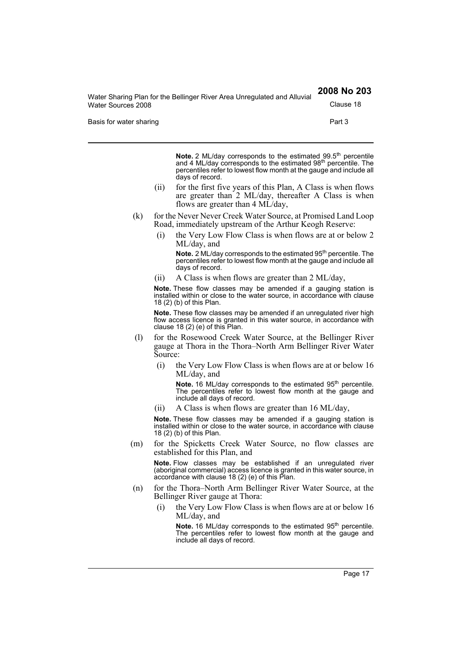Water Sharing Plan for the Bellinger River Area Unregulated and Alluvial Water Sources 2008 Clause 18

Basis for water sharing **Part 3 Part 3** 

**Note.** 2 ML/day corresponds to the estimated 99.5<sup>th</sup> percentile and 4 ML/day corresponds to the estimated 98<sup>th</sup> percentile. The percentiles refer to lowest flow month at the gauge and include all days of record.

- (ii) for the first five years of this Plan, A Class is when flows are greater than 2 ML/day, thereafter A Class is when flows are greater than 4 ML/day,
- (k) for the Never Never Creek Water Source, at Promised Land Loop Road, immediately upstream of the Arthur Keogh Reserve:
	- (i) the Very Low Flow Class is when flows are at or below 2 ML/day, and

**Note.** 2 ML/day corresponds to the estimated 95<sup>th</sup> percentile. The percentiles refer to lowest flow month at the gauge and include all days of record.

(ii) A Class is when flows are greater than 2 ML/day,

**Note.** These flow classes may be amended if a gauging station is installed within or close to the water source, in accordance with clause 18 (2) (b) of this Plan.

**Note.** These flow classes may be amended if an unregulated river high flow access licence is granted in this water source, in accordance with clause 18 (2) (e) of this Plan.

- (l) for the Rosewood Creek Water Source, at the Bellinger River gauge at Thora in the Thora–North Arm Bellinger River Water Source:
	- (i) the Very Low Flow Class is when flows are at or below 16 ML/day, and

Note. 16 ML/day corresponds to the estimated 95<sup>th</sup> percentile. The percentiles refer to lowest flow month at the gauge and include all days of record.

(ii) A Class is when flows are greater than 16 ML/day,

**Note.** These flow classes may be amended if a gauging station is installed within or close to the water source, in accordance with clause 18 (2) (b) of this Plan.

(m) for the Spicketts Creek Water Source, no flow classes are established for this Plan, and

**Note.** Flow classes may be established if an unregulated river (aboriginal commercial) access licence is granted in this water source, in accordance with clause 18 (2) (e) of this Plan.

- (n) for the Thora–North Arm Bellinger River Water Source, at the Bellinger River gauge at Thora:
	- (i) the Very Low Flow Class is when flows are at or below 16 ML/day, and

Note. 16 ML/day corresponds to the estimated 95<sup>th</sup> percentile. The percentiles refer to lowest flow month at the gauge and include all days of record.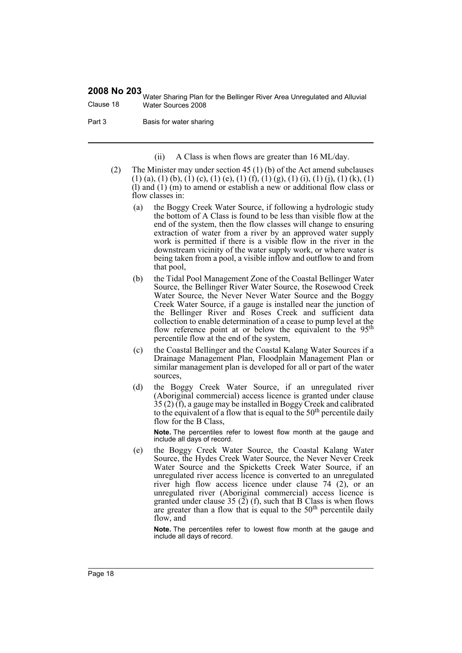Water Sharing Plan for the Bellinger River Area Unregulated and Alluvial Clause 18 Water Sources 2008

Part 3 Basis for water sharing

(ii) A Class is when flows are greater than 16 ML/day.

- (2) The Minister may under section 45 (1) (b) of the Act amend subclauses  $(1)$  (a), (1) (b), (1) (c), (1) (e), (1) (f), (1) (g), (1) (i), (1) (j), (1) (k), (1) (l) and (1) (m) to amend or establish a new or additional flow class or flow classes in:
	- (a) the Boggy Creek Water Source, if following a hydrologic study the bottom of A Class is found to be less than visible flow at the end of the system, then the flow classes will change to ensuring extraction of water from a river by an approved water supply work is permitted if there is a visible flow in the river in the downstream vicinity of the water supply work, or where water is being taken from a pool, a visible inflow and outflow to and from that pool,
	- (b) the Tidal Pool Management Zone of the Coastal Bellinger Water Source, the Bellinger River Water Source, the Rosewood Creek Water Source, the Never Never Water Source and the Boggy Creek Water Source, if a gauge is installed near the junction of the Bellinger River and Roses Creek and sufficient data collection to enable determination of a cease to pump level at the flow reference point at or below the equivalent to the 95<sup>th</sup> percentile flow at the end of the system,
	- (c) the Coastal Bellinger and the Coastal Kalang Water Sources if a Drainage Management Plan, Floodplain Management Plan or similar management plan is developed for all or part of the water sources,
	- (d) the Boggy Creek Water Source, if an unregulated river (Aboriginal commercial) access licence is granted under clause 35 (2) (f), a gauge may be installed in Boggy Creek and calibrated to the equivalent of a flow that is equal to the  $50<sup>th</sup>$  percentile daily flow for the B Class,

**Note.** The percentiles refer to lowest flow month at the gauge and include all days of record.

(e) the Boggy Creek Water Source, the Coastal Kalang Water Source, the Hydes Creek Water Source, the Never Never Creek Water Source and the Spicketts Creek Water Source, if an unregulated river access licence is converted to an unregulated river high flow access licence under clause  $74$  (2), or an unregulated river (Aboriginal commercial) access licence is granted under clause 35 (2) (f), such that B Class is when flows are greater than a flow that is equal to the  $50<sup>th</sup>$  percentile daily flow, and

**Note.** The percentiles refer to lowest flow month at the gauge and include all days of record.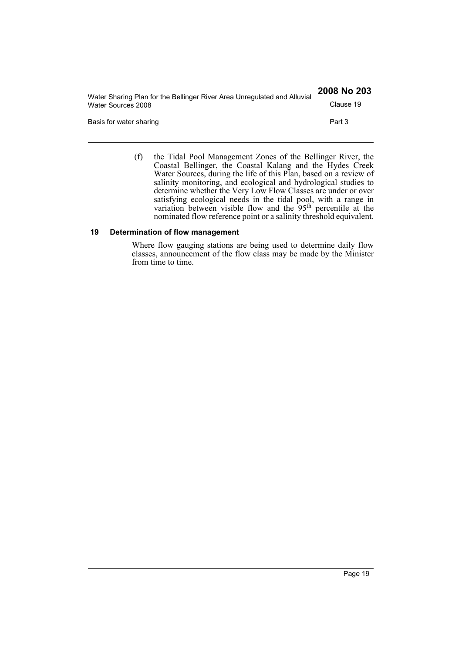| Water Sharing Plan for the Bellinger River Area Unregulated and Alluvial | 2008 No 203 |
|--------------------------------------------------------------------------|-------------|
| Water Sources 2008                                                       | Clause 19   |
| Basis for water sharing                                                  | Part 3      |

(f) the Tidal Pool Management Zones of the Bellinger River, the Coastal Bellinger, the Coastal Kalang and the Hydes Creek Water Sources, during the life of this Plan, based on a review of salinity monitoring, and ecological and hydrological studies to determine whether the Very Low Flow Classes are under or over satisfying ecological needs in the tidal pool, with a range in variation between visible flow and the  $95<sup>th</sup>$  percentile at the nominated flow reference point or a salinity threshold equivalent.

#### <span id="page-18-0"></span>**19 Determination of flow management**

Where flow gauging stations are being used to determine daily flow classes, announcement of the flow class may be made by the Minister from time to time.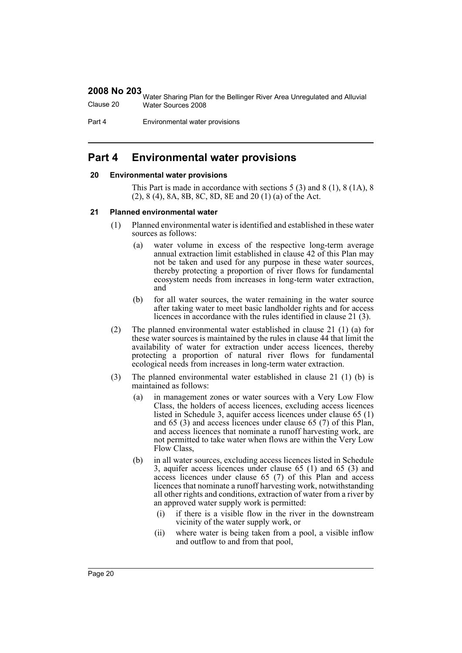Water Sharing Plan for the Bellinger River Area Unregulated and Alluvial Clause 20 Water Sources 2008

Part 4 **Environmental water provisions** 

# <span id="page-19-0"></span>**Part 4 Environmental water provisions**

#### <span id="page-19-1"></span>**20 Environmental water provisions**

This Part is made in accordance with sections 5 (3) and 8 (1), 8 (1A), 8 (2), 8 (4), 8A, 8B, 8C, 8D, 8E and 20 (1) (a) of the Act.

#### <span id="page-19-2"></span>**21 Planned environmental water**

- (1) Planned environmental water is identified and established in these water sources as follows:
	- (a) water volume in excess of the respective long-term average annual extraction limit established in clause 42 of this Plan may not be taken and used for any purpose in these water sources, thereby protecting a proportion of river flows for fundamental ecosystem needs from increases in long-term water extraction, and
	- (b) for all water sources, the water remaining in the water source after taking water to meet basic landholder rights and for access licences in accordance with the rules identified in clause 21 (3).
- (2) The planned environmental water established in clause 21 (1) (a) for these water sources is maintained by the rules in clause 44 that limit the availability of water for extraction under access licences, thereby protecting a proportion of natural river flows for fundamental ecological needs from increases in long-term water extraction.
- (3) The planned environmental water established in clause 21 (1) (b) is maintained as follows:
	- (a) in management zones or water sources with a Very Low Flow Class, the holders of access licences, excluding access licences listed in Schedule 3, aquifer access licences under clause 65 (1) and 65 (3) and access licences under clause 65 (7) of this Plan, and access licences that nominate a runoff harvesting work, are not permitted to take water when flows are within the Very Low Flow Class,
	- (b) in all water sources, excluding access licences listed in Schedule 3, aquifer access licences under clause 65 (1) and 65 (3) and access licences under clause 65 (7) of this Plan and access licences that nominate a runoff harvesting work, notwithstanding all other rights and conditions, extraction of water from a river by an approved water supply work is permitted:
		- (i) if there is a visible flow in the river in the downstream vicinity of the water supply work, or
		- (ii) where water is being taken from a pool, a visible inflow and outflow to and from that pool,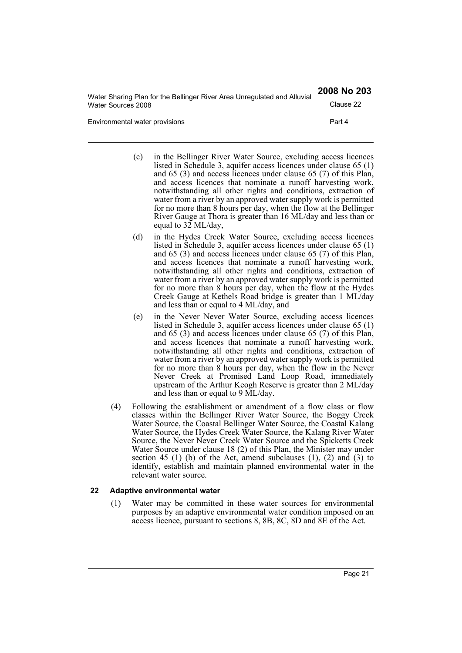| Water Sharing Plan for the Bellinger River Area Unregulated and Alluvial | 2008 No 203 |
|--------------------------------------------------------------------------|-------------|
| Water Sources 2008                                                       | Clause 22   |
| Environmental water provisions                                           | Part 4      |

- (c) in the Bellinger River Water Source, excluding access licences listed in Schedule 3, aquifer access licences under clause 65 (1) and 65 (3) and access licences under clause 65 (7) of this Plan, and access licences that nominate a runoff harvesting work, notwithstanding all other rights and conditions, extraction of water from a river by an approved water supply work is permitted for no more than 8 hours per day, when the flow at the Bellinger River Gauge at Thora is greater than 16 ML/day and less than or equal to 32 ML/day,
- (d) in the Hydes Creek Water Source, excluding access licences listed in Schedule 3, aquifer access licences under clause 65 (1) and 65 (3) and access licences under clause 65 (7) of this Plan, and access licences that nominate a runoff harvesting work, notwithstanding all other rights and conditions, extraction of water from a river by an approved water supply work is permitted for no more than 8 hours per day, when the flow at the Hydes Creek Gauge at Kethels Road bridge is greater than 1 ML/day and less than or equal to 4 ML/day, and
- (e) in the Never Never Water Source, excluding access licences listed in Schedule 3, aquifer access licences under clause 65 (1) and 65 (3) and access licences under clause 65 (7) of this Plan, and access licences that nominate a runoff harvesting work, notwithstanding all other rights and conditions, extraction of water from a river by an approved water supply work is permitted for no more than 8 hours per day, when the flow in the Never Never Creek at Promised Land Loop Road, immediately upstream of the Arthur Keogh Reserve is greater than 2 ML/day and less than or equal to 9 ML/day.
- (4) Following the establishment or amendment of a flow class or flow classes within the Bellinger River Water Source, the Boggy Creek Water Source, the Coastal Bellinger Water Source, the Coastal Kalang Water Source, the Hydes Creek Water Source, the Kalang River Water Source, the Never Never Creek Water Source and the Spicketts Creek Water Source under clause 18 (2) of this Plan, the Minister may under section 45 (1) (b) of the Act, amend subclauses  $(1)$ ,  $(2)$  and  $(3)$  to identify, establish and maintain planned environmental water in the relevant water source.

#### <span id="page-20-0"></span>**22 Adaptive environmental water**

(1) Water may be committed in these water sources for environmental purposes by an adaptive environmental water condition imposed on an access licence, pursuant to sections 8, 8B, 8C, 8D and 8E of the Act.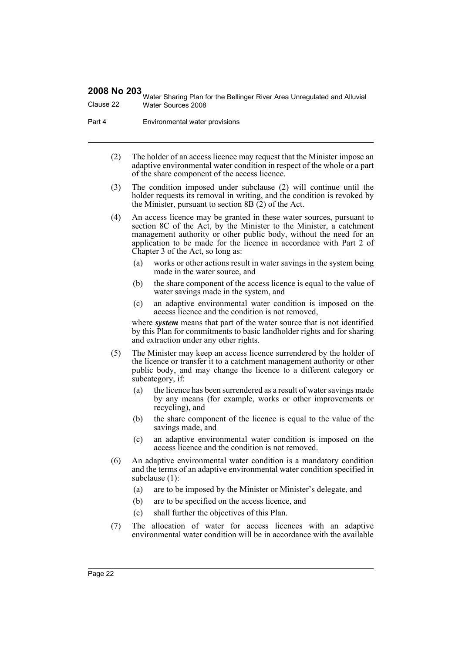Water Sharing Plan for the Bellinger River Area Unregulated and Alluvial Clause 22 Water Sources 2008

Part 4 **Environmental water provisions** 

- (2) The holder of an access licence may request that the Minister impose an adaptive environmental water condition in respect of the whole or a part of the share component of the access licence.
- (3) The condition imposed under subclause (2) will continue until the holder requests its removal in writing, and the condition is revoked by the Minister, pursuant to section 8B (2) of the Act.
- (4) An access licence may be granted in these water sources, pursuant to section 8C of the Act, by the Minister to the Minister, a catchment management authority or other public body, without the need for an application to be made for the licence in accordance with Part 2 of Chapter 3 of the Act, so long as:
	- (a) works or other actions result in water savings in the system being made in the water source, and
	- (b) the share component of the access licence is equal to the value of water savings made in the system, and
	- (c) an adaptive environmental water condition is imposed on the access licence and the condition is not removed,

where *system* means that part of the water source that is not identified by this Plan for commitments to basic landholder rights and for sharing and extraction under any other rights.

- (5) The Minister may keep an access licence surrendered by the holder of the licence or transfer it to a catchment management authority or other public body, and may change the licence to a different category or subcategory, if:
	- (a) the licence has been surrendered as a result of water savings made by any means (for example, works or other improvements or recycling), and
	- (b) the share component of the licence is equal to the value of the savings made, and
	- (c) an adaptive environmental water condition is imposed on the access licence and the condition is not removed.
- (6) An adaptive environmental water condition is a mandatory condition and the terms of an adaptive environmental water condition specified in subclause (1):
	- (a) are to be imposed by the Minister or Minister's delegate, and
	- (b) are to be specified on the access licence, and
	- (c) shall further the objectives of this Plan.
- (7) The allocation of water for access licences with an adaptive environmental water condition will be in accordance with the available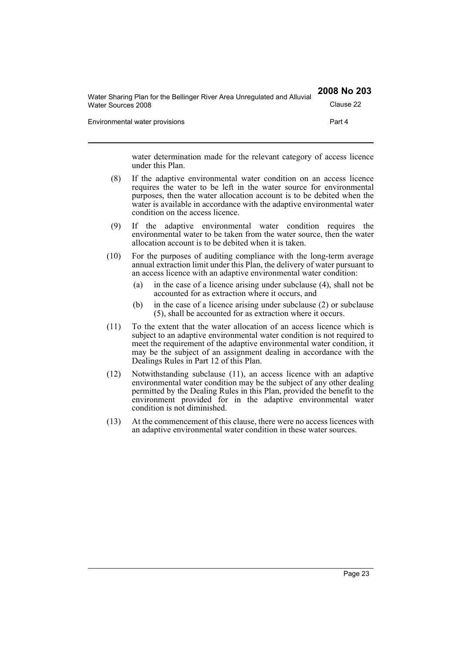| Water Sharing Plan for the Bellinger River Area Unregulated and Alluvial | 2008 No 203 |
|--------------------------------------------------------------------------|-------------|
| Water Sources 2008                                                       | Clause 22   |
| Environmental water provisions                                           | Part 4      |

water determination made for the relevant category of access licence under this Plan.

- (8) If the adaptive environmental water condition on an access licence requires the water to be left in the water source for environmental purposes, then the water allocation account is to be debited when the water is available in accordance with the adaptive environmental water condition on the access licence.
- (9) If the adaptive environmental water condition requires the environmental water to be taken from the water source, then the water allocation account is to be debited when it is taken.
- (10) For the purposes of auditing compliance with the long-term average annual extraction limit under this Plan, the delivery of water pursuant to an access licence with an adaptive environmental water condition:
	- (a) in the case of a licence arising under subclause (4), shall not be accounted for as extraction where it occurs, and
	- (b) in the case of a licence arising under subclause (2) or subclause (5), shall be accounted for as extraction where it occurs.
- (11) To the extent that the water allocation of an access licence which is subject to an adaptive environmental water condition is not required to meet the requirement of the adaptive environmental water condition, it may be the subject of an assignment dealing in accordance with the Dealings Rules in Part 12 of this Plan.
- (12) Notwithstanding subclause (11), an access licence with an adaptive environmental water condition may be the subject of any other dealing permitted by the Dealing Rules in this Plan, provided the benefit to the environment provided for in the adaptive environmental water condition is not diminished.
- (13) At the commencement of this clause, there were no access licences with an adaptive environmental water condition in these water sources.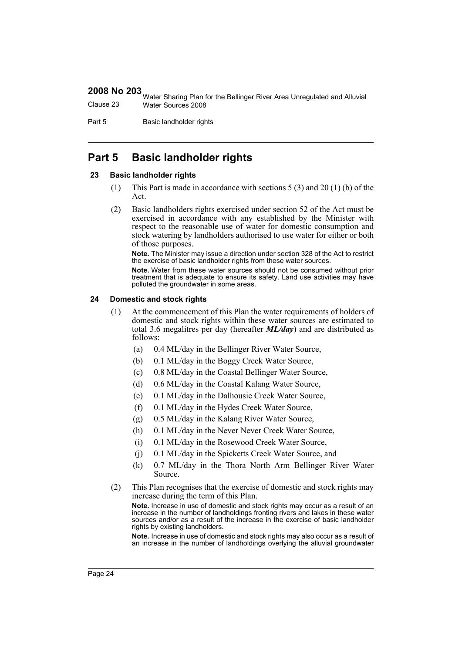|           | <b>THE STARK WARE STARK STARK STARK STARK STARK STARK STARK STARK STARK STARK STARK STARK STARK STARK STARK STARK STARK STARK STARK STARK STARK STARK STARK STARK STARK STARK STARK STARK STARK STARK STARK STARK STARK STARK ST</b> |
|-----------|--------------------------------------------------------------------------------------------------------------------------------------------------------------------------------------------------------------------------------------|
| Clause 23 | Water Sources 2008                                                                                                                                                                                                                   |

Part 5 Basic landholder rights

# <span id="page-23-0"></span>**Part 5 Basic landholder rights**

#### <span id="page-23-1"></span>**23 Basic landholder rights**

- (1) This Part is made in accordance with sections 5 (3) and 20 (1) (b) of the Act.
- (2) Basic landholders rights exercised under section 52 of the Act must be exercised in accordance with any established by the Minister with respect to the reasonable use of water for domestic consumption and stock watering by landholders authorised to use water for either or both of those purposes.

**Note.** The Minister may issue a direction under section 328 of the Act to restrict the exercise of basic landholder rights from these water sources.

**Note.** Water from these water sources should not be consumed without prior treatment that is adequate to ensure its safety. Land use activities may have polluted the groundwater in some areas.

#### <span id="page-23-2"></span>**24 Domestic and stock rights**

- (1) At the commencement of this Plan the water requirements of holders of domestic and stock rights within these water sources are estimated to total 3.6 megalitres per day (hereafter *ML/day*) and are distributed as follows:
	- (a) 0.4 ML/day in the Bellinger River Water Source,
	- (b) 0.1 ML/day in the Boggy Creek Water Source,
	- (c) 0.8 ML/day in the Coastal Bellinger Water Source,
	- (d) 0.6 ML/day in the Coastal Kalang Water Source,
	- (e) 0.1 ML/day in the Dalhousie Creek Water Source,
	- (f) 0.1 ML/day in the Hydes Creek Water Source,
	- (g) 0.5 ML/day in the Kalang River Water Source,
	- (h) 0.1 ML/day in the Never Never Creek Water Source,
	- (i) 0.1 ML/day in the Rosewood Creek Water Source,
	- (j) 0.1 ML/day in the Spicketts Creek Water Source, and
	- (k) 0.7 ML/day in the Thora–North Arm Bellinger River Water Source.
- (2) This Plan recognises that the exercise of domestic and stock rights may increase during the term of this Plan.

**Note.** Increase in use of domestic and stock rights may occur as a result of an increase in the number of landholdings fronting rivers and lakes in these water sources and/or as a result of the increase in the exercise of basic landholder rights by existing landholders.

**Note.** Increase in use of domestic and stock rights may also occur as a result of an increase in the number of landholdings overlying the alluvial groundwater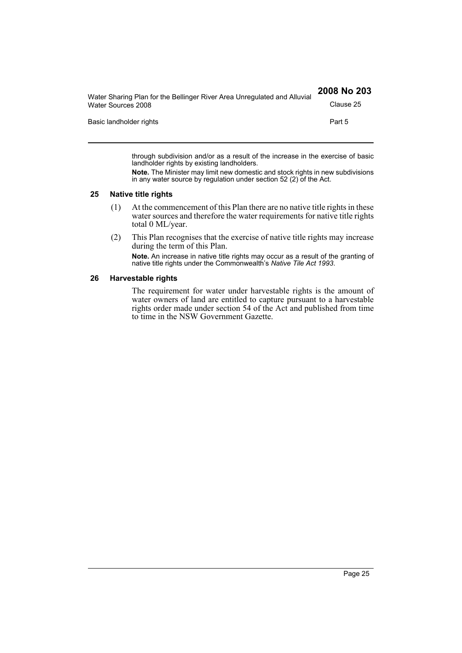| Water Sharing Plan for the Bellinger River Area Unregulated and Alluvial | 2008 No 203 |
|--------------------------------------------------------------------------|-------------|
| Water Sources 2008                                                       | Clause 25   |
| Basic landholder rights                                                  | Part 5      |
|                                                                          |             |

through subdivision and/or as a result of the increase in the exercise of basic landholder rights by existing landholders.

**Note.** The Minister may limit new domestic and stock rights in new subdivisions in any water source by regulation under section 52 (2) of the Act.

#### <span id="page-24-0"></span>**25 Native title rights**

- (1) At the commencement of this Plan there are no native title rights in these water sources and therefore the water requirements for native title rights total 0 ML/year.
- (2) This Plan recognises that the exercise of native title rights may increase during the term of this Plan.

**Note.** An increase in native title rights may occur as a result of the granting of native title rights under the Commonwealth's *Native Tile Act 1993*.

#### <span id="page-24-1"></span>**26 Harvestable rights**

The requirement for water under harvestable rights is the amount of water owners of land are entitled to capture pursuant to a harvestable rights order made under section 54 of the Act and published from time to time in the NSW Government Gazette.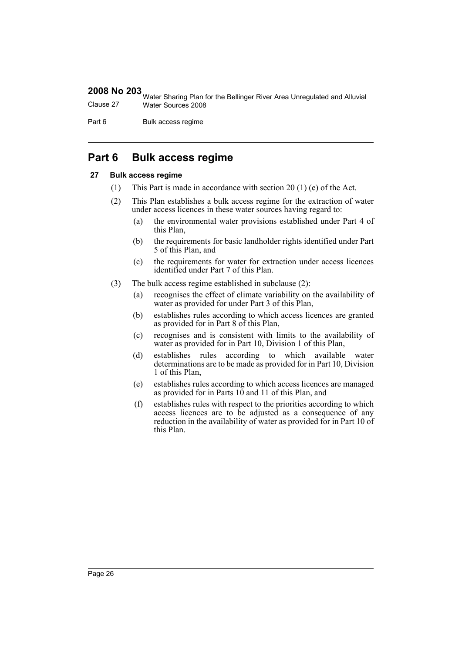Water Sharing Plan for the Bellinger River Area Unregulated and Alluvial Clause 27 Water Sources 2008

Part 6 Bulk access regime

# <span id="page-25-0"></span>**Part 6 Bulk access regime**

#### <span id="page-25-1"></span>**27 Bulk access regime**

- (1) This Part is made in accordance with section 20 (1) (e) of the Act.
- (2) This Plan establishes a bulk access regime for the extraction of water under access licences in these water sources having regard to:
	- (a) the environmental water provisions established under Part 4 of this Plan,
	- (b) the requirements for basic landholder rights identified under Part 5 of this Plan, and
	- (c) the requirements for water for extraction under access licences identified under Part 7 of this Plan.
- (3) The bulk access regime established in subclause (2):
	- (a) recognises the effect of climate variability on the availability of water as provided for under Part 3 of this Plan,
	- (b) establishes rules according to which access licences are granted as provided for in Part 8 of this Plan,
	- (c) recognises and is consistent with limits to the availability of water as provided for in Part 10, Division 1 of this Plan,
	- (d) establishes rules according to which available water determinations are to be made as provided for in Part 10, Division 1 of this Plan,
	- (e) establishes rules according to which access licences are managed as provided for in Parts 10 and 11 of this Plan, and
	- (f) establishes rules with respect to the priorities according to which access licences are to be adjusted as a consequence of any reduction in the availability of water as provided for in Part 10 of this Plan.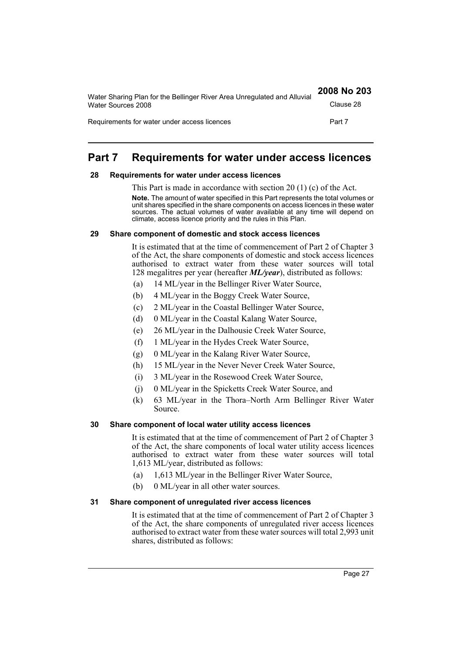| Water Sharing Plan for the Bellinger River Area Unregulated and Alluvial | 2008 No 203 |
|--------------------------------------------------------------------------|-------------|
| Water Sources 2008                                                       | Clause 28   |
| Requirements for water under access licences                             | Part 7      |

# <span id="page-26-0"></span>**Part 7 Requirements for water under access licences**

#### <span id="page-26-1"></span>**28 Requirements for water under access licences**

This Part is made in accordance with section 20 (1) (c) of the Act. **Note.** The amount of water specified in this Part represents the total volumes or unit shares specified in the share components on access licences in these water sources. The actual volumes of water available at any time will depend on climate, access licence priority and the rules in this Plan.

#### <span id="page-26-2"></span>**29 Share component of domestic and stock access licences**

It is estimated that at the time of commencement of Part 2 of Chapter 3 of the Act, the share components of domestic and stock access licences authorised to extract water from these water sources will total 128 megalitres per year (hereafter *ML/year*), distributed as follows:

- (a) 14 ML/year in the Bellinger River Water Source,
- (b) 4 ML/year in the Boggy Creek Water Source,
- (c) 2 ML/year in the Coastal Bellinger Water Source,
- (d) 0 ML/year in the Coastal Kalang Water Source,
- (e) 26 ML/year in the Dalhousie Creek Water Source,
- (f) 1 ML/year in the Hydes Creek Water Source,
- (g) 0 ML/year in the Kalang River Water Source,
- (h) 15 ML/year in the Never Never Creek Water Source,
- (i) 3 ML/year in the Rosewood Creek Water Source,
- (j) 0 ML/year in the Spicketts Creek Water Source, and
- (k) 63 ML/year in the Thora–North Arm Bellinger River Water Source.

#### <span id="page-26-3"></span>**30 Share component of local water utility access licences**

It is estimated that at the time of commencement of Part 2 of Chapter 3 of the Act, the share components of local water utility access licences authorised to extract water from these water sources will total 1,613 ML/year, distributed as follows:

- (a) 1,613 ML/year in the Bellinger River Water Source,
- (b) 0 ML/year in all other water sources.

#### <span id="page-26-4"></span>**31 Share component of unregulated river access licences**

It is estimated that at the time of commencement of Part 2 of Chapter 3 of the Act, the share components of unregulated river access licences authorised to extract water from these water sources will total 2,993 unit shares, distributed as follows: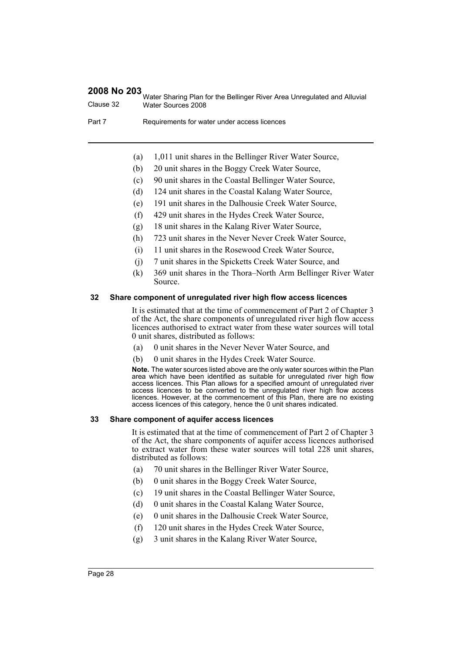Water Sharing Plan for the Bellinger River Area Unregulated and Alluvial Clause 32 Water Sources 2008

Part 7 Requirements for water under access licences

- (a) 1,011 unit shares in the Bellinger River Water Source,
- (b) 20 unit shares in the Boggy Creek Water Source,
- (c) 90 unit shares in the Coastal Bellinger Water Source,
- (d) 124 unit shares in the Coastal Kalang Water Source,
- (e) 191 unit shares in the Dalhousie Creek Water Source,
- (f) 429 unit shares in the Hydes Creek Water Source,
- (g) 18 unit shares in the Kalang River Water Source,
- (h) 723 unit shares in the Never Never Creek Water Source,
- (i) 11 unit shares in the Rosewood Creek Water Source,
- (j) 7 unit shares in the Spicketts Creek Water Source, and
- (k) 369 unit shares in the Thora–North Arm Bellinger River Water Source.

#### <span id="page-27-0"></span>**32 Share component of unregulated river high flow access licences**

It is estimated that at the time of commencement of Part 2 of Chapter 3 of the Act, the share components of unregulated river high flow access licences authorised to extract water from these water sources will total 0 unit shares, distributed as follows:

- (a) 0 unit shares in the Never Never Water Source, and
- (b) 0 unit shares in the Hydes Creek Water Source.

**Note.** The water sources listed above are the only water sources within the Plan area which have been identified as suitable for unregulated river high flow access licences. This Plan allows for a specified amount of unregulated river access licences to be converted to the unregulated river high flow access licences. However, at the commencement of this Plan, there are no existing access licences of this category, hence the 0 unit shares indicated.

#### <span id="page-27-1"></span>**33 Share component of aquifer access licences**

It is estimated that at the time of commencement of Part 2 of Chapter 3 of the Act, the share components of aquifer access licences authorised to extract water from these water sources will total 228 unit shares, distributed as follows:

- (a) 70 unit shares in the Bellinger River Water Source,
- (b) 0 unit shares in the Boggy Creek Water Source,
- (c) 19 unit shares in the Coastal Bellinger Water Source,
- (d) 0 unit shares in the Coastal Kalang Water Source,
- (e) 0 unit shares in the Dalhousie Creek Water Source,
- (f) 120 unit shares in the Hydes Creek Water Source,
- (g) 3 unit shares in the Kalang River Water Source,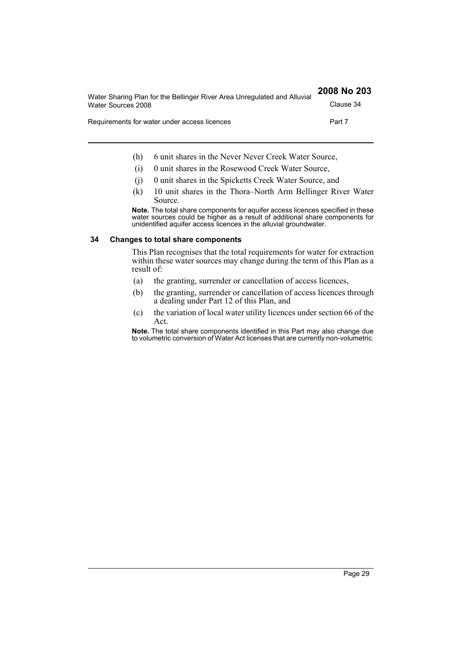| Water Sharing Plan for the Bellinger River Area Unregulated and Alluvial | 2008 No 203 |
|--------------------------------------------------------------------------|-------------|
| Water Sources 2008                                                       | Clause 34   |
| Requirements for water under access licences                             | Part 7      |

- (h) 6 unit shares in the Never Never Creek Water Source,
- (i) 0 unit shares in the Rosewood Creek Water Source,
- (j) 0 unit shares in the Spicketts Creek Water Source, and
- (k) 10 unit shares in the Thora–North Arm Bellinger River Water Source.

**Note.** The total share components for aquifer access licences specified in these water sources could be higher as a result of additional share components for unidentified aquifer access licences in the alluvial groundwater.

#### <span id="page-28-0"></span>**34 Changes to total share components**

This Plan recognises that the total requirements for water for extraction within these water sources may change during the term of this Plan as a result of:

- (a) the granting, surrender or cancellation of access licences,
- (b) the granting, surrender or cancellation of access licences through a dealing under Part 12 of this Plan, and
- (c) the variation of local water utility licences under section 66 of the Act.

**Note.** The total share components identified in this Part may also change due to volumetric conversion of Water Act licenses that are currently non-volumetric.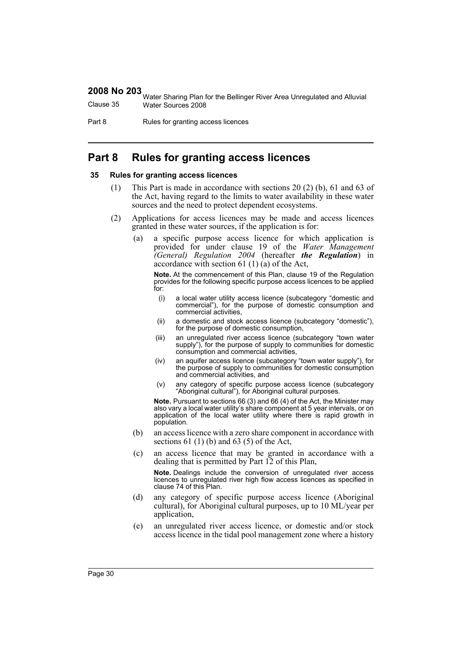|           | <b>EXECUTE:</b> Water Sharing Plan for the Bellinger River Area Unregulated and Alluvial |
|-----------|------------------------------------------------------------------------------------------|
| Clause 35 | Water Sources 2008                                                                       |

Part 8 Rules for granting access licences

# <span id="page-29-0"></span>**Part 8 Rules for granting access licences**

#### <span id="page-29-1"></span>**35 Rules for granting access licences**

- (1) This Part is made in accordance with sections 20 (2) (b), 61 and 63 of the Act, having regard to the limits to water availability in these water sources and the need to protect dependent ecosystems.
- (2) Applications for access licences may be made and access licences granted in these water sources, if the application is for:
	- (a) a specific purpose access licence for which application is provided for under clause 19 of the *Water Management (General) Regulation 2004* (hereafter *the Regulation*) in accordance with section 61 (1) (a) of the Act,

**Note.** At the commencement of this Plan, clause 19 of the Regulation provides for the following specific purpose access licences to be applied for:

- (i) a local water utility access licence (subcategory "domestic and commercial"), for the purpose of domestic consumption and commercial activities,
- (ii) a domestic and stock access licence (subcategory "domestic"), for the purpose of domestic consumption,
- (iii) an unregulated river access licence (subcategory "town water supply"), for the purpose of supply to communities for domestic consumption and commercial activities,
- (iv) an aquifer access licence (subcategory "town water supply"), for the purpose of supply to communities for domestic consumption and commercial activities, and
- (v) any category of specific purpose access licence (subcategory "Aboriginal cultural"), for Aboriginal cultural purposes.

**Note.** Pursuant to sections 66 (3) and 66 (4) of the Act, the Minister may also vary a local water utility's share component at 5 year intervals, or on application of the local water utility where there is rapid growth in population.

- (b) an access licence with a zero share component in accordance with sections  $61(1)(b)$  and  $63(5)$  of the Act,
- (c) an access licence that may be granted in accordance with a dealing that is permitted by Part 12 of this Plan,

**Note.** Dealings include the conversion of unregulated river access licences to unregulated river high flow access licences as specified in clause 74 of this Plan.

- (d) any category of specific purpose access licence (Aboriginal cultural), for Aboriginal cultural purposes, up to 10 ML/year per application,
- (e) an unregulated river access licence, or domestic and/or stock access licence in the tidal pool management zone where a history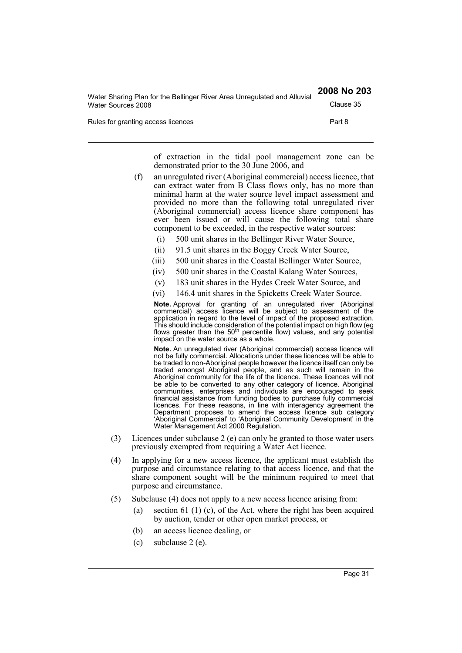| Water Sharing Plan for the Bellinger River Area Unregulated and Alluvial | 2008 No 203 |
|--------------------------------------------------------------------------|-------------|
| Water Sources 2008                                                       | Clause 35   |
| Rules for granting access licences                                       | Part 8      |

of extraction in the tidal pool management zone can be demonstrated prior to the 30 June 2006, and

- (f) an unregulated river (Aboriginal commercial) access licence, that can extract water from B Class flows only, has no more than minimal harm at the water source level impact assessment and provided no more than the following total unregulated river (Aboriginal commercial) access licence share component has ever been issued or will cause the following total share component to be exceeded, in the respective water sources:
	- (i) 500 unit shares in the Bellinger River Water Source,
	- (ii) 91.5 unit shares in the Boggy Creek Water Source,
	- (iii) 500 unit shares in the Coastal Bellinger Water Source,
	- (iv) 500 unit shares in the Coastal Kalang Water Sources,
	- (v) 183 unit shares in the Hydes Creek Water Source, and
	- (vi) 146.4 unit shares in the Spicketts Creek Water Source.

**Note.** Approval for granting of an unregulated river (Aboriginal commercial) access licence will be subject to assessment of the application in regard to the level of impact of the proposed extraction. This should include consideration of the potential impact on high flow (eg flows greater than the 50<sup>th</sup> percentile flow) values, and any potential impact on the water source as a whole.

**Note.** An unregulated river (Aboriginal commercial) access licence will not be fully commercial. Allocations under these licences will be able to be traded to non-Aboriginal people however the licence itself can only be traded amongst Aboriginal people, and as such will remain in the Aboriginal community for the life of the licence. These licences will not be able to be converted to any other category of licence. Aboriginal communities, enterprises and individuals are encouraged to seek financial assistance from funding bodies to purchase fully commercial licences. For these reasons, in line with interagency agreement the Department proposes to amend the access licence sub category 'Aboriginal Commercial' to 'Aboriginal Community Development' in the Water Management Act 2000 Regulation.

- (3) Licences under subclause 2 (e) can only be granted to those water users previously exempted from requiring a Water Act licence.
- (4) In applying for a new access licence, the applicant must establish the purpose and circumstance relating to that access licence, and that the share component sought will be the minimum required to meet that purpose and circumstance.
- (5) Subclause (4) does not apply to a new access licence arising from:
	- (a) section 61 (1) (c), of the Act, where the right has been acquired by auction, tender or other open market process, or
	- (b) an access licence dealing, or
	- (c) subclause 2 (e).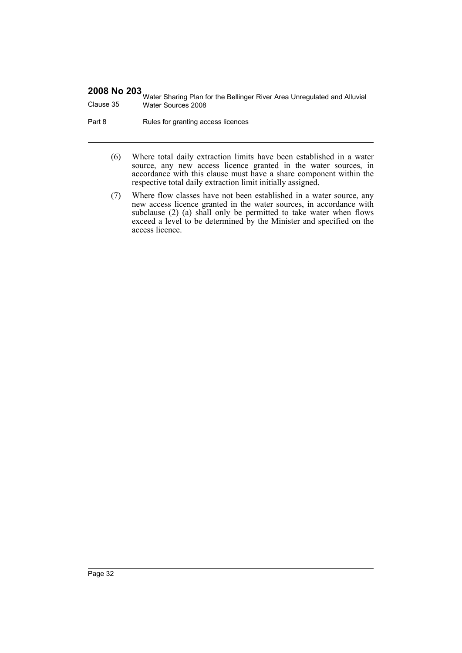Water Sharing Plan for the Bellinger River Area Unregulated and Alluvial Clause 35 Water Sources 2008

Part 8 Rules for granting access licences

- (6) Where total daily extraction limits have been established in a water source, any new access licence granted in the water sources, in accordance with this clause must have a share component within the respective total daily extraction limit initially assigned.
- (7) Where flow classes have not been established in a water source, any new access licence granted in the water sources, in accordance with subclause (2) (a) shall only be permitted to take water when flows exceed a level to be determined by the Minister and specified on the access licence.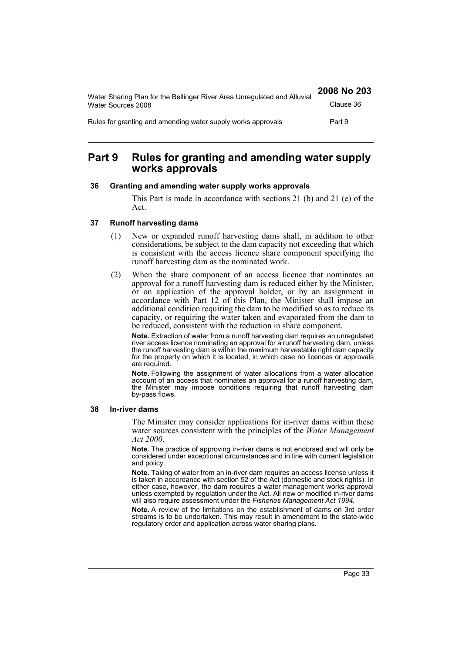| Water Sharing Plan for the Bellinger River Area Unregulated and Alluvial | 2008 No 203 |
|--------------------------------------------------------------------------|-------------|
| Water Sources 2008                                                       | Clause 36   |
| Rules for granting and amending water supply works approvals             | Part 9      |

# <span id="page-32-0"></span>**Part 9 Rules for granting and amending water supply works approvals**

#### <span id="page-32-1"></span>**36 Granting and amending water supply works approvals**

This Part is made in accordance with sections 21 (b) and 21 (e) of the Act.

#### <span id="page-32-2"></span>**37 Runoff harvesting dams**

- (1) New or expanded runoff harvesting dams shall, in addition to other considerations, be subject to the dam capacity not exceeding that which is consistent with the access licence share component specifying the runoff harvesting dam as the nominated work.
- (2) When the share component of an access licence that nominates an approval for a runoff harvesting dam is reduced either by the Minister, or on application of the approval holder, or by an assignment in accordance with Part 12 of this Plan, the Minister shall impose an additional condition requiring the dam to be modified so as to reduce its capacity, or requiring the water taken and evaporated from the dam to be reduced, consistent with the reduction in share component.

**Note.** Extraction of water from a runoff harvesting dam requires an unregulated river access licence nominating an approval for a runoff harvesting dam, unless the runoff harvesting dam is within the maximum harvestable right dam capacity for the property on which it is located, in which case no licences or approvals are required.

**Note.** Following the assignment of water allocations from a water allocation account of an access that nominates an approval for a runoff harvesting dam, the Minister may impose conditions requiring that runoff harvesting dam by-pass flows.

#### <span id="page-32-3"></span>**38 In-river dams**

The Minister may consider applications for in-river dams within these water sources consistent with the principles of the *Water Management Act 2000*.

**Note.** The practice of approving in-river dams is not endorsed and will only be considered under exceptional circumstances and in line with current legislation and policy.

**Note.** Taking of water from an in-river dam requires an access license unless it is taken in accordance with section 52 of the Act (domestic and stock rights). In either case, however, the dam requires a water management works approval unless exempted by regulation under the Act. All new or modified in-river dams will also require assessment under the *Fisheries Management Act 1994*.

**Note.** A review of the limitations on the establishment of dams on 3rd order streams is to be undertaken. This may result in amendment to the state-wide regulatory order and application across water sharing plans.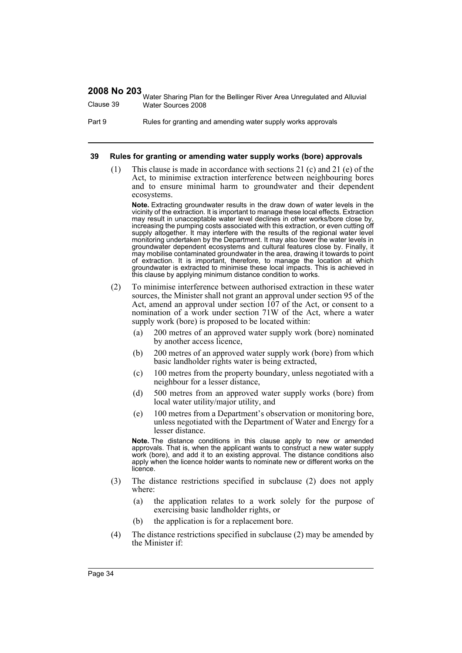Water Sharing Plan for the Bellinger River Area Unregulated and Alluvial Clause 39 Water Sources 2008

Part 9 Rules for granting and amending water supply works approvals

#### <span id="page-33-0"></span>**39 Rules for granting or amending water supply works (bore) approvals**

(1) This clause is made in accordance with sections 21 (c) and 21 (e) of the Act, to minimise extraction interference between neighbouring bores and to ensure minimal harm to groundwater and their dependent ecosystems.

**Note.** Extracting groundwater results in the draw down of water levels in the vicinity of the extraction. It is important to manage these local effects. Extraction may result in unacceptable water level declines in other works/bore close by, increasing the pumping costs associated with this extraction, or even cutting off supply altogether. It may interfere with the results of the regional water level monitoring undertaken by the Department. It may also lower the water levels in groundwater dependent ecosystems and cultural features close by. Finally, it may mobilise contaminated groundwater in the area, drawing it towards to point of extraction. It is important, therefore, to manage the location at which groundwater is extracted to minimise these local impacts. This is achieved in this clause by applying minimum distance condition to works.

- (2) To minimise interference between authorised extraction in these water sources, the Minister shall not grant an approval under section 95 of the Act, amend an approval under section 107 of the Act, or consent to a nomination of a work under section 71W of the Act, where a water supply work (bore) is proposed to be located within:
	- (a) 200 metres of an approved water supply work (bore) nominated by another access licence,
	- (b) 200 metres of an approved water supply work (bore) from which basic landholder rights water is being extracted,
	- (c) 100 metres from the property boundary, unless negotiated with a neighbour for a lesser distance,
	- (d) 500 metres from an approved water supply works (bore) from local water utility/major utility, and
	- (e) 100 metres from a Department's observation or monitoring bore, unless negotiated with the Department of Water and Energy for a lesser distance.

**Note.** The distance conditions in this clause apply to new or amended approvals. That is, when the applicant wants to construct a new water supply work (bore), and add it to an existing approval. The distance conditions also apply when the licence holder wants to nominate new or different works on the licence.

- (3) The distance restrictions specified in subclause (2) does not apply where:
	- (a) the application relates to a work solely for the purpose of exercising basic landholder rights, or
	- (b) the application is for a replacement bore.
- (4) The distance restrictions specified in subclause (2) may be amended by the Minister if: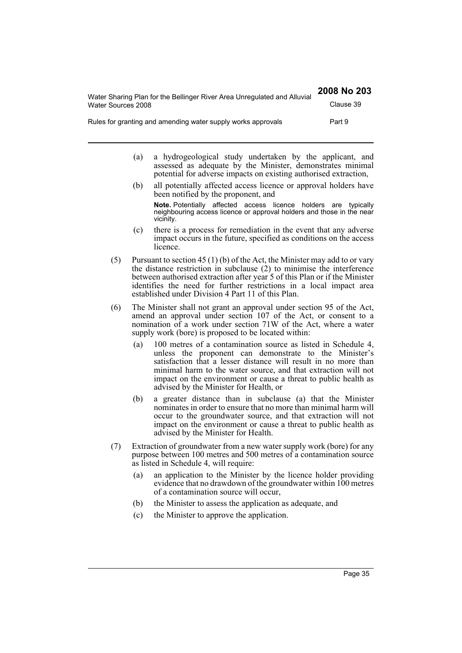| Water Sharing Plan for the Bellinger River Area Unregulated and Alluvial | 2008 No 203 |
|--------------------------------------------------------------------------|-------------|
| Water Sources 2008                                                       | Clause 39   |
| Rules for granting and amending water supply works approvals             | Part 9      |

- (a) a hydrogeological study undertaken by the applicant, and assessed as adequate by the Minister, demonstrates minimal potential for adverse impacts on existing authorised extraction,
- (b) all potentially affected access licence or approval holders have been notified by the proponent, and **Note.** Potentially affected access licence holders are typically neighbouring access licence or approval holders and those in the near vicinity.
- (c) there is a process for remediation in the event that any adverse impact occurs in the future, specified as conditions on the access licence.
- (5) Pursuant to section 45 (1) (b) of the Act, the Minister may add to or vary the distance restriction in subclause (2) to minimise the interference between authorised extraction after year 5 of this Plan or if the Minister identifies the need for further restrictions in a local impact area established under Division 4 Part 11 of this Plan.
- (6) The Minister shall not grant an approval under section 95 of the Act, amend an approval under section 107 of the Act, or consent to a nomination of a work under section 71W of the Act, where a water supply work (bore) is proposed to be located within:
	- (a) 100 metres of a contamination source as listed in Schedule 4, unless the proponent can demonstrate to the Minister's satisfaction that a lesser distance will result in no more than minimal harm to the water source, and that extraction will not impact on the environment or cause a threat to public health as advised by the Minister for Health, or
	- (b) a greater distance than in subclause (a) that the Minister nominates in order to ensure that no more than minimal harm will occur to the groundwater source, and that extraction will not impact on the environment or cause a threat to public health as advised by the Minister for Health.
- (7) Extraction of groundwater from a new water supply work (bore) for any purpose between 100 metres and 500 metres of a contamination source as listed in Schedule 4, will require:
	- (a) an application to the Minister by the licence holder providing evidence that no drawdown of the groundwater within 100 metres of a contamination source will occur,
	- (b) the Minister to assess the application as adequate, and
	- (c) the Minister to approve the application.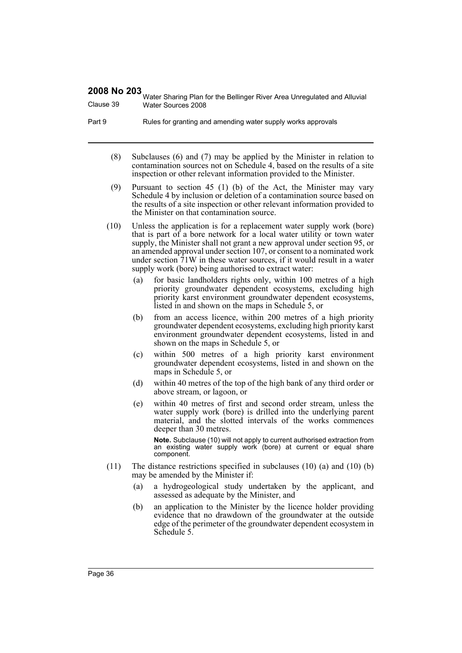Water Sharing Plan for the Bellinger River Area Unregulated and Alluvial Clause 39 Water Sources 2008

- Part 9 Rules for granting and amending water supply works approvals
	- (8) Subclauses (6) and (7) may be applied by the Minister in relation to contamination sources not on Schedule 4, based on the results of a site inspection or other relevant information provided to the Minister.
	- (9) Pursuant to section 45 (1) (b) of the Act, the Minister may vary Schedule 4 by inclusion or deletion of a contamination source based on the results of a site inspection or other relevant information provided to the Minister on that contamination source.
	- (10) Unless the application is for a replacement water supply work (bore) that is part of a bore network for a local water utility or town water supply, the Minister shall not grant a new approval under section 95, or an amended approval under section 107, or consent to a nominated work under section  $71W$  in these water sources, if it would result in a water supply work (bore) being authorised to extract water:
		- (a) for basic landholders rights only, within 100 metres of a high priority groundwater dependent ecosystems, excluding high priority karst environment groundwater dependent ecosystems, listed in and shown on the maps in Schedule 5, or
		- (b) from an access licence, within 200 metres of a high priority groundwater dependent ecosystems, excluding high priority karst environment groundwater dependent ecosystems, listed in and shown on the maps in Schedule 5, or
		- (c) within 500 metres of a high priority karst environment groundwater dependent ecosystems, listed in and shown on the maps in Schedule 5, or
		- (d) within 40 metres of the top of the high bank of any third order or above stream, or lagoon, or
		- (e) within 40 metres of first and second order stream, unless the water supply work (bore) is drilled into the underlying parent material, and the slotted intervals of the works commences deeper than 30 metres.

**Note.** Subclause (10) will not apply to current authorised extraction from an existing water supply work (bore) at current or equal share component.

- (11) The distance restrictions specified in subclauses (10) (a) and (10) (b) may be amended by the Minister if:
	- (a) a hydrogeological study undertaken by the applicant, and assessed as adequate by the Minister, and
	- (b) an application to the Minister by the licence holder providing evidence that no drawdown of the groundwater at the outside edge of the perimeter of the groundwater dependent ecosystem in Schedule 5.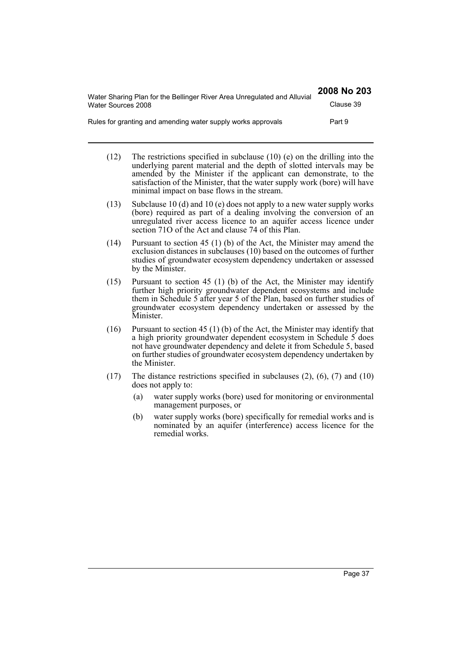| Water Sharing Plan for the Bellinger River Area Unregulated and Alluvial<br>Water Sources 2008 | 2008 No 203 |
|------------------------------------------------------------------------------------------------|-------------|
|                                                                                                | Clause 39   |
| Rules for granting and amending water supply works approvals                                   | Part 9      |

- (12) The restrictions specified in subclause (10) (e) on the drilling into the underlying parent material and the depth of slotted intervals may be amended by the Minister if the applicant can demonstrate, to the satisfaction of the Minister, that the water supply work (bore) will have minimal impact on base flows in the stream.
- (13) Subclause 10 (d) and 10 (e) does not apply to a new water supply works (bore) required as part of a dealing involving the conversion of an unregulated river access licence to an aquifer access licence under section 71O of the Act and clause 74 of this Plan.
- (14) Pursuant to section 45 (1) (b) of the Act, the Minister may amend the exclusion distances in subclauses (10) based on the outcomes of further studies of groundwater ecosystem dependency undertaken or assessed by the Minister.
- (15) Pursuant to section 45 (1) (b) of the Act, the Minister may identify further high priority groundwater dependent ecosystems and include them in Schedule 5 after year 5 of the Plan, based on further studies of groundwater ecosystem dependency undertaken or assessed by the Minister.
- (16) Pursuant to section 45 (1) (b) of the Act, the Minister may identify that a high priority groundwater dependent ecosystem in Schedule 5 does not have groundwater dependency and delete it from Schedule 5, based on further studies of groundwater ecosystem dependency undertaken by the Minister.
- (17) The distance restrictions specified in subclauses (2), (6), (7) and (10) does not apply to:
	- (a) water supply works (bore) used for monitoring or environmental management purposes, or
	- (b) water supply works (bore) specifically for remedial works and is nominated by an aquifer (interference) access licence for the remedial works.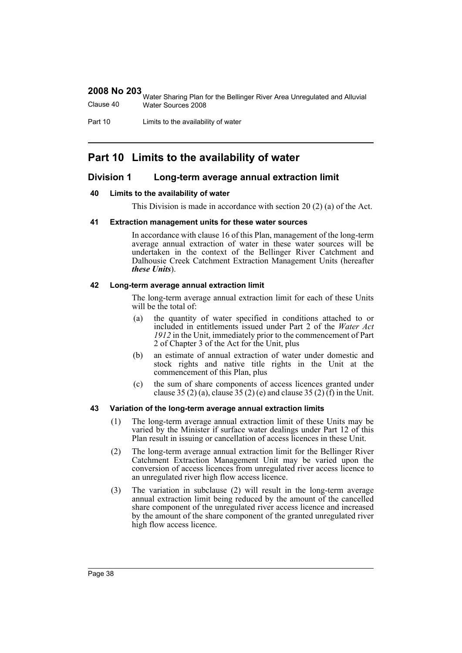|           | 1999 Water Sharing Plan for the Bellinger River Area Unregulated and Alluvial |
|-----------|-------------------------------------------------------------------------------|
| Clause 40 | Water Sources 2008                                                            |

Part 10 Limits to the availability of water

# **Part 10 Limits to the availability of water**

# **Division 1 Long-term average annual extraction limit**

#### **40 Limits to the availability of water**

This Division is made in accordance with section 20 (2) (a) of the Act.

#### **41 Extraction management units for these water sources**

In accordance with clause 16 of this Plan, management of the long-term average annual extraction of water in these water sources will be undertaken in the context of the Bellinger River Catchment and Dalhousie Creek Catchment Extraction Management Units (hereafter *these Units*).

#### **42 Long-term average annual extraction limit**

The long-term average annual extraction limit for each of these Units will be the total of:

- (a) the quantity of water specified in conditions attached to or included in entitlements issued under Part 2 of the *Water Act 1912* in the Unit, immediately prior to the commencement of Part 2 of Chapter 3 of the Act for the Unit, plus
- (b) an estimate of annual extraction of water under domestic and stock rights and native title rights in the Unit at the commencement of this Plan, plus
- (c) the sum of share components of access licences granted under clause 35 (2) (a), clause 35 (2) (e) and clause 35 (2) (f) in the Unit.

#### **43 Variation of the long-term average annual extraction limits**

- (1) The long-term average annual extraction limit of these Units may be varied by the Minister if surface water dealings under Part 12 of this Plan result in issuing or cancellation of access licences in these Unit.
- (2) The long-term average annual extraction limit for the Bellinger River Catchment Extraction Management Unit may be varied upon the conversion of access licences from unregulated river access licence to an unregulated river high flow access licence.
- (3) The variation in subclause (2) will result in the long-term average annual extraction limit being reduced by the amount of the cancelled share component of the unregulated river access licence and increased by the amount of the share component of the granted unregulated river high flow access licence.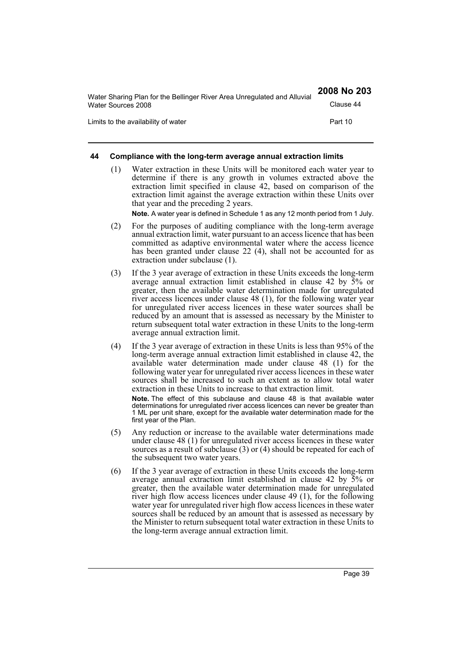| Water Sharing Plan for the Bellinger River Area Unregulated and Alluvial | 2008 No 203 |
|--------------------------------------------------------------------------|-------------|
| Water Sources 2008                                                       | Clause 44   |
| Limits to the availability of water                                      | Part 10     |

#### **44 Compliance with the long-term average annual extraction limits**

(1) Water extraction in these Units will be monitored each water year to determine if there is any growth in volumes extracted above the extraction limit specified in clause 42, based on comparison of the extraction limit against the average extraction within these Units over that year and the preceding 2 years.

**Note.** A water year is defined in Schedule 1 as any 12 month period from 1 July.

- (2) For the purposes of auditing compliance with the long-term average annual extraction limit, water pursuant to an access licence that has been committed as adaptive environmental water where the access licence has been granted under clause 22 (4), shall not be accounted for as extraction under subclause (1).
- (3) If the 3 year average of extraction in these Units exceeds the long-term average annual extraction limit established in clause 42 by 5% or greater, then the available water determination made for unregulated river access licences under clause 48 (1), for the following water year for unregulated river access licences in these water sources shall be reduced by an amount that is assessed as necessary by the Minister to return subsequent total water extraction in these Units to the long-term average annual extraction limit.
- (4) If the 3 year average of extraction in these Units is less than 95% of the long-term average annual extraction limit established in clause 42, the available water determination made under clause 48 (1) for the following water year for unregulated river access licences in these water sources shall be increased to such an extent as to allow total water extraction in these Units to increase to that extraction limit.

**Note.** The effect of this subclause and clause 48 is that available water determinations for unregulated river access licences can never be greater than 1 ML per unit share, except for the available water determination made for the first year of the Plan.

- (5) Any reduction or increase to the available water determinations made under clause 48 (1) for unregulated river access licences in these water sources as a result of subclause (3) or (4) should be repeated for each of the subsequent two water years.
- (6) If the 3 year average of extraction in these Units exceeds the long-term average annual extraction limit established in clause 42 by 5% or greater, then the available water determination made for unregulated river high flow access licences under clause 49 (1), for the following water year for unregulated river high flow access licences in these water sources shall be reduced by an amount that is assessed as necessary by the Minister to return subsequent total water extraction in these Units to the long-term average annual extraction limit.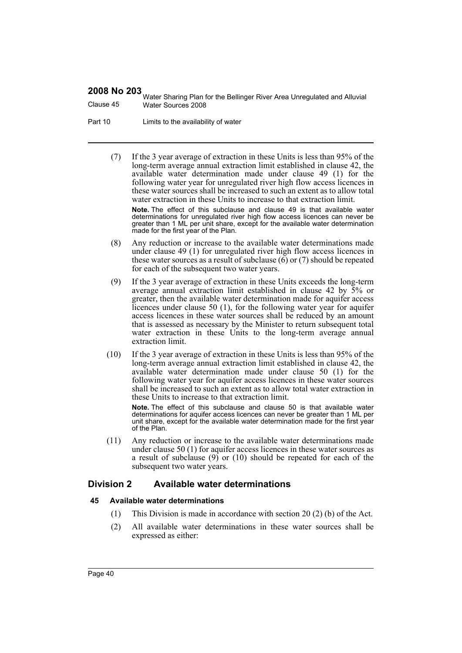Water Sharing Plan for the Bellinger River Area Unregulated and Alluvial Clause 45 Water Sources 2008

Part 10 Limits to the availability of water

(7) If the 3 year average of extraction in these Units is less than 95% of the long-term average annual extraction limit established in clause 42, the available water determination made under clause 49 (1) for the following water year for unregulated river high flow access licences in these water sources shall be increased to such an extent as to allow total water extraction in these Units to increase to that extraction limit. **Note.** The effect of this subclause and clause 49 is that available water

determinations for unregulated river high flow access licences can never be greater than 1 ML per unit share, except for the available water determination made for the first year of the Plan.

- (8) Any reduction or increase to the available water determinations made under clause 49 (1) for unregulated river high flow access licences in these water sources as a result of subclause  $(6)$  or  $(7)$  should be repeated for each of the subsequent two water years.
- (9) If the 3 year average of extraction in these Units exceeds the long-term average annual extraction limit established in clause 42 by 5% or greater, then the available water determination made for aquifer access licences under clause 50 (1), for the following water year for aquifer access licences in these water sources shall be reduced by an amount that is assessed as necessary by the Minister to return subsequent total water extraction in these Units to the long-term average annual extraction limit.
- (10) If the 3 year average of extraction in these Units is less than 95% of the long-term average annual extraction limit established in clause 42, the available water determination made under clause 50 (1) for the following water year for aquifer access licences in these water sources shall be increased to such an extent as to allow total water extraction in these Units to increase to that extraction limit.

**Note.** The effect of this subclause and clause 50 is that available water determinations for aquifer access licences can never be greater than 1 ML per unit share, except for the available water determination made for the first year of the Plan.

(11) Any reduction or increase to the available water determinations made under clause 50 (1) for aquifer access licences in these water sources as a result of subclause (9) or (10) should be repeated for each of the subsequent two water years.

# **Division 2 Available water determinations**

#### **45 Available water determinations**

- (1) This Division is made in accordance with section 20 (2) (b) of the Act.
- (2) All available water determinations in these water sources shall be expressed as either: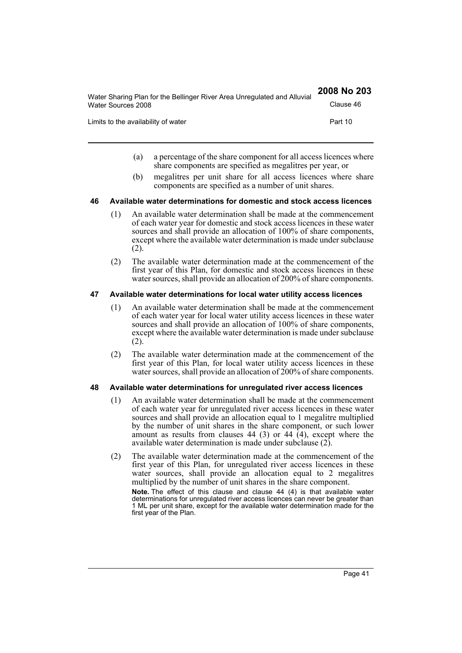| Water Sharing Plan for the Bellinger River Area Unregulated and Alluvial<br>Water Sources 2008 | 2008 No 203 |
|------------------------------------------------------------------------------------------------|-------------|
|                                                                                                | Clause 46   |
| Limits to the availability of water                                                            | Part 10     |

- (a) a percentage of the share component for all access licences where share components are specified as megalitres per year, or
- (b) megalitres per unit share for all access licences where share components are specified as a number of unit shares.

#### **46 Available water determinations for domestic and stock access licences**

- (1) An available water determination shall be made at the commencement of each water year for domestic and stock access licences in these water sources and shall provide an allocation of 100% of share components, except where the available water determination is made under subclause (2).
- (2) The available water determination made at the commencement of the first year of this Plan, for domestic and stock access licences in these water sources, shall provide an allocation of 200% of share components.

#### **47 Available water determinations for local water utility access licences**

- (1) An available water determination shall be made at the commencement of each water year for local water utility access licences in these water sources and shall provide an allocation of 100% of share components, except where the available water determination is made under subclause (2).
- (2) The available water determination made at the commencement of the first year of this Plan, for local water utility access licences in these water sources, shall provide an allocation of 200% of share components.

#### **48 Available water determinations for unregulated river access licences**

- (1) An available water determination shall be made at the commencement of each water year for unregulated river access licences in these water sources and shall provide an allocation equal to 1 megalitre multiplied by the number of unit shares in the share component, or such lower amount as results from clauses 44 (3) or 44  $(4)$ , except where the available water determination is made under subclause  $(2)$ .
- (2) The available water determination made at the commencement of the first year of this Plan, for unregulated river access licences in these water sources, shall provide an allocation equal to 2 megalitres multiplied by the number of unit shares in the share component. **Note.** The effect of this clause and clause 44 (4) is that available water determinations for unregulated river access licences can never be greater than 1 ML per unit share, except for the available water determination made for the first year of the Plan.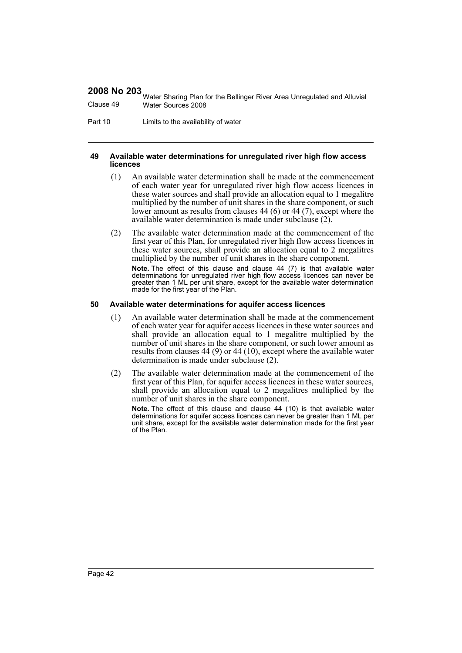Water Sharing Plan for the Bellinger River Area Unregulated and Alluvial Clause 49 Water Sources 2008

Part 10 Limits to the availability of water

#### **49 Available water determinations for unregulated river high flow access licences**

- (1) An available water determination shall be made at the commencement of each water year for unregulated river high flow access licences in these water sources and shall provide an allocation equal to 1 megalitre multiplied by the number of unit shares in the share component, or such lower amount as results from clauses 44 (6) or 44 (7), except where the available water determination is made under subclause (2).
- (2) The available water determination made at the commencement of the first year of this Plan, for unregulated river high flow access licences in these water sources, shall provide an allocation equal to 2 megalitres multiplied by the number of unit shares in the share component.

**Note.** The effect of this clause and clause 44 (7) is that available water determinations for unregulated river high flow access licences can never be greater than 1 ML per unit share, except for the available water determination made for the first year of the Plan.

#### **50 Available water determinations for aquifer access licences**

- (1) An available water determination shall be made at the commencement of each water year for aquifer access licences in these water sources and shall provide an allocation equal to 1 megalitre multiplied by the number of unit shares in the share component, or such lower amount as results from clauses 44 (9) or 44 (10), except where the available water determination is made under subclause (2).
- (2) The available water determination made at the commencement of the first year of this Plan, for aquifer access licences in these water sources, shall provide an allocation equal to 2 megalitres multiplied by the number of unit shares in the share component.

**Note.** The effect of this clause and clause 44 (10) is that available water determinations for aquifer access licences can never be greater than 1 ML per unit share, except for the available water determination made for the first year of the Plan.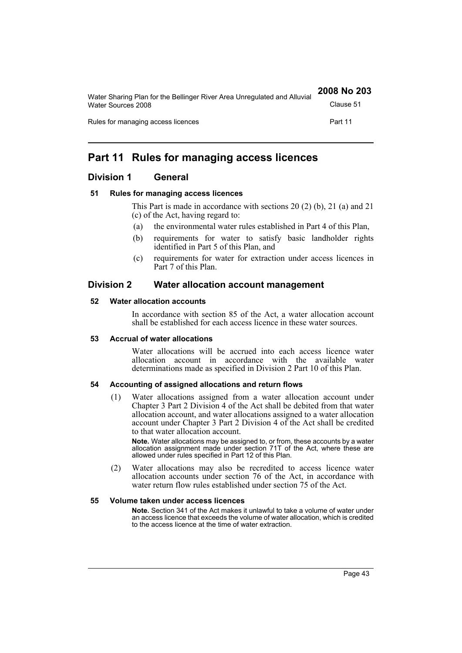| Water Sharing Plan for the Bellinger River Area Unregulated and Alluvial | 2008 No 203 |
|--------------------------------------------------------------------------|-------------|
| Water Sources 2008                                                       | Clause 51   |
| Rules for managing access licences                                       | Part 11     |

# **Part 11 Rules for managing access licences**

# **Division 1 General**

## **51 Rules for managing access licences**

This Part is made in accordance with sections 20 (2) (b), 21 (a) and 21 (c) of the Act, having regard to:

- (a) the environmental water rules established in Part 4 of this Plan,
- (b) requirements for water to satisfy basic landholder rights identified in Part 5 of this Plan, and
- (c) requirements for water for extraction under access licences in Part 7 of this Plan.

# **Division 2 Water allocation account management**

## **52 Water allocation accounts**

In accordance with section 85 of the Act, a water allocation account shall be established for each access licence in these water sources.

## **53 Accrual of water allocations**

Water allocations will be accrued into each access licence water allocation account in accordance with the available water determinations made as specified in Division 2 Part 10 of this Plan.

## **54 Accounting of assigned allocations and return flows**

(1) Water allocations assigned from a water allocation account under Chapter 3 Part 2 Division 4 of the Act shall be debited from that water allocation account, and water allocations assigned to a water allocation account under Chapter 3 Part 2 Division 4 of the Act shall be credited to that water allocation account.

**Note.** Water allocations may be assigned to, or from, these accounts by a water allocation assignment made under section 71T of the Act, where these are allowed under rules specified in Part 12 of this Plan.

(2) Water allocations may also be recredited to access licence water allocation accounts under section 76 of the Act, in accordance with water return flow rules established under section 75 of the Act.

## **55 Volume taken under access licences**

**Note.** Section 341 of the Act makes it unlawful to take a volume of water under an access licence that exceeds the volume of water allocation, which is credited to the access licence at the time of water extraction.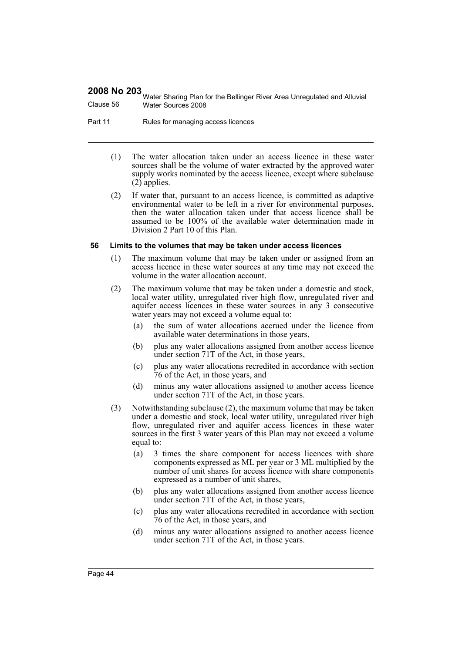Water Sharing Plan for the Bellinger River Area Unregulated and Alluvial Clause 56 Water Sources 2008

Part 11 Rules for managing access licences

- (1) The water allocation taken under an access licence in these water sources shall be the volume of water extracted by the approved water supply works nominated by the access licence, except where subclause  $(2)$  applies.
- (2) If water that, pursuant to an access licence, is committed as adaptive environmental water to be left in a river for environmental purposes, then the water allocation taken under that access licence shall be assumed to be 100% of the available water determination made in Division 2 Part 10 of this Plan.

#### **56 Limits to the volumes that may be taken under access licences**

- (1) The maximum volume that may be taken under or assigned from an access licence in these water sources at any time may not exceed the volume in the water allocation account.
- (2) The maximum volume that may be taken under a domestic and stock, local water utility, unregulated river high flow, unregulated river and aquifer access licences in these water sources in any 3 consecutive water years may not exceed a volume equal to:
	- (a) the sum of water allocations accrued under the licence from available water determinations in those years,
	- (b) plus any water allocations assigned from another access licence under section 71T of the Act, in those years,
	- (c) plus any water allocations recredited in accordance with section 76 of the Act, in those years, and
	- (d) minus any water allocations assigned to another access licence under section 71T of the Act, in those years.
- (3) Notwithstanding subclause (2), the maximum volume that may be taken under a domestic and stock, local water utility, unregulated river high flow, unregulated river and aquifer access licences in these water sources in the first 3 water years of this Plan may not exceed a volume equal to:
	- (a) 3 times the share component for access licences with share components expressed as ML per year or 3 ML multiplied by the number of unit shares for access licence with share components expressed as a number of unit shares,
	- (b) plus any water allocations assigned from another access licence under section 71T of the Act, in those years,
	- (c) plus any water allocations recredited in accordance with section 76 of the Act, in those years, and
	- (d) minus any water allocations assigned to another access licence under section 71T of the Act, in those years.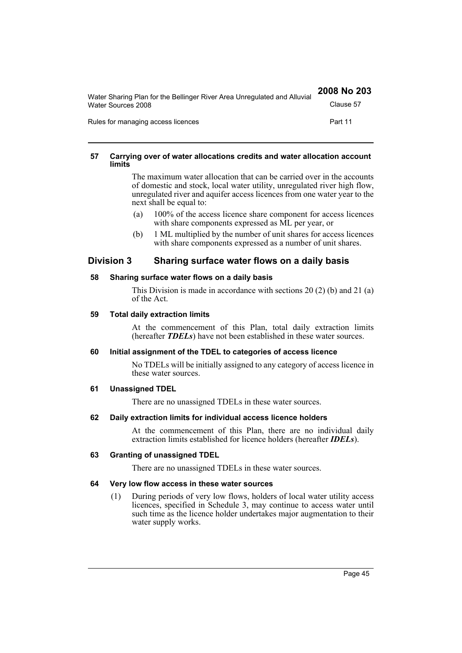| Water Sharing Plan for the Bellinger River Area Unregulated and Alluvial<br>Water Sources 2008 | 2008 No 203 |
|------------------------------------------------------------------------------------------------|-------------|
|                                                                                                | Clause 57   |
| Rules for managing access licences                                                             | Part 11     |

#### **57 Carrying over of water allocations credits and water allocation account limits**

The maximum water allocation that can be carried over in the accounts of domestic and stock, local water utility, unregulated river high flow, unregulated river and aquifer access licences from one water year to the next shall be equal to:

- (a) 100% of the access licence share component for access licences with share components expressed as ML per year, or
- (b) 1 ML multiplied by the number of unit shares for access licences with share components expressed as a number of unit shares.

# **Division 3 Sharing surface water flows on a daily basis**

## **58 Sharing surface water flows on a daily basis**

This Division is made in accordance with sections 20 (2) (b) and 21 (a) of the Act.

#### **59 Total daily extraction limits**

At the commencement of this Plan, total daily extraction limits (hereafter *TDELs*) have not been established in these water sources.

## **60 Initial assignment of the TDEL to categories of access licence**

No TDELs will be initially assigned to any category of access licence in these water sources.

## **61 Unassigned TDEL**

There are no unassigned TDELs in these water sources.

## **62 Daily extraction limits for individual access licence holders**

At the commencement of this Plan, there are no individual daily extraction limits established for licence holders (hereafter *IDELs*).

## **63 Granting of unassigned TDEL**

There are no unassigned TDELs in these water sources.

## **64 Very low flow access in these water sources**

(1) During periods of very low flows, holders of local water utility access licences, specified in Schedule 3, may continue to access water until such time as the licence holder undertakes major augmentation to their water supply works.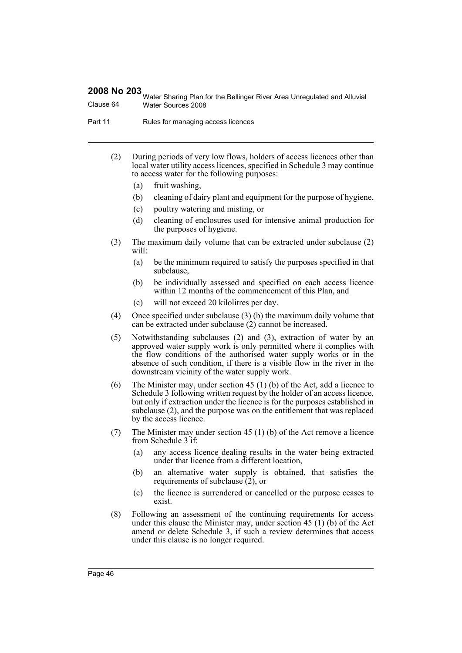Water Sharing Plan for the Bellinger River Area Unregulated and Alluvial Clause 64 Water Sources 2008

Part 11 Rules for managing access licences

- (2) During periods of very low flows, holders of access licences other than local water utility access licences, specified in Schedule 3 may continue to access water for the following purposes:
	- (a) fruit washing,
	- (b) cleaning of dairy plant and equipment for the purpose of hygiene,
	- (c) poultry watering and misting, or
	- (d) cleaning of enclosures used for intensive animal production for the purposes of hygiene.
- (3) The maximum daily volume that can be extracted under subclause (2) will:
	- (a) be the minimum required to satisfy the purposes specified in that subclause,
	- (b) be individually assessed and specified on each access licence within 12 months of the commencement of this Plan, and
	- (c) will not exceed 20 kilolitres per day.
- (4) Once specified under subclause (3) (b) the maximum daily volume that can be extracted under subclause (2) cannot be increased.
- (5) Notwithstanding subclauses (2) and (3), extraction of water by an approved water supply work is only permitted where it complies with the flow conditions of the authorised water supply works or in the absence of such condition, if there is a visible flow in the river in the downstream vicinity of the water supply work.
- (6) The Minister may, under section 45 (1) (b) of the Act, add a licence to Schedule 3 following written request by the holder of an access licence, but only if extraction under the licence is for the purposes established in subclause (2), and the purpose was on the entitlement that was replaced by the access licence.
- (7) The Minister may under section 45 (1) (b) of the Act remove a licence from Schedule 3 if:
	- (a) any access licence dealing results in the water being extracted under that licence from a different location,
	- (b) an alternative water supply is obtained, that satisfies the requirements of subclause (2), or
	- (c) the licence is surrendered or cancelled or the purpose ceases to exist.
- (8) Following an assessment of the continuing requirements for access under this clause the Minister may, under section 45 (1) (b) of the Act amend or delete Schedule 3, if such a review determines that access under this clause is no longer required.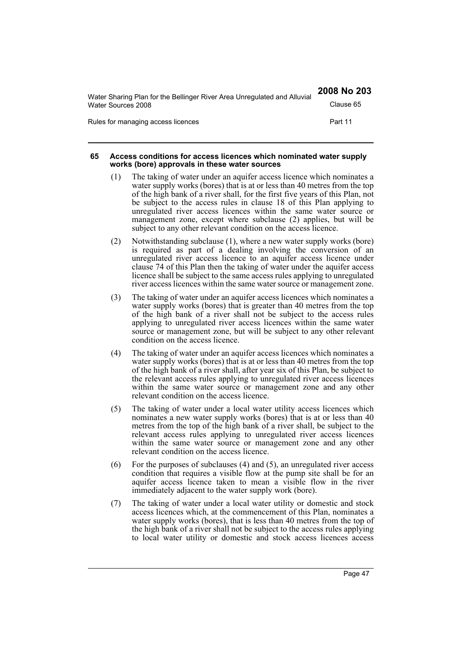| Water Sharing Plan for the Bellinger River Area Unregulated and Alluvial | 2008 No 203 |
|--------------------------------------------------------------------------|-------------|
| Water Sources 2008                                                       | Clause 65   |
| Rules for managing access licences                                       | Part 11     |

#### **65 Access conditions for access licences which nominated water supply works (bore) approvals in these water sources**

- (1) The taking of water under an aquifer access licence which nominates a water supply works (bores) that is at or less than 40 metres from the top of the high bank of a river shall, for the first five years of this Plan, not be subject to the access rules in clause 18 of this Plan applying to unregulated river access licences within the same water source or management zone, except where subclause (2) applies, but will be subject to any other relevant condition on the access licence.
- (2) Notwithstanding subclause (1), where a new water supply works (bore) is required as part of a dealing involving the conversion of an unregulated river access licence to an aquifer access licence under clause 74 of this Plan then the taking of water under the aquifer access licence shall be subject to the same access rules applying to unregulated river access licences within the same water source or management zone.
- (3) The taking of water under an aquifer access licences which nominates a water supply works (bores) that is greater than 40 metres from the top of the high bank of a river shall not be subject to the access rules applying to unregulated river access licences within the same water source or management zone, but will be subject to any other relevant condition on the access licence.
- (4) The taking of water under an aquifer access licences which nominates a water supply works (bores) that is at or less than 40 metres from the top of the high bank of a river shall, after year six of this Plan, be subject to the relevant access rules applying to unregulated river access licences within the same water source or management zone and any other relevant condition on the access licence.
- (5) The taking of water under a local water utility access licences which nominates a new water supply works (bores) that is at or less than 40 metres from the top of the high bank of a river shall, be subject to the relevant access rules applying to unregulated river access licences within the same water source or management zone and any other relevant condition on the access licence.
- (6) For the purposes of subclauses (4) and (5), an unregulated river access condition that requires a visible flow at the pump site shall be for an aquifer access licence taken to mean a visible flow in the river immediately adjacent to the water supply work (bore).
- (7) The taking of water under a local water utility or domestic and stock access licences which, at the commencement of this Plan, nominates a water supply works (bores), that is less than 40 metres from the top of the high bank of a river shall not be subject to the access rules applying to local water utility or domestic and stock access licences access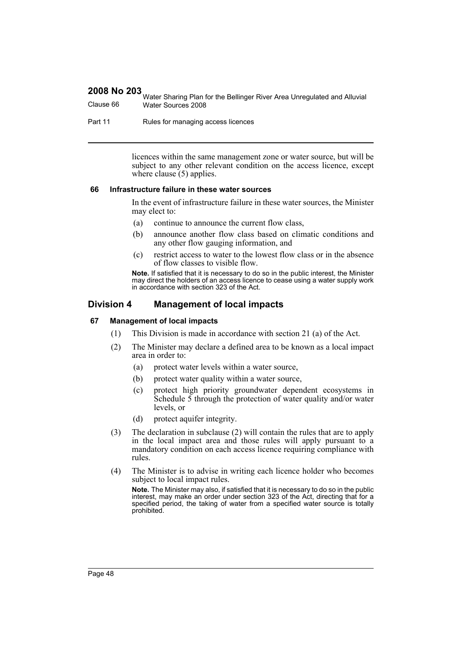|           | Water Sharing Plan for the Bellinger River Area Unregulated and Alluvial |
|-----------|--------------------------------------------------------------------------|
| Clause 66 | Water Sources 2008                                                       |

Part 11 Rules for managing access licences

licences within the same management zone or water source, but will be subject to any other relevant condition on the access licence, except where clause (5) applies.

#### **66 Infrastructure failure in these water sources**

In the event of infrastructure failure in these water sources, the Minister may elect to:

- (a) continue to announce the current flow class,
- (b) announce another flow class based on climatic conditions and any other flow gauging information, and
- (c) restrict access to water to the lowest flow class or in the absence of flow classes to visible flow.

**Note.** If satisfied that it is necessary to do so in the public interest, the Minister may direct the holders of an access licence to cease using a water supply work in accordance with section 323 of the Act.

# **Division 4 Management of local impacts**

#### **67 Management of local impacts**

- (1) This Division is made in accordance with section 21 (a) of the Act.
- (2) The Minister may declare a defined area to be known as a local impact area in order to:
	- (a) protect water levels within a water source,
	- (b) protect water quality within a water source,
	- (c) protect high priority groundwater dependent ecosystems in Schedule  $\overline{5}$  through the protection of water quality and/or water levels, or
	- (d) protect aquifer integrity.
- (3) The declaration in subclause (2) will contain the rules that are to apply in the local impact area and those rules will apply pursuant to a mandatory condition on each access licence requiring compliance with rules.
- (4) The Minister is to advise in writing each licence holder who becomes subject to local impact rules.

**Note.** The Minister may also, if satisfied that it is necessary to do so in the public interest, may make an order under section 323 of the Act, directing that for a specified period, the taking of water from a specified water source is totally prohibited.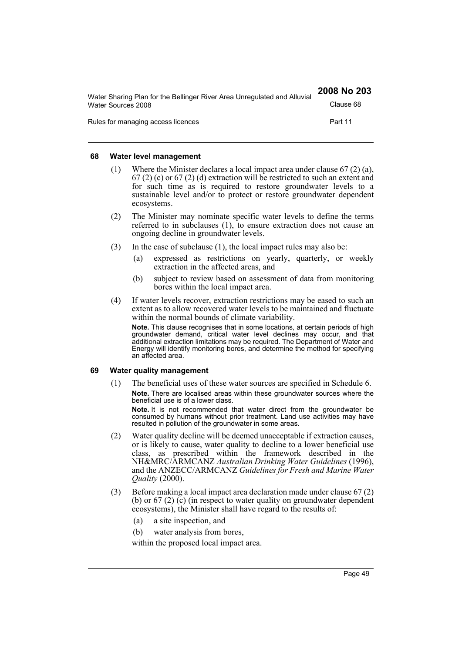| Water Sharing Plan for the Bellinger River Area Unregulated and Alluvial | 2008 No 203 |
|--------------------------------------------------------------------------|-------------|
| Water Sources 2008                                                       | Clause 68   |
| Rules for managing access licences                                       | Part 11     |

#### **68 Water level management**

- (1) Where the Minister declares a local impact area under clause  $67(2)(a)$ , 67 (2) (c) or 67 (2) (d) extraction will be restricted to such an extent and for such time as is required to restore groundwater levels to a sustainable level and/or to protect or restore groundwater dependent ecosystems.
- (2) The Minister may nominate specific water levels to define the terms referred to in subclauses (1), to ensure extraction does not cause an ongoing decline in groundwater levels.
- (3) In the case of subclause (1), the local impact rules may also be:
	- (a) expressed as restrictions on yearly, quarterly, or weekly extraction in the affected areas, and
	- (b) subject to review based on assessment of data from monitoring bores within the local impact area.
- (4) If water levels recover, extraction restrictions may be eased to such an extent as to allow recovered water levels to be maintained and fluctuate within the normal bounds of climate variability.

**Note.** This clause recognises that in some locations, at certain periods of high groundwater demand, critical water level declines may occur, and that additional extraction limitations may be required. The Department of Water and Energy will identify monitoring bores, and determine the method for specifying an affected area.

#### **69 Water quality management**

(1) The beneficial uses of these water sources are specified in Schedule 6. **Note.** There are localised areas within these groundwater sources where the beneficial use is of a lower class.

**Note.** It is not recommended that water direct from the groundwater be consumed by humans without prior treatment. Land use activities may have resulted in pollution of the groundwater in some areas.

- (2) Water quality decline will be deemed unacceptable if extraction causes, or is likely to cause, water quality to decline to a lower beneficial use class, as prescribed within the framework described in the NH&MRC/ARMCANZ *Australian Drinking Water Guidelines* (1996), and the ANZECC/ARMCANZ *Guidelines for Fresh and Marine Water Quality* (2000).
- (3) Before making a local impact area declaration made under clause 67 (2) (b) or 67 (2) (c) (in respect to water quality on groundwater dependent ecosystems), the Minister shall have regard to the results of:
	- (a) a site inspection, and
	- (b) water analysis from bores,

within the proposed local impact area.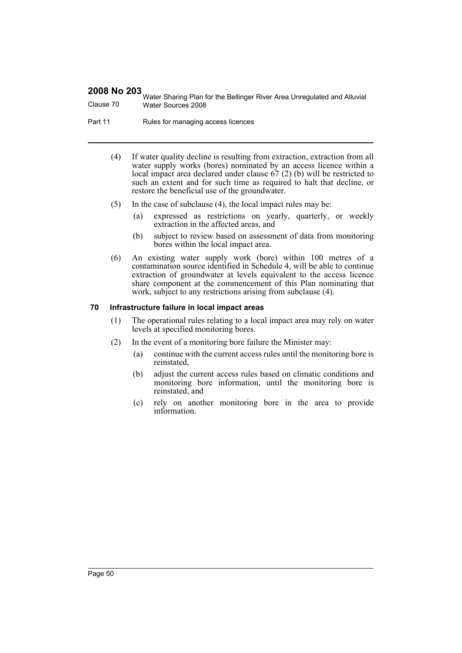Water Sharing Plan for the Bellinger River Area Unregulated and Alluvial Clause 70 Water Sources 2008

Part 11 Rules for managing access licences

- (4) If water quality decline is resulting from extraction, extraction from all water supply works (bores) nominated by an access licence within a local impact area declared under clause 67 (2) (b) will be restricted to such an extent and for such time as required to halt that decline, or restore the beneficial use of the groundwater.
- (5) In the case of subclause (4), the local impact rules may be:
	- (a) expressed as restrictions on yearly, quarterly, or weekly extraction in the affected areas, and
	- (b) subject to review based on assessment of data from monitoring bores within the local impact area.
- (6) An existing water supply work (bore) within 100 metres of a contamination source identified in Schedule 4, will be able to continue extraction of groundwater at levels equivalent to the access licence share component at the commencement of this Plan nominating that work, subject to any restrictions arising from subclause (4).

#### **70 Infrastructure failure in local impact areas**

- (1) The operational rules relating to a local impact area may rely on water levels at specified monitoring bores.
- (2) In the event of a monitoring bore failure the Minister may:
	- (a) continue with the current access rules until the monitoring bore is reinstated,
	- (b) adjust the current access rules based on climatic conditions and monitoring bore information, until the monitoring bore is reinstated, and
	- (c) rely on another monitoring bore in the area to provide information.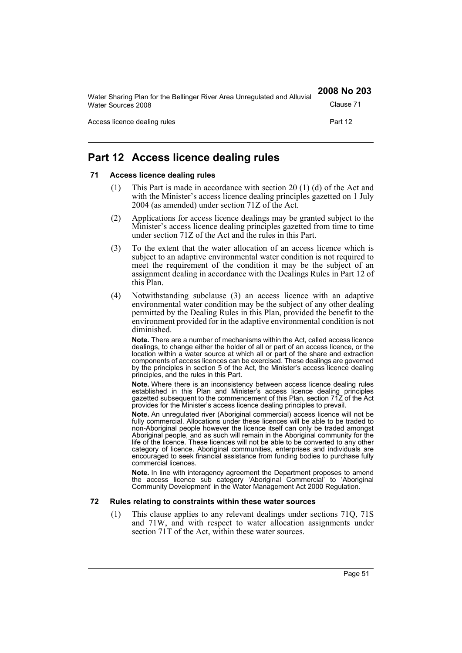| Water Sharing Plan for the Bellinger River Area Unregulated and Alluvial | 2008 No 203 |
|--------------------------------------------------------------------------|-------------|
| Water Sources 2008                                                       | Clause 71   |
| Access licence dealing rules                                             | Part 12     |

# **Part 12 Access licence dealing rules**

## **71 Access licence dealing rules**

- (1) This Part is made in accordance with section 20 (1) (d) of the Act and with the Minister's access licence dealing principles gazetted on 1 July 2004 (as amended) under section 71Z of the Act.
- (2) Applications for access licence dealings may be granted subject to the Minister's access licence dealing principles gazetted from time to time under section 71Z of the Act and the rules in this Part.
- (3) To the extent that the water allocation of an access licence which is subject to an adaptive environmental water condition is not required to meet the requirement of the condition it may be the subject of an assignment dealing in accordance with the Dealings Rules in Part 12 of this Plan.
- (4) Notwithstanding subclause (3) an access licence with an adaptive environmental water condition may be the subject of any other dealing permitted by the Dealing Rules in this Plan, provided the benefit to the environment provided for in the adaptive environmental condition is not diminished.

**Note.** There are a number of mechanisms within the Act, called access licence dealings, to change either the holder of all or part of an access licence, or the location within a water source at which all or part of the share and extraction components of access licences can be exercised. These dealings are governed by the principles in section 5 of the Act, the Minister's access licence dealing principles, and the rules in this Part.

**Note.** Where there is an inconsistency between access licence dealing rules established in this Plan and Minister's access licence dealing principles gazetted subsequent to the commencement of this Plan, section 71Z of the Act provides for the Minister's access licence dealing principles to prevail.

**Note.** An unregulated river (Aboriginal commercial) access licence will not be fully commercial. Allocations under these licences will be able to be traded to non-Aboriginal people however the licence itself can only be traded amongst Aboriginal people, and as such will remain in the Aboriginal community for the life of the licence. These licences will not be able to be converted to any other category of licence. Aboriginal communities, enterprises and individuals are encouraged to seek financial assistance from funding bodies to purchase fully commercial licences.

**Note.** In line with interagency agreement the Department proposes to amend the access licence sub category 'Aboriginal Commercial' to 'Aboriginal Community Development' in the Water Management Act 2000 Regulation.

#### **72 Rules relating to constraints within these water sources**

(1) This clause applies to any relevant dealings under sections 71Q, 71S and 71W, and with respect to water allocation assignments under section 71T of the Act, within these water sources.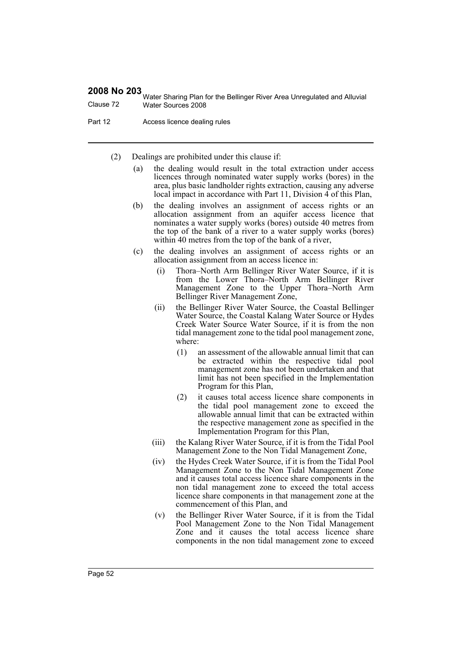Water Sharing Plan for the Bellinger River Area Unregulated and Alluvial Clause 72 Water Sources 2008

Part 12 **Access licence dealing rules** 

(2) Dealings are prohibited under this clause if:

- (a) the dealing would result in the total extraction under access licences through nominated water supply works (bores) in the area, plus basic landholder rights extraction, causing any adverse local impact in accordance with Part 11, Division 4 of this Plan,
- (b) the dealing involves an assignment of access rights or an allocation assignment from an aquifer access licence that nominates a water supply works (bores) outside 40 metres from the top of the bank of a river to a water supply works (bores) within 40 metres from the top of the bank of a river,
- (c) the dealing involves an assignment of access rights or an allocation assignment from an access licence in:
	- (i) Thora–North Arm Bellinger River Water Source, if it is from the Lower Thora–North Arm Bellinger River Management Zone to the Upper Thora–North Arm Bellinger River Management Zone,
	- (ii) the Bellinger River Water Source, the Coastal Bellinger Water Source, the Coastal Kalang Water Source or Hydes Creek Water Source Water Source, if it is from the non tidal management zone to the tidal pool management zone, where:
		- (1) an assessment of the allowable annual limit that can be extracted within the respective tidal pool management zone has not been undertaken and that limit has not been specified in the Implementation Program for this Plan,
		- (2) it causes total access licence share components in the tidal pool management zone to exceed the allowable annual limit that can be extracted within the respective management zone as specified in the Implementation Program for this Plan,
	- (iii) the Kalang River Water Source, if it is from the Tidal Pool Management Zone to the Non Tidal Management Zone,
	- (iv) the Hydes Creek Water Source, if it is from the Tidal Pool Management Zone to the Non Tidal Management Zone and it causes total access licence share components in the non tidal management zone to exceed the total access licence share components in that management zone at the commencement of this Plan, and
	- (v) the Bellinger River Water Source, if it is from the Tidal Pool Management Zone to the Non Tidal Management Zone and it causes the total access licence share components in the non tidal management zone to exceed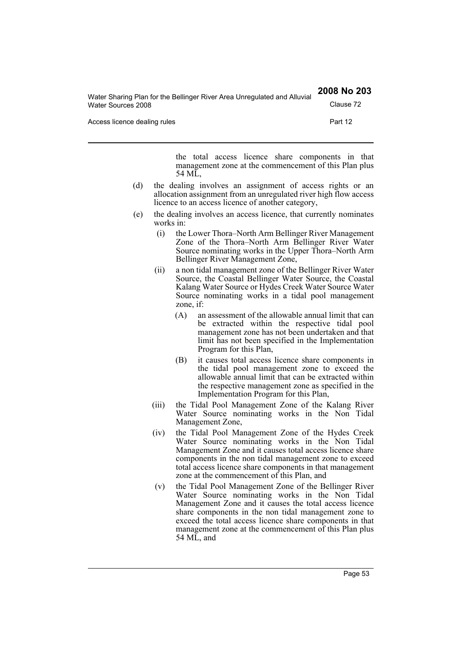| Water Sources 2008           | Clause 72 |
|------------------------------|-----------|
| Access licence dealing rules | Part 12   |

Water Sharing Plan for the Bellinger River Area Unregulated and Alluvial

the total access licence share components in that management zone at the commencement of this Plan plus 54 ML,

**2008 No 203**

- (d) the dealing involves an assignment of access rights or an allocation assignment from an unregulated river high flow access licence to an access licence of another category,
- (e) the dealing involves an access licence, that currently nominates works in:
	- (i) the Lower Thora–North Arm Bellinger River Management Zone of the Thora–North Arm Bellinger River Water Source nominating works in the Upper Thora–North Arm Bellinger River Management Zone,
	- (ii) a non tidal management zone of the Bellinger River Water Source, the Coastal Bellinger Water Source, the Coastal Kalang Water Source or Hydes Creek Water Source Water Source nominating works in a tidal pool management zone, if:
		- (A) an assessment of the allowable annual limit that can be extracted within the respective tidal pool management zone has not been undertaken and that limit has not been specified in the Implementation Program for this Plan,
		- (B) it causes total access licence share components in the tidal pool management zone to exceed the allowable annual limit that can be extracted within the respective management zone as specified in the Implementation Program for this Plan,
	- (iii) the Tidal Pool Management Zone of the Kalang River Water Source nominating works in the Non Tidal Management Zone,
	- (iv) the Tidal Pool Management Zone of the Hydes Creek Water Source nominating works in the Non Tidal Management Zone and it causes total access licence share components in the non tidal management zone to exceed total access licence share components in that management zone at the commencement of this Plan, and
	- (v) the Tidal Pool Management Zone of the Bellinger River Water Source nominating works in the Non Tidal Management Zone and it causes the total access licence share components in the non tidal management zone to exceed the total access licence share components in that management zone at the commencement of this Plan plus 54 ML, and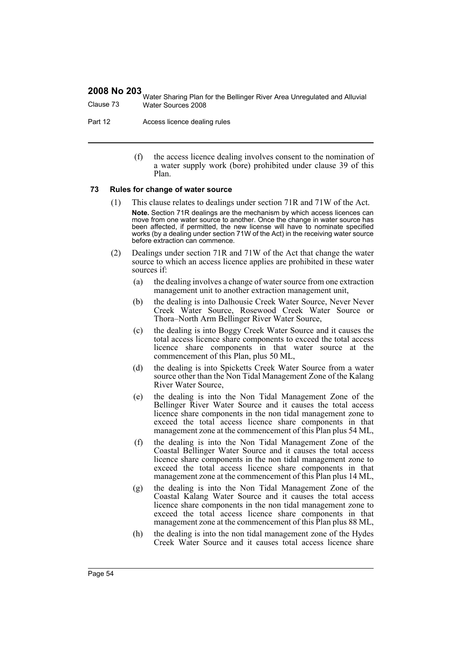Water Sharing Plan for the Bellinger River Area Unregulated and Alluvial Clause 73 Water Sources 2008

Part 12 **Access licence dealing rules** 

(f) the access licence dealing involves consent to the nomination of a water supply work (bore) prohibited under clause 39 of this Plan.

#### **73 Rules for change of water source**

- (1) This clause relates to dealings under section 71R and 71W of the Act. **Note.** Section 71R dealings are the mechanism by which access licences can move from one water source to another. Once the change in water source has been affected, if permitted, the new license will have to nominate specified works (by a dealing under section 71W of the Act) in the receiving water source before extraction can commence.
- (2) Dealings under section 71R and 71W of the Act that change the water source to which an access licence applies are prohibited in these water sources if:
	- (a) the dealing involves a change of water source from one extraction management unit to another extraction management unit,
	- (b) the dealing is into Dalhousie Creek Water Source, Never Never Creek Water Source, Rosewood Creek Water Source or Thora–North Arm Bellinger River Water Source,
	- (c) the dealing is into Boggy Creek Water Source and it causes the total access licence share components to exceed the total access licence share components in that water source at the commencement of this Plan, plus 50 ML,
	- (d) the dealing is into Spicketts Creek Water Source from a water source other than the Non Tidal Management Zone of the Kalang River Water Source,
	- (e) the dealing is into the Non Tidal Management Zone of the Bellinger River Water Source and it causes the total access licence share components in the non tidal management zone to exceed the total access licence share components in that management zone at the commencement of this Plan plus 54 ML,
	- (f) the dealing is into the Non Tidal Management Zone of the Coastal Bellinger Water Source and it causes the total access licence share components in the non tidal management zone to exceed the total access licence share components in that management zone at the commencement of this Plan plus 14 ML,
	- (g) the dealing is into the Non Tidal Management Zone of the Coastal Kalang Water Source and it causes the total access licence share components in the non tidal management zone to exceed the total access licence share components in that management zone at the commencement of this Plan plus 88 ML,
	- (h) the dealing is into the non tidal management zone of the Hydes Creek Water Source and it causes total access licence share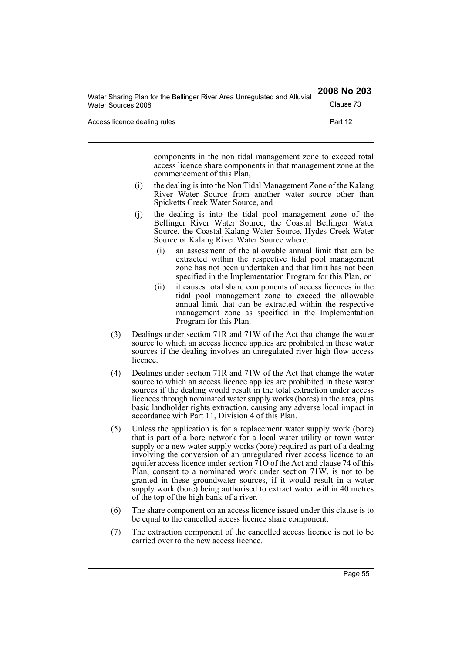| Water Sharing Plan for the Bellinger River Area Unregulated and Alluvial | 2008 No 203 |
|--------------------------------------------------------------------------|-------------|
| Water Sources 2008                                                       | Clause 73   |
| Access licence dealing rules                                             | Part 12     |

components in the non tidal management zone to exceed total access licence share components in that management zone at the commencement of this Plan,

- (i) the dealing is into the Non Tidal Management Zone of the Kalang River Water Source from another water source other than Spicketts Creek Water Source, and
- (j) the dealing is into the tidal pool management zone of the Bellinger River Water Source, the Coastal Bellinger Water Source, the Coastal Kalang Water Source, Hydes Creek Water Source or Kalang River Water Source where:
	- (i) an assessment of the allowable annual limit that can be extracted within the respective tidal pool management zone has not been undertaken and that limit has not been specified in the Implementation Program for this Plan, or
	- (ii) it causes total share components of access licences in the tidal pool management zone to exceed the allowable annual limit that can be extracted within the respective management zone as specified in the Implementation Program for this Plan.
- (3) Dealings under section 71R and 71W of the Act that change the water source to which an access licence applies are prohibited in these water sources if the dealing involves an unregulated river high flow access licence.
- (4) Dealings under section 71R and 71W of the Act that change the water source to which an access licence applies are prohibited in these water sources if the dealing would result in the total extraction under access licences through nominated water supply works (bores) in the area, plus basic landholder rights extraction, causing any adverse local impact in accordance with Part 11, Division 4 of this Plan.
- (5) Unless the application is for a replacement water supply work (bore) that is part of a bore network for a local water utility or town water supply or a new water supply works (bore) required as part of a dealing involving the conversion of an unregulated river access licence to an aquifer access licence under section 71O of the Act and clause 74 of this Plan, consent to a nominated work under section 71W, is not to be granted in these groundwater sources, if it would result in a water supply work (bore) being authorised to extract water within 40 metres of the top of the high bank of a river.
- (6) The share component on an access licence issued under this clause is to be equal to the cancelled access licence share component.
- (7) The extraction component of the cancelled access licence is not to be carried over to the new access licence.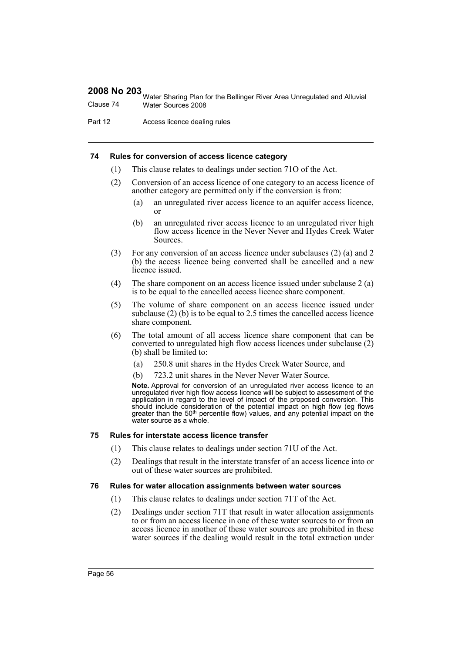Water Sharing Plan for the Bellinger River Area Unregulated and Alluvial Clause 74 Water Sources 2008

Part 12 **Access licence dealing rules** 

#### **74 Rules for conversion of access licence category**

- (1) This clause relates to dealings under section 71O of the Act.
- (2) Conversion of an access licence of one category to an access licence of another category are permitted only if the conversion is from:
	- (a) an unregulated river access licence to an aquifer access licence, or
	- (b) an unregulated river access licence to an unregulated river high flow access licence in the Never Never and Hydes Creek Water Sources.
- (3) For any conversion of an access licence under subclauses (2) (a) and 2 (b) the access licence being converted shall be cancelled and a new licence issued.
- (4) The share component on an access licence issued under subclause 2 (a) is to be equal to the cancelled access licence share component.
- (5) The volume of share component on an access licence issued under subclause (2) (b) is to be equal to 2.5 times the cancelled access licence share component.
- (6) The total amount of all access licence share component that can be converted to unregulated high flow access licences under subclause (2) (b) shall be limited to:
	- (a) 250.8 unit shares in the Hydes Creek Water Source, and
	- (b) 723.2 unit shares in the Never Never Water Source.

**Note.** Approval for conversion of an unregulated river access licence to an unregulated river high flow access licence will be subject to assessment of the application in regard to the level of impact of the proposed conversion. This should include consideration of the potential impact on high flow (eg flows<br>greater than the 50<sup>th</sup> percentile flow) values, and any potential impact on the water source as a whole.

#### **75 Rules for interstate access licence transfer**

- (1) This clause relates to dealings under section 71U of the Act.
- (2) Dealings that result in the interstate transfer of an access licence into or out of these water sources are prohibited.

#### **76 Rules for water allocation assignments between water sources**

- (1) This clause relates to dealings under section 71T of the Act.
- (2) Dealings under section 71T that result in water allocation assignments to or from an access licence in one of these water sources to or from an access licence in another of these water sources are prohibited in these water sources if the dealing would result in the total extraction under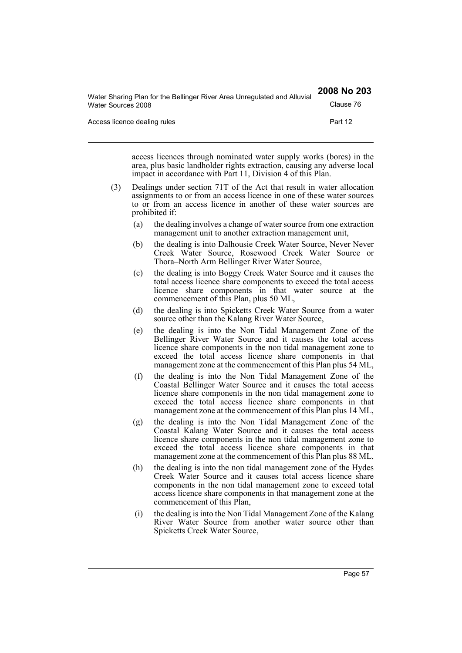| Water Sharing Plan for the Bellinger River Area Unregulated and Alluvial | 2008 No 203 |
|--------------------------------------------------------------------------|-------------|
| Water Sources 2008                                                       | Clause 76   |
| Access licence dealing rules                                             | Part 12     |

access licences through nominated water supply works (bores) in the area, plus basic landholder rights extraction, causing any adverse local impact in accordance with Part 11, Division 4 of this Plan.

- (3) Dealings under section 71T of the Act that result in water allocation assignments to or from an access licence in one of these water sources to or from an access licence in another of these water sources are prohibited if:
	- (a) the dealing involves a change of water source from one extraction management unit to another extraction management unit,
	- (b) the dealing is into Dalhousie Creek Water Source, Never Never Creek Water Source, Rosewood Creek Water Source or Thora–North Arm Bellinger River Water Source,
	- (c) the dealing is into Boggy Creek Water Source and it causes the total access licence share components to exceed the total access licence share components in that water source at the commencement of this Plan, plus 50 ML,
	- (d) the dealing is into Spicketts Creek Water Source from a water source other than the Kalang River Water Source,
	- (e) the dealing is into the Non Tidal Management Zone of the Bellinger River Water Source and it causes the total access licence share components in the non tidal management zone to exceed the total access licence share components in that management zone at the commencement of this Plan plus 54 ML,
	- (f) the dealing is into the Non Tidal Management Zone of the Coastal Bellinger Water Source and it causes the total access licence share components in the non tidal management zone to exceed the total access licence share components in that management zone at the commencement of this Plan plus 14 ML,
	- (g) the dealing is into the Non Tidal Management Zone of the Coastal Kalang Water Source and it causes the total access licence share components in the non tidal management zone to exceed the total access licence share components in that management zone at the commencement of this Plan plus 88 ML,
	- (h) the dealing is into the non tidal management zone of the Hydes Creek Water Source and it causes total access licence share components in the non tidal management zone to exceed total access licence share components in that management zone at the commencement of this Plan,
	- (i) the dealing is into the Non Tidal Management Zone of the Kalang River Water Source from another water source other than Spicketts Creek Water Source,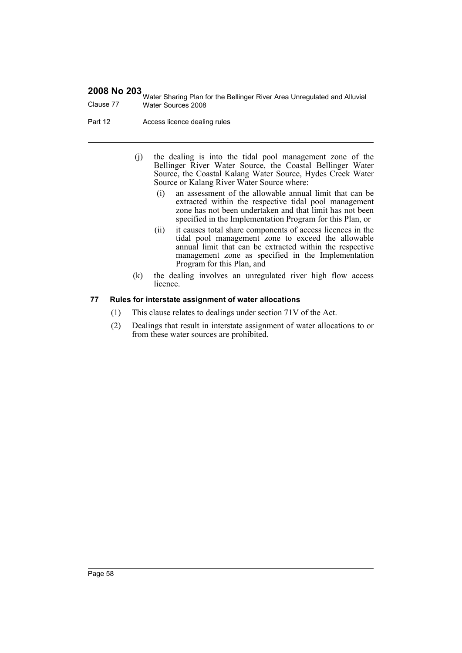Water Sharing Plan for the Bellinger River Area Unregulated and Alluvial Clause 77 Water Sources 2008

Part 12 **Access licence dealing rules** 

- (j) the dealing is into the tidal pool management zone of the Bellinger River Water Source, the Coastal Bellinger Water Source, the Coastal Kalang Water Source, Hydes Creek Water Source or Kalang River Water Source where:
	- (i) an assessment of the allowable annual limit that can be extracted within the respective tidal pool management zone has not been undertaken and that limit has not been specified in the Implementation Program for this Plan, or
	- (ii) it causes total share components of access licences in the tidal pool management zone to exceed the allowable annual limit that can be extracted within the respective management zone as specified in the Implementation Program for this Plan, and
- (k) the dealing involves an unregulated river high flow access licence.

## **77 Rules for interstate assignment of water allocations**

- (1) This clause relates to dealings under section 71V of the Act.
- (2) Dealings that result in interstate assignment of water allocations to or from these water sources are prohibited.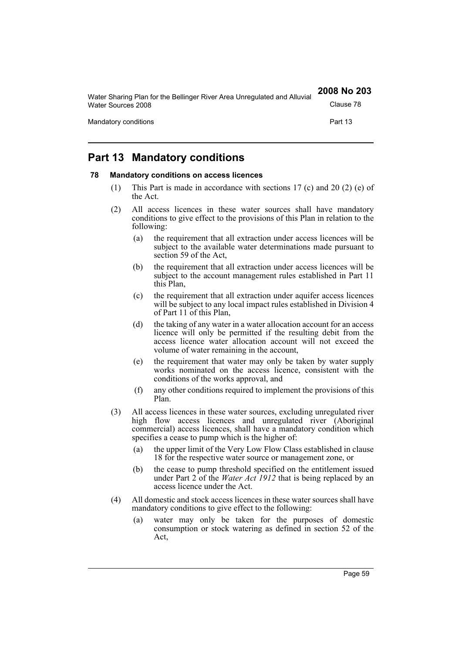| Water Sharing Plan for the Bellinger River Area Unregulated and Alluvial | 2008 No 203 |
|--------------------------------------------------------------------------|-------------|
| Water Sources 2008                                                       | Clause 78   |
| Mandatory conditions                                                     | Part 13     |

# **Part 13 Mandatory conditions**

#### **78 Mandatory conditions on access licences**

- (1) This Part is made in accordance with sections 17 (c) and 20 (2) (e) of the Act.
- (2) All access licences in these water sources shall have mandatory conditions to give effect to the provisions of this Plan in relation to the following:
	- (a) the requirement that all extraction under access licences will be subject to the available water determinations made pursuant to section 59 of the Act,
	- (b) the requirement that all extraction under access licences will be subject to the account management rules established in Part 11 this Plan,
	- (c) the requirement that all extraction under aquifer access licences will be subject to any local impact rules established in Division 4 of Part 11 of this Plan,
	- (d) the taking of any water in a water allocation account for an access licence will only be permitted if the resulting debit from the access licence water allocation account will not exceed the volume of water remaining in the account,
	- (e) the requirement that water may only be taken by water supply works nominated on the access licence, consistent with the conditions of the works approval, and
	- (f) any other conditions required to implement the provisions of this Plan.
- (3) All access licences in these water sources, excluding unregulated river high flow access licences and unregulated river (Aboriginal commercial) access licences, shall have a mandatory condition which specifies a cease to pump which is the higher of:
	- (a) the upper limit of the Very Low Flow Class established in clause 18 for the respective water source or management zone, or
	- (b) the cease to pump threshold specified on the entitlement issued under Part 2 of the *Water Act 1912* that is being replaced by an access licence under the Act.
- (4) All domestic and stock access licences in these water sources shall have mandatory conditions to give effect to the following:
	- (a) water may only be taken for the purposes of domestic consumption or stock watering as defined in section 52 of the Act,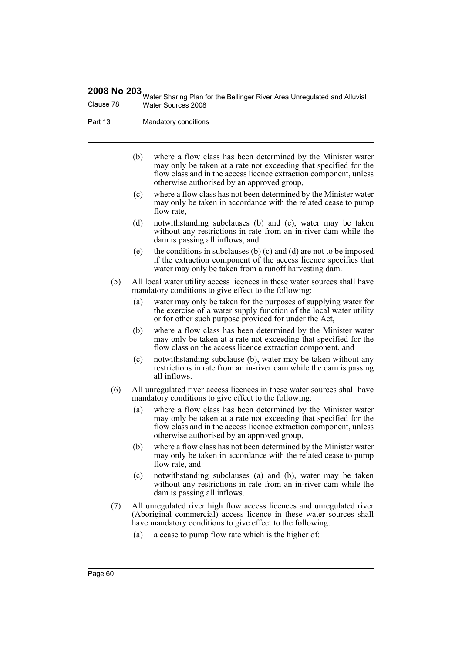Water Sharing Plan for the Bellinger River Area Unregulated and Alluvial Clause 78 Water Sources 2008

Part 13 Mandatory conditions

- (b) where a flow class has been determined by the Minister water may only be taken at a rate not exceeding that specified for the flow class and in the access licence extraction component, unless otherwise authorised by an approved group,
- (c) where a flow class has not been determined by the Minister water may only be taken in accordance with the related cease to pump flow rate.
- (d) notwithstanding subclauses (b) and (c), water may be taken without any restrictions in rate from an in-river dam while the dam is passing all inflows, and
- (e) the conditions in subclauses (b) (c) and (d) are not to be imposed if the extraction component of the access licence specifies that water may only be taken from a runoff harvesting dam.
- (5) All local water utility access licences in these water sources shall have mandatory conditions to give effect to the following:
	- (a) water may only be taken for the purposes of supplying water for the exercise of a water supply function of the local water utility or for other such purpose provided for under the Act,
	- (b) where a flow class has been determined by the Minister water may only be taken at a rate not exceeding that specified for the flow class on the access licence extraction component, and
	- (c) notwithstanding subclause (b), water may be taken without any restrictions in rate from an in-river dam while the dam is passing all inflows.
- (6) All unregulated river access licences in these water sources shall have mandatory conditions to give effect to the following:
	- (a) where a flow class has been determined by the Minister water may only be taken at a rate not exceeding that specified for the flow class and in the access licence extraction component, unless otherwise authorised by an approved group,
	- (b) where a flow class has not been determined by the Minister water may only be taken in accordance with the related cease to pump flow rate, and
	- (c) notwithstanding subclauses (a) and (b), water may be taken without any restrictions in rate from an in-river dam while the dam is passing all inflows.
- (7) All unregulated river high flow access licences and unregulated river (Aboriginal commercial) access licence in these water sources shall have mandatory conditions to give effect to the following:
	- (a) a cease to pump flow rate which is the higher of: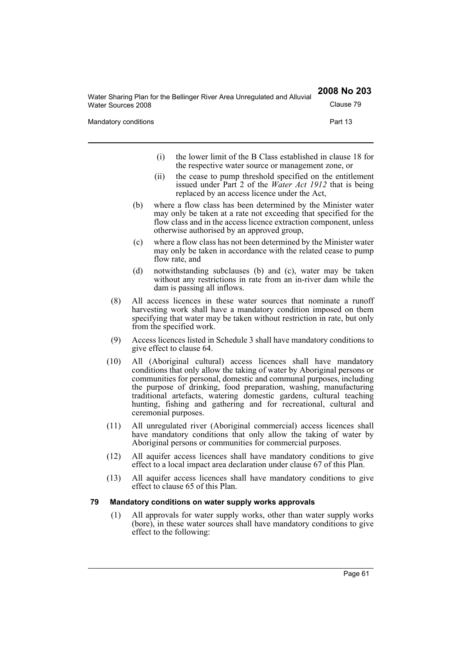| Water Sharing Plan for the Bellinger River Area Unregulated and Alluvial | 2008 No 203 |
|--------------------------------------------------------------------------|-------------|
| Water Sources 2008                                                       | Clause 79   |
| Mandatory conditions                                                     | Part 13     |
|                                                                          |             |

- (i) the lower limit of the B Class established in clause 18 for the respective water source or management zone, or
- (ii) the cease to pump threshold specified on the entitlement issued under Part 2 of the *Water Act 1912* that is being replaced by an access licence under the Act,
- (b) where a flow class has been determined by the Minister water may only be taken at a rate not exceeding that specified for the flow class and in the access licence extraction component, unless otherwise authorised by an approved group,
- (c) where a flow class has not been determined by the Minister water may only be taken in accordance with the related cease to pump flow rate, and
- (d) notwithstanding subclauses (b) and (c), water may be taken without any restrictions in rate from an in-river dam while the dam is passing all inflows.
- (8) All access licences in these water sources that nominate a runoff harvesting work shall have a mandatory condition imposed on them specifying that water may be taken without restriction in rate, but only from the specified work.
- (9) Access licences listed in Schedule 3 shall have mandatory conditions to give effect to clause 64.
- (10) All (Aboriginal cultural) access licences shall have mandatory conditions that only allow the taking of water by Aboriginal persons or communities for personal, domestic and communal purposes, including the purpose of drinking, food preparation, washing, manufacturing traditional artefacts, watering domestic gardens, cultural teaching hunting, fishing and gathering and for recreational, cultural and ceremonial purposes.
- (11) All unregulated river (Aboriginal commercial) access licences shall have mandatory conditions that only allow the taking of water by Aboriginal persons or communities for commercial purposes.
- (12) All aquifer access licences shall have mandatory conditions to give effect to a local impact area declaration under clause 67 of this Plan.
- (13) All aquifer access licences shall have mandatory conditions to give effect to clause 65 of this Plan.

# **79 Mandatory conditions on water supply works approvals**

(1) All approvals for water supply works, other than water supply works (bore), in these water sources shall have mandatory conditions to give effect to the following: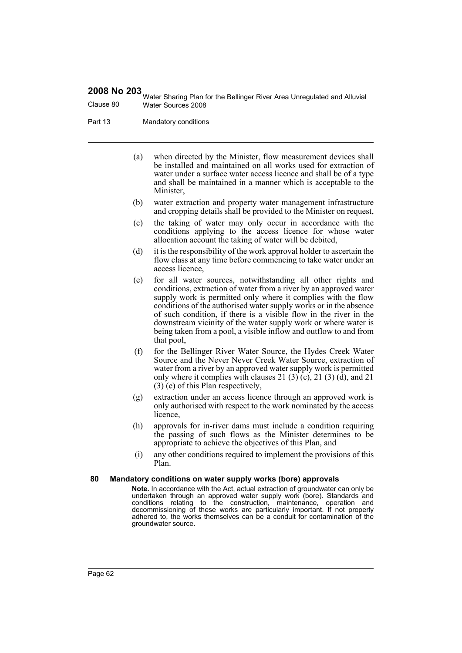Water Sharing Plan for the Bellinger River Area Unregulated and Alluvial Clause 80 Water Sources 2008

Part 13 Mandatory conditions

- (a) when directed by the Minister, flow measurement devices shall be installed and maintained on all works used for extraction of water under a surface water access licence and shall be of a type and shall be maintained in a manner which is acceptable to the Minister,
- (b) water extraction and property water management infrastructure and cropping details shall be provided to the Minister on request,
- (c) the taking of water may only occur in accordance with the conditions applying to the access licence for whose water allocation account the taking of water will be debited,
- (d) it is the responsibility of the work approval holder to ascertain the flow class at any time before commencing to take water under an access licence,
- (e) for all water sources, notwithstanding all other rights and conditions, extraction of water from a river by an approved water supply work is permitted only where it complies with the flow conditions of the authorised water supply works or in the absence of such condition, if there is a visible flow in the river in the downstream vicinity of the water supply work or where water is being taken from a pool, a visible inflow and outflow to and from that pool,
- (f) for the Bellinger River Water Source, the Hydes Creek Water Source and the Never Never Creek Water Source, extraction of water from a river by an approved water supply work is permitted only where it complies with clauses 21  $(3)$   $(c)$ , 21  $(3)$   $(d)$ , and 21 (3) (e) of this Plan respectively,
- (g) extraction under an access licence through an approved work is only authorised with respect to the work nominated by the access licence,
- (h) approvals for in-river dams must include a condition requiring the passing of such flows as the Minister determines to be appropriate to achieve the objectives of this Plan, and
- (i) any other conditions required to implement the provisions of this Plan.

#### **80 Mandatory conditions on water supply works (bore) approvals**

**Note.** In accordance with the Act, actual extraction of groundwater can only be undertaken through an approved water supply work (bore). Standards and conditions relating to the construction, maintenance, operation and decommissioning of these works are particularly important. If not properly adhered to, the works themselves can be a conduit for contamination of the groundwater source.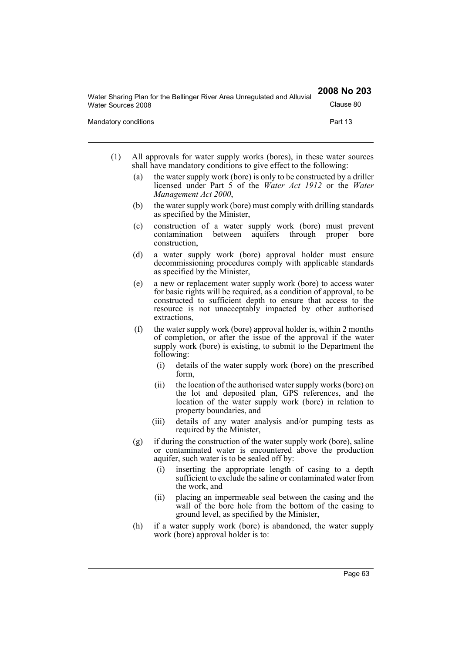| Water Sharing Plan for the Bellinger River Area Unregulated and Alluvial | 2008 No 203 |
|--------------------------------------------------------------------------|-------------|
| Water Sources 2008                                                       | Clause 80   |
| Mandatory conditions                                                     | Part 13     |

- (1) All approvals for water supply works (bores), in these water sources shall have mandatory conditions to give effect to the following:
	- (a) the water supply work (bore) is only to be constructed by a driller licensed under Part 5 of the *Water Act 1912* or the *Water Management Act 2000*,
	- (b) the water supply work (bore) must comply with drilling standards as specified by the Minister,
	- (c) construction of a water supply work (bore) must prevent contamination between aquifers through proper bore construction,
	- (d) a water supply work (bore) approval holder must ensure decommissioning procedures comply with applicable standards as specified by the Minister,
	- (e) a new or replacement water supply work (bore) to access water for basic rights will be required, as a condition of approval, to be constructed to sufficient depth to ensure that access to the resource is not unacceptably impacted by other authorised extractions,
	- (f) the water supply work (bore) approval holder is, within 2 months of completion, or after the issue of the approval if the water supply work (bore) is existing, to submit to the Department the following:
		- (i) details of the water supply work (bore) on the prescribed form,
		- (ii) the location of the authorised water supply works (bore) on the lot and deposited plan, GPS references, and the location of the water supply work (bore) in relation to property boundaries, and
		- (iii) details of any water analysis and/or pumping tests as required by the Minister,
	- (g) if during the construction of the water supply work (bore), saline or contaminated water is encountered above the production aquifer, such water is to be sealed off by:
		- (i) inserting the appropriate length of casing to a depth sufficient to exclude the saline or contaminated water from the work, and
		- (ii) placing an impermeable seal between the casing and the wall of the bore hole from the bottom of the casing to ground level, as specified by the Minister,
	- (h) if a water supply work (bore) is abandoned, the water supply work (bore) approval holder is to: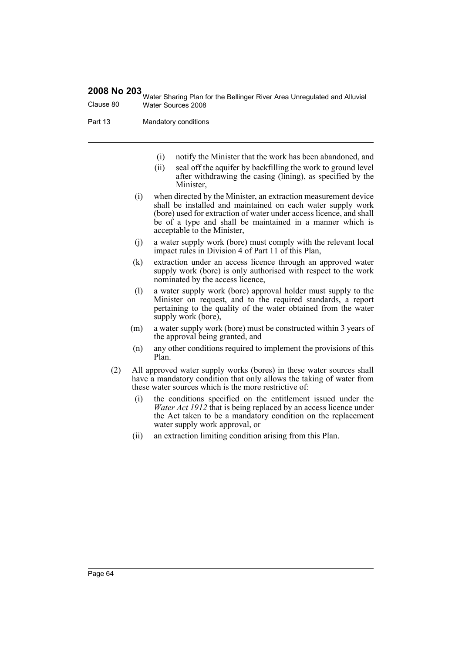Water Sharing Plan for the Bellinger River Area Unregulated and Alluvial Clause 80 Water Sources 2008

Part 13 Mandatory conditions

- (i) notify the Minister that the work has been abandoned, and
- (ii) seal off the aquifer by backfilling the work to ground level after withdrawing the casing (lining), as specified by the Minister,
- (i) when directed by the Minister, an extraction measurement device shall be installed and maintained on each water supply work (bore) used for extraction of water under access licence, and shall be of a type and shall be maintained in a manner which is acceptable to the Minister,
- (j) a water supply work (bore) must comply with the relevant local impact rules in Division 4 of Part 11 of this Plan,
- (k) extraction under an access licence through an approved water supply work (bore) is only authorised with respect to the work nominated by the access licence,
- (l) a water supply work (bore) approval holder must supply to the Minister on request, and to the required standards, a report pertaining to the quality of the water obtained from the water supply work (bore),
- (m) a water supply work (bore) must be constructed within 3 years of the approval being granted, and
- (n) any other conditions required to implement the provisions of this Plan.
- (2) All approved water supply works (bores) in these water sources shall have a mandatory condition that only allows the taking of water from these water sources which is the more restrictive of:
	- (i) the conditions specified on the entitlement issued under the *Water Act 1912* that is being replaced by an access licence under the Act taken to be a mandatory condition on the replacement water supply work approval, or
	- (ii) an extraction limiting condition arising from this Plan.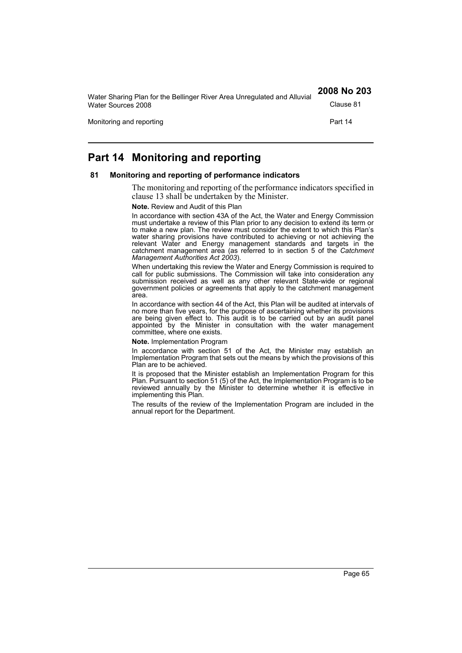| Water Sharing Plan for the Bellinger River Area Unregulated and Alluvial | 2008 No 203 |
|--------------------------------------------------------------------------|-------------|
| Water Sources 2008                                                       | Clause 81   |
| Monitoring and reporting                                                 | Part 14     |

# **Part 14 Monitoring and reporting**

#### **81 Monitoring and reporting of performance indicators**

The monitoring and reporting of the performance indicators specified in clause 13 shall be undertaken by the Minister.

#### **Note.** Review and Audit of this Plan

In accordance with section 43A of the Act, the Water and Energy Commission must undertake a review of this Plan prior to any decision to extend its term or to make a new plan. The review must consider the extent to which this Plan's water sharing provisions have contributed to achieving or not achieving the relevant Water and Energy management standards and targets in the catchment management area (as referred to in section 5 of the *Catchment Management Authorities Act 2003*).

When undertaking this review the Water and Energy Commission is required to call for public submissions. The Commission will take into consideration any submission received as well as any other relevant State-wide or regional government policies or agreements that apply to the catchment management area.

In accordance with section 44 of the Act, this Plan will be audited at intervals of no more than five years, for the purpose of ascertaining whether its provisions are being given effect to. This audit is to be carried out by an audit panel appointed by the Minister in consultation with the water management committee, where one exists.

**Note.** Implementation Program

In accordance with section 51 of the Act, the Minister may establish an Implementation Program that sets out the means by which the provisions of this Plan are to be achieved.

It is proposed that the Minister establish an Implementation Program for this Plan. Pursuant to section 51 (5) of the Act, the Implementation Program is to be reviewed annually by the Minister to determine whether it is effective in implementing this Plan.

The results of the review of the Implementation Program are included in the annual report for the Department.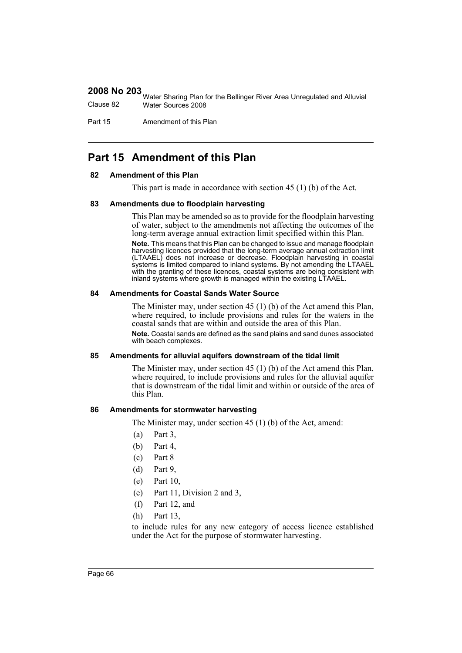Water Sharing Plan for the Bellinger River Area Unregulated and Alluvial Clause 82 Water Sources 2008

Part 15 Amendment of this Plan

# **Part 15 Amendment of this Plan**

## **82 Amendment of this Plan**

This part is made in accordance with section 45 (1) (b) of the Act.

#### **83 Amendments due to floodplain harvesting**

This Plan may be amended so as to provide for the floodplain harvesting of water, subject to the amendments not affecting the outcomes of the long-term average annual extraction limit specified within this Plan.

**Note.** This means that this Plan can be changed to issue and manage floodplain harvesting licences provided that the long-term average annual extraction limit (LTAAEL) does not increase or decrease. Floodplain harvesting in coastal systems is limited compared to inland systems. By not amending the LTAAEL with the granting of these licences, coastal systems are being consistent with inland systems where growth is managed within the existing LTAAEL.

#### **84 Amendments for Coastal Sands Water Source**

The Minister may, under section 45 (1) (b) of the Act amend this Plan, where required, to include provisions and rules for the waters in the coastal sands that are within and outside the area of this Plan.

**Note.** Coastal sands are defined as the sand plains and sand dunes associated with beach complexes.

#### **85 Amendments for alluvial aquifers downstream of the tidal limit**

The Minister may, under section 45 (1) (b) of the Act amend this Plan, where required, to include provisions and rules for the alluvial aquifer that is downstream of the tidal limit and within or outside of the area of this Plan.

#### **86 Amendments for stormwater harvesting**

The Minister may, under section 45 (1) (b) of the Act, amend:

- (a) Part 3,
- (b) Part 4,
- (c) Part 8
- (d) Part 9,
- (e) Part 10,
- (e) Part 11, Division 2 and 3,
- (f) Part 12, and
- (h) Part 13,

to include rules for any new category of access licence established under the Act for the purpose of stormwater harvesting.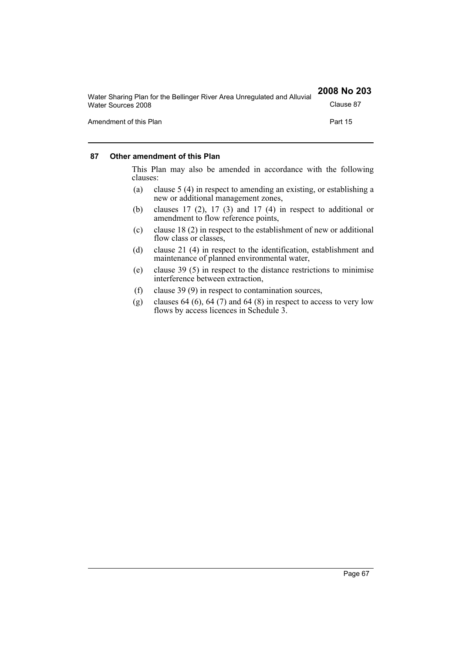| Water Sharing Plan for the Bellinger River Area Unregulated and Alluvial | 2008 No 203 |
|--------------------------------------------------------------------------|-------------|
| Water Sources 2008                                                       | Clause 87   |
| Amendment of this Plan                                                   | Part 15     |

## **87 Other amendment of this Plan**

This Plan may also be amended in accordance with the following clauses:

- (a) clause 5 (4) in respect to amending an existing, or establishing a new or additional management zones,
- (b) clauses 17 (2), 17 (3) and 17 (4) in respect to additional or amendment to flow reference points,
- (c) clause 18 (2) in respect to the establishment of new or additional flow class or classes,
- (d) clause 21 (4) in respect to the identification, establishment and maintenance of planned environmental water,
- (e) clause 39 (5) in respect to the distance restrictions to minimise interference between extraction,
- (f) clause 39 (9) in respect to contamination sources,
- (g) clauses  $64 (6)$ ,  $64 (7)$  and  $64 (8)$  in respect to access to very low flows by access licences in Schedule 3.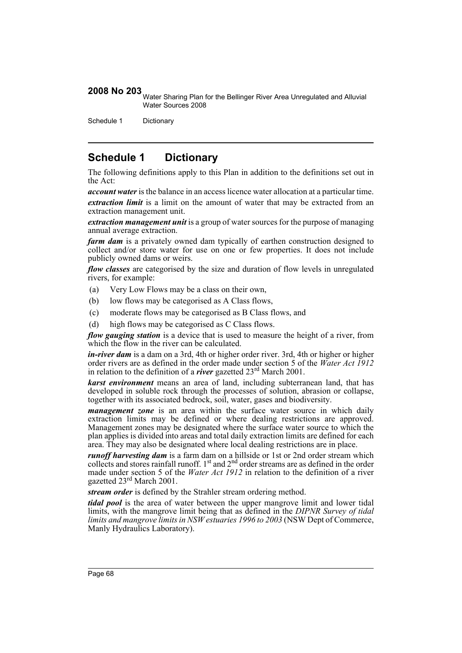2008 No 203 Water Sharing Plan for the Bellinger River Area Unregulated and Alluvial Water Sources 2008

Schedule 1 Dictionary

# **Schedule 1 Dictionary**

The following definitions apply to this Plan in addition to the definitions set out in the Act:

*account water* is the balance in an access licence water allocation at a particular time.

*extraction limit* is a limit on the amount of water that may be extracted from an extraction management unit.

*extraction management unit* is a group of water sources for the purpose of managing annual average extraction.

*farm dam* is a privately owned dam typically of earthen construction designed to collect and/or store water for use on one or few properties. It does not include publicly owned dams or weirs.

*flow classes* are categorised by the size and duration of flow levels in unregulated rivers, for example:

- (a) Very Low Flows may be a class on their own,
- (b) low flows may be categorised as A Class flows,
- (c) moderate flows may be categorised as B Class flows, and
- (d) high flows may be categorised as C Class flows.

*flow gauging station* is a device that is used to measure the height of a river, from which the flow in the river can be calculated.

*in-river dam* is a dam on a 3rd, 4th or higher order river. 3rd, 4th or higher or higher order rivers are as defined in the order made under section 5 of the *Water Act 1912* in relation to the definition of a *river* gazetted 23rd March 2001.

*karst environment* means an area of land, including subterranean land, that has developed in soluble rock through the processes of solution, abrasion or collapse, together with its associated bedrock, soil, water, gases and biodiversity.

*management zone* is an area within the surface water source in which daily extraction limits may be defined or where dealing restrictions are approved. Management zones may be designated where the surface water source to which the plan applies is divided into areas and total daily extraction limits are defined for each area. They may also be designated where local dealing restrictions are in place.

*runoff harvesting dam* is a farm dam on a hillside or 1st or 2nd order stream which collects and stores rainfall runoff.  $1<sup>st</sup>$  and  $2<sup>nd</sup>$  order streams are as defined in the order made under section 5 of the *Water Act 1912* in relation to the definition of a river gazetted 23rd March 2001.

*stream order* is defined by the Strahler stream ordering method.

*tidal pool* is the area of water between the upper mangrove limit and lower tidal limits, with the mangrove limit being that as defined in the *DIPNR Survey of tidal limits and mangrove limits in NSW estuaries 1996 to 2003* (NSW Dept of Commerce, Manly Hydraulics Laboratory).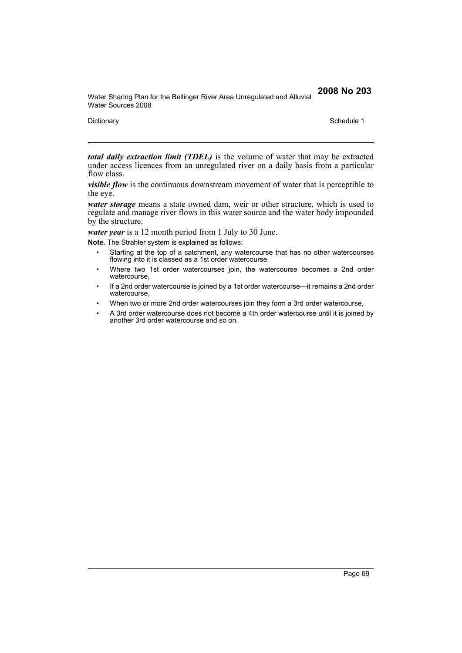Water Sharing Plan for the Bellinger River Area Unregulated and Alluvial Water Sources 2008

Dictionary Schedule 1

*total daily extraction limit (TDEL)* is the volume of water that may be extracted under access licences from an unregulated river on a daily basis from a particular flow class.

*visible flow* is the continuous downstream movement of water that is perceptible to the eye.

*water storage* means a state owned dam, weir or other structure, which is used to regulate and manage river flows in this water source and the water body impounded by the structure.

*water year* is a 12 month period from 1 July to 30 June.

**Note.** The Strahler system is explained as follows:

- Starting at the top of a catchment, any watercourse that has no other watercourses flowing into it is classed as a 1st order watercourse,
- Where two 1st order watercourses join, the watercourse becomes a 2nd order watercourse,
- If a 2nd order watercourse is joined by a 1st order watercourse—it remains a 2nd order watercourse,
- When two or more 2nd order watercourses join they form a 3rd order watercourse,
- A 3rd order watercourse does not become a 4th order watercourse until it is joined by another 3rd order watercourse and so on.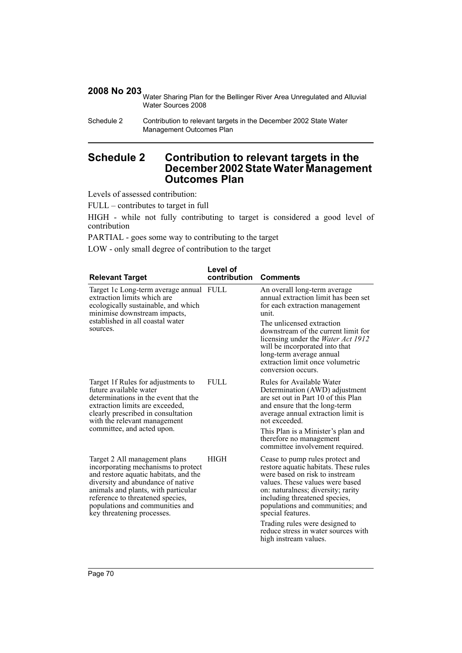2008 No 203 Water Sharing Plan for the Bellinger River Area Unregulated and Alluvial Water Sources 2008

Schedule 2 Contribution to relevant targets in the December 2002 State Water Management Outcomes Plan

# **Schedule 2 Contribution to relevant targets in the December 2002 State Water Management Outcomes Plan**

Levels of assessed contribution:

FULL – contributes to target in full

HIGH - while not fully contributing to target is considered a good level of contribution

PARTIAL - goes some way to contributing to the target

LOW - only small degree of contribution to the target

| <b>Relevant Target</b>                                                                                                                                                                                                                                                                         | Level of<br>contribution | <b>Comments</b>                                                                                                                                                                                                                                                                                                                                          |
|------------------------------------------------------------------------------------------------------------------------------------------------------------------------------------------------------------------------------------------------------------------------------------------------|--------------------------|----------------------------------------------------------------------------------------------------------------------------------------------------------------------------------------------------------------------------------------------------------------------------------------------------------------------------------------------------------|
| Target 1c Long-term average annual FULL<br>extraction limits which are<br>ecologically sustainable, and which<br>minimise downstream impacts,<br>established in all coastal water<br>sources.                                                                                                  |                          | An overall long-term average<br>annual extraction limit has been set<br>for each extraction management<br>unit.<br>The unlicensed extraction<br>downstream of the current limit for<br>licensing under the <i>Water Act 1912</i><br>will be incorporated into that<br>long-term average annual<br>extraction limit once volumetric<br>conversion occurs. |
| Target 1f Rules for adjustments to<br>future available water<br>determinations in the event that the<br>extraction limits are exceeded,<br>clearly prescribed in consultation<br>with the relevant management<br>committee, and acted upon.                                                    | <b>FULL</b>              | Rules for Available Water<br>Determination (AWD) adjustment<br>are set out in Part 10 of this Plan<br>and ensure that the long-term<br>average annual extraction limit is<br>not exceeded.<br>This Plan is a Minister's plan and<br>therefore no management<br>committee involvement required.                                                           |
| Target 2 All management plans<br>incorporating mechanisms to protect<br>and restore aquatic habitats, and the<br>diversity and abundance of native<br>animals and plants, with particular<br>reference to threatened species,<br>populations and communities and<br>key threatening processes. | <b>HIGH</b>              | Cease to pump rules protect and<br>restore aquatic habitats. These rules<br>were based on risk to instream<br>values. These values were based<br>on: naturalness; diversity; rarity<br>including threatened species,<br>populations and communities; and<br>special features.<br>Trading rules were designed to                                          |
|                                                                                                                                                                                                                                                                                                |                          | reduce stress in water sources with<br>high instream values.                                                                                                                                                                                                                                                                                             |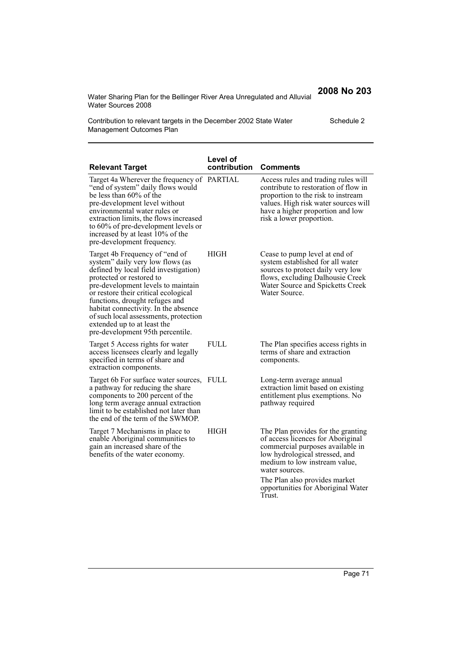Water Sharing Plan for the Bellinger River Area Unregulated and Alluvial Water Sources 2008

**2008 No 203**

Schedule 2

Contribution to relevant targets in the December 2002 State Water Management Outcomes Plan

| <b>Relevant Target</b>                                                                                                                                                                                                                                                                                                                                                                                       | Level of<br>contribution | <b>Comments</b>                                                                                                                                                                                                                                                                   |
|--------------------------------------------------------------------------------------------------------------------------------------------------------------------------------------------------------------------------------------------------------------------------------------------------------------------------------------------------------------------------------------------------------------|--------------------------|-----------------------------------------------------------------------------------------------------------------------------------------------------------------------------------------------------------------------------------------------------------------------------------|
| Target 4a Wherever the frequency of PARTIAL<br>"end of system" daily flows would<br>be less than 60% of the<br>pre-development level without<br>environmental water rules or<br>extraction limits, the flows increased<br>to 60% of pre-development levels or<br>increased by at least 10% of the<br>pre-development frequency.                                                                              |                          | Access rules and trading rules will<br>contribute to restoration of flow in<br>proportion to the risk to instream<br>values. High risk water sources will<br>have a higher proportion and low<br>risk a lower proportion.                                                         |
| Target 4b Frequency of "end of"<br>system" daily very low flows (as<br>defined by local field investigation)<br>protected or restored to<br>pre-development levels to maintain<br>or restore their critical ecological<br>functions, drought refuges and<br>habitat connectivity. In the absence<br>of such local assessments, protection<br>extended up to at least the<br>pre-development 95th percentile. | <b>HIGH</b>              | Cease to pump level at end of<br>system established for all water<br>sources to protect daily very low<br>flows, excluding Dalhousie Creek<br>Water Source and Spicketts Creek<br>Water Source.                                                                                   |
| Target 5 Access rights for water<br>access licensees clearly and legally<br>specified in terms of share and<br>extraction components.                                                                                                                                                                                                                                                                        | <b>FULL</b>              | The Plan specifies access rights in<br>terms of share and extraction<br>components.                                                                                                                                                                                               |
| Target 6b For surface water sources,<br>a pathway for reducing the share<br>components to 200 percent of the<br>long term average annual extraction<br>limit to be established not later than<br>the end of the term of the SWMOP.                                                                                                                                                                           | <b>FULL</b>              | Long-term average annual<br>extraction limit based on existing<br>entitlement plus exemptions. No<br>pathway required                                                                                                                                                             |
| Target 7 Mechanisms in place to<br>enable Aboriginal communities to<br>gain an increased share of the<br>benefits of the water economy.                                                                                                                                                                                                                                                                      | <b>HIGH</b>              | The Plan provides for the granting<br>of access licences for Aboriginal<br>commercial purposes available in<br>low hydrological stressed, and<br>medium to low instream value,<br>water sources.<br>The Plan also provides market<br>opportunities for Aboriginal Water<br>Trust. |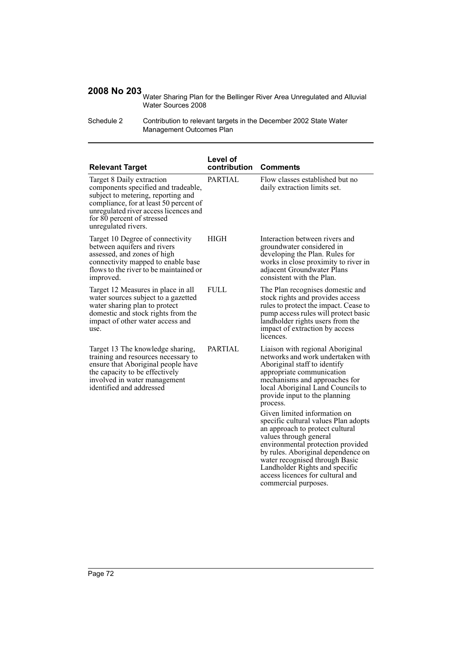Water Sharing Plan for the Bellinger River Area Unregulated and Alluvial Water Sources 2008

| Schedule 2 | Contribution to relevant targets in the December 2002 State Water |
|------------|-------------------------------------------------------------------|
|            | Management Outcomes Plan                                          |

| <b>Relevant Target</b>                                                                                                                                                                                                                         | Level of<br>contribution | <b>Comments</b>                                                                                                                                                                                                                                                                                                                                                                                                                                                                                         |
|------------------------------------------------------------------------------------------------------------------------------------------------------------------------------------------------------------------------------------------------|--------------------------|---------------------------------------------------------------------------------------------------------------------------------------------------------------------------------------------------------------------------------------------------------------------------------------------------------------------------------------------------------------------------------------------------------------------------------------------------------------------------------------------------------|
| Target 8 Daily extraction<br>components specified and tradeable,<br>subject to metering, reporting and<br>compliance, for at least 50 percent of<br>unregulated river access licences and<br>for 80 percent of stressed<br>unregulated rivers. | <b>PARTIAL</b>           | Flow classes established but no<br>daily extraction limits set.                                                                                                                                                                                                                                                                                                                                                                                                                                         |
| Target 10 Degree of connectivity<br>between aquifers and rivers<br>assessed, and zones of high<br>connectivity mapped to enable base<br>flows to the river to be maintained or<br>improved.                                                    | <b>HIGH</b>              | Interaction between rivers and<br>groundwater considered in<br>developing the Plan. Rules for<br>works in close proximity to river in<br>adjacent Groundwater Plans<br>consistent with the Plan.                                                                                                                                                                                                                                                                                                        |
| Target 12 Measures in place in all<br>water sources subject to a gazetted<br>water sharing plan to protect<br>domestic and stock rights from the<br>impact of other water access and<br>use.                                                   | <b>FULL</b>              | The Plan recognises domestic and<br>stock rights and provides access<br>rules to protect the impact. Cease to<br>pump access rules will protect basic<br>landholder rights users from the<br>impact of extraction by access<br>licences.                                                                                                                                                                                                                                                                |
| Target 13 The knowledge sharing,<br>training and resources necessary to<br>ensure that Aboriginal people have<br>the capacity to be effectively<br>involved in water management<br>identified and addressed                                    | <b>PARTIAL</b>           | Liaison with regional Aboriginal<br>networks and work undertaken with<br>Aboriginal staff to identify<br>appropriate communication<br>mechanisms and approaches for<br>local Aboriginal Land Councils to<br>provide input to the planning<br>process.<br>Given limited information on<br>specific cultural values Plan adopts<br>an approach to protect cultural<br>values through general<br>environmental protection provided<br>by rules. Aboriginal dependence on<br>water recognised through Basic |
|                                                                                                                                                                                                                                                |                          | Landholder Rights and specific<br>access licences for cultural and<br>commercial purposes.                                                                                                                                                                                                                                                                                                                                                                                                              |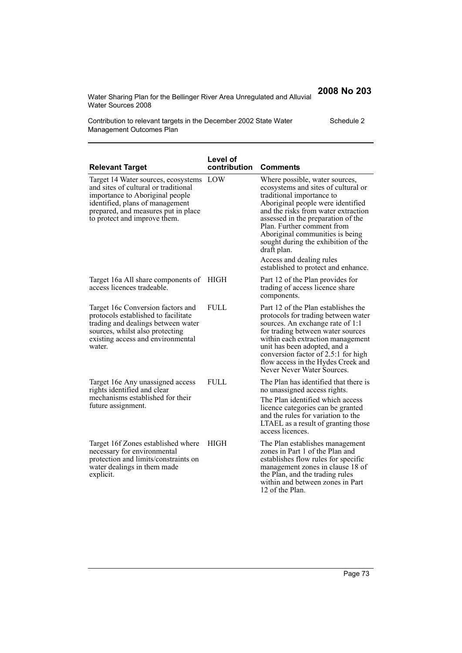Water Sharing Plan for the Bellinger River Area Unregulated and Alluvial Water Sources 2008

**2008 No 203**

Schedule 2

Contribution to relevant targets in the December 2002 State Water Management Outcomes Plan

| <b>Relevant Target</b>                                                                                                                                                                                                   | Level of<br>contribution | <b>Comments</b>                                                                                                                                                                                                                                                                                                                             |
|--------------------------------------------------------------------------------------------------------------------------------------------------------------------------------------------------------------------------|--------------------------|---------------------------------------------------------------------------------------------------------------------------------------------------------------------------------------------------------------------------------------------------------------------------------------------------------------------------------------------|
| Target 14 Water sources, ecosystems<br>and sites of cultural or traditional<br>importance to Aboriginal people<br>identified, plans of management<br>prepared, and measures put in place<br>to protect and improve them. | LOW                      | Where possible, water sources,<br>ecosystems and sites of cultural or<br>traditional importance to<br>Aboriginal people were identified<br>and the risks from water extraction<br>assessed in the preparation of the<br>Plan. Further comment from<br>Aboriginal communities is being<br>sought during the exhibition of the<br>draft plan. |
|                                                                                                                                                                                                                          |                          | Access and dealing rules<br>established to protect and enhance.                                                                                                                                                                                                                                                                             |
| Target 16a All share components of<br>access licences tradeable.                                                                                                                                                         | HIGH                     | Part 12 of the Plan provides for<br>trading of access licence share<br>components.                                                                                                                                                                                                                                                          |
| Target 16c Conversion factors and<br>protocols established to facilitate<br>trading and dealings between water<br>sources, whilst also protecting<br>existing access and environmental<br>water.                         | <b>FULL</b>              | Part 12 of the Plan establishes the<br>protocols for trading between water<br>sources. An exchange rate of 1:1<br>for trading between water sources<br>within each extraction management<br>unit has been adopted, and a<br>conversion factor of 2.5:1 for high<br>flow access in the Hydes Creek and<br>Never Never Water Sources.         |
| Target 16e Any unassigned access<br>rights identified and clear<br>mechanisms established for their<br>future assignment.                                                                                                | FULL.                    | The Plan has identified that there is<br>no unassigned access rights.<br>The Plan identified which access<br>licence categories can be granted<br>and the rules for variation to the<br>LTAEL as a result of granting those<br>access licences.                                                                                             |
| Target 16f Zones established where<br>necessary for environmental<br>protection and limits/constraints on<br>water dealings in them made<br>explicit.                                                                    | <b>HIGH</b>              | The Plan establishes management<br>zones in Part 1 of the Plan and<br>establishes flow rules for specific<br>management zones in clause 18 of<br>the Plan, and the trading rules<br>within and between zones in Part<br>12 of the Plan.                                                                                                     |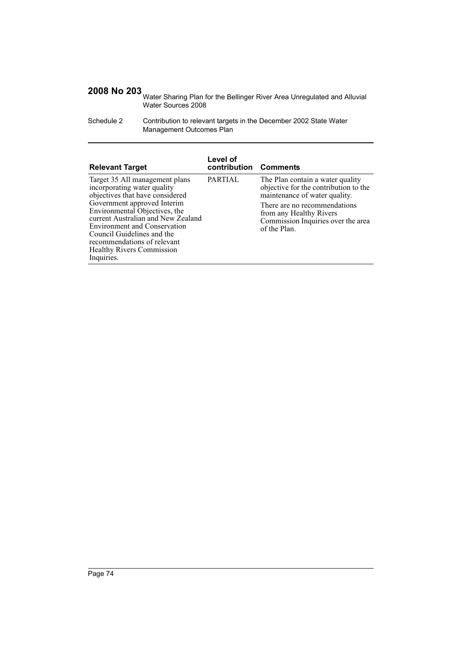Water Sharing Plan for the Bellinger River Area Unregulated and Alluvial Water Sources 2008

Schedule 2 Contribution to relevant targets in the December 2002 State Water Management Outcomes Plan

| <b>Relevant Target</b>                                                                                                                                                                                                                                                                                                                                       | Level of<br>contribution Comments |                                                                                                                                                                                                                             |
|--------------------------------------------------------------------------------------------------------------------------------------------------------------------------------------------------------------------------------------------------------------------------------------------------------------------------------------------------------------|-----------------------------------|-----------------------------------------------------------------------------------------------------------------------------------------------------------------------------------------------------------------------------|
| Target 35 All management plans<br>incorporating water quality<br>objectives that have considered<br>Government approved Interim<br>Environmental Objectives, the<br>current Australian and New Zealand<br><b>Environment and Conservation</b><br>Council Guidelines and the<br>recommendations of relevant<br><b>Healthy Rivers Commission</b><br>Inquiries. | <b>PARTIAL</b>                    | The Plan contain a water quality<br>objective for the contribution to the<br>maintenance of water quality.<br>There are no recommendations<br>from any Healthy Rivers<br>Commission Inquiries over the area<br>of the Plan. |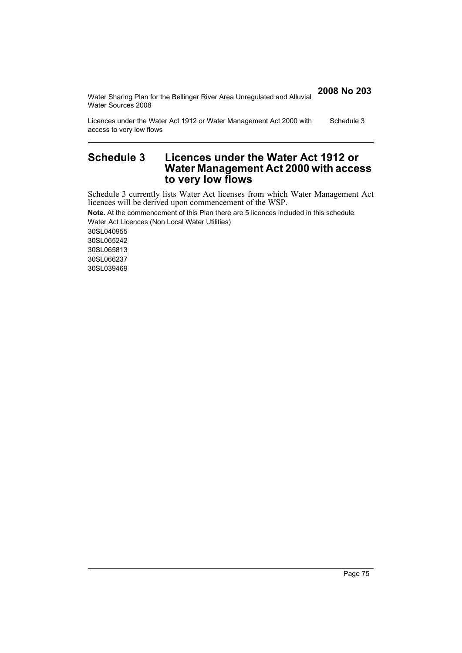| Water Sharing Plan for the Bellinger River Area Unregulated and Alluvial<br>Water Sources 2008  | 2008 No 203 |
|-------------------------------------------------------------------------------------------------|-------------|
| Licences under the Water Act 1912 or Water Management Act 2000 with<br>access to very low flows | Schedule 3  |

## **Schedule 3 Licences under the Water Act 1912 or Water Management Act 2000 with access to very low flows**

Schedule 3 currently lists Water Act licenses from which Water Management Act licences will be derived upon commencement of the WSP.

**Note.** At the commencement of this Plan there are 5 licences included in this schedule. Water Act Licences (Non Local Water Utilities) 30SL040955 30SL065242 30SL065813 30SL066237 30SL039469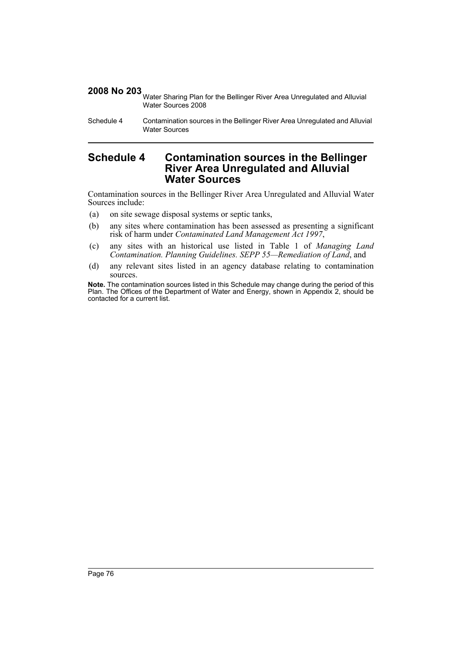2008 No 203 Water Sharing Plan for the Bellinger River Area Unregulated and Alluvial Water Sources 2008

Schedule 4 Contamination sources in the Bellinger River Area Unregulated and Alluvial Water Sources

### **Schedule 4 Contamination sources in the Bellinger River Area Unregulated and Alluvial Water Sources**

Contamination sources in the Bellinger River Area Unregulated and Alluvial Water Sources include:

- (a) on site sewage disposal systems or septic tanks,
- (b) any sites where contamination has been assessed as presenting a significant risk of harm under *Contaminated Land Management Act 1997*,
- (c) any sites with an historical use listed in Table 1 of *Managing Land Contamination. Planning Guidelines. SEPP 55—Remediation of Land*, and
- (d) any relevant sites listed in an agency database relating to contamination sources.

**Note.** The contamination sources listed in this Schedule may change during the period of this Plan. The Offices of the Department of Water and Energy, shown in Appendix 2, should be contacted for a current list.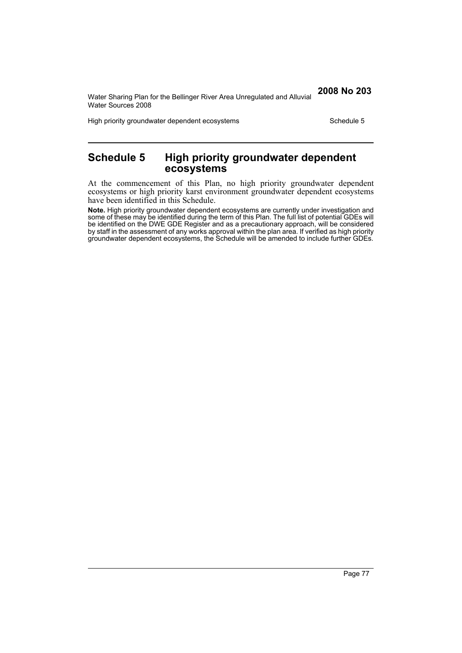Water Sharing Plan for the Bellinger River Area Unregulated and Alluvial Water Sources 2008

High priority groundwater dependent ecosystems Schedule 5

## **Schedule 5 High priority groundwater dependent ecosystems**

At the commencement of this Plan, no high priority groundwater dependent ecosystems or high priority karst environment groundwater dependent ecosystems have been identified in this Schedule.

**Note.** High priority groundwater dependent ecosystems are currently under investigation and some of these may be identified during the term of this Plan. The full list of potential GDEs will be identified on the DWE GDE Register and as a precautionary approach, will be considered by staff in the assessment of any works approval within the plan area. If verified as high priority groundwater dependent ecosystems, the Schedule will be amended to include further GDEs.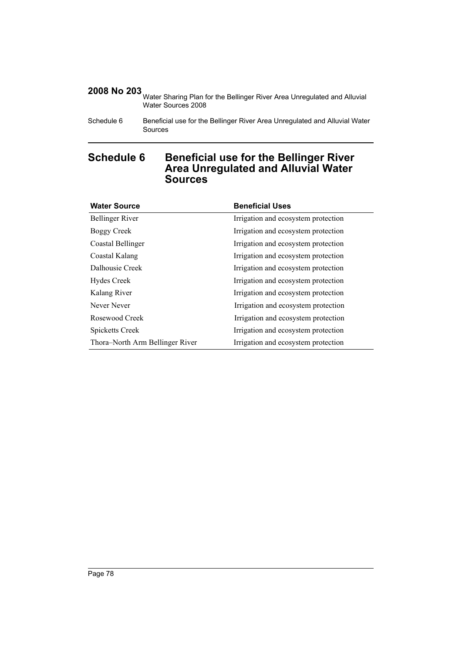Water Sharing Plan for the Bellinger River Area Unregulated and Alluvial Water Sources 2008

## **Schedule 6 Beneficial use for the Bellinger River Area Unregulated and Alluvial Water Sources**

| <b>Water Source</b>             | <b>Beneficial Uses</b>              |
|---------------------------------|-------------------------------------|
| <b>Bellinger River</b>          | Irrigation and ecosystem protection |
| Boggy Creek                     | Irrigation and ecosystem protection |
| Coastal Bellinger               | Irrigation and ecosystem protection |
| Coastal Kalang                  | Irrigation and ecosystem protection |
| Dalhousie Creek                 | Irrigation and ecosystem protection |
| <b>Hydes Creek</b>              | Irrigation and ecosystem protection |
| Kalang River                    | Irrigation and ecosystem protection |
| Never Never                     | Irrigation and ecosystem protection |
| Rosewood Creek                  | Irrigation and ecosystem protection |
| Spicketts Creek                 | Irrigation and ecosystem protection |
| Thora-North Arm Bellinger River | Irrigation and ecosystem protection |

Schedule 6 Beneficial use for the Bellinger River Area Unregulated and Alluvial Water Sources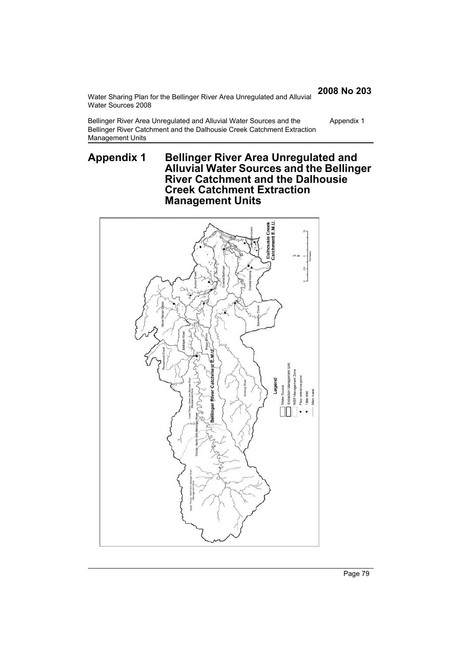Water Sharing Plan for the Bellinger River Area Unregulated and Alluvial Water Sources 2008

Bellinger River Area Unregulated and Alluvial Water Sources and the Bellinger River Catchment and the Dalhousie Creek Catchment Extraction Management Units Appendix 1

## **Appendix 1 Bellinger River Area Unregulated and Alluvial Water Sources and the Bellinger River Catchment and the Dalhousie Creek Catchment Extraction Management Units**